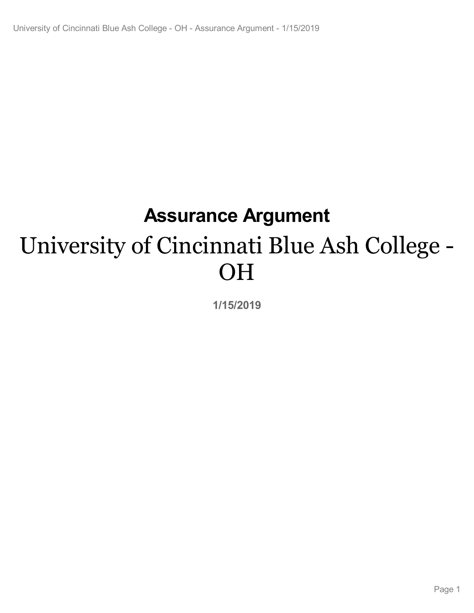# **Assurance Argument** University of Cincinnati Blue Ash College - OH

**1/15/2019**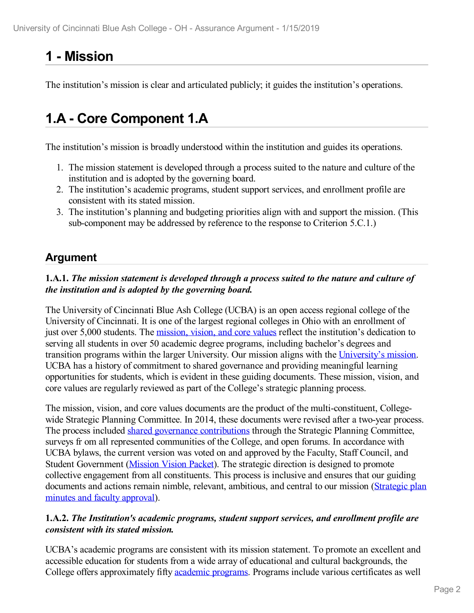# **1 -Mission**

The institution's mission is clear and articulated publicly; it guides the institution's operations.

# **1.A - Core Component 1.A**

The institution's mission is broadly understood within the institution and guides its operations.

- 1. The mission statement is developed through a process suited to the nature and culture of the institution and is adopted by the governing board.
- 2. The institution's academic programs, student support services, and enrollment profile are consistent with its stated mission.
- 3. The institution's planning and budgeting priorities align with and support the mission. (This sub-component may be addressed by reference to the response to Criterion 5.C.1.)

# **Argument**

#### **1.A.1.** *The mission statement is developed through a process suited to the nature and culture of the institution and is adopted by the governing board.*

The University of Cincinnati Blue Ash College (UCBA) is an open access regional college of the University of Cincinnati. It is one of the largest regional colleges in Ohio with an enrollment of just over 5,000 students. The [mission,](file:///D:/evidence/viewfile?fileId=629773) vision, and core values reflect the institution's dedication to serving all students in over 50 academic degree programs, including bachelor's degrees and transition programs within the larger University. Our mission aligns with the [University's](file:///D:/evidence/viewfile?fileId=629776) mission. UCBA has a history of commitment to shared governance and providing meaningful learning opportunities for students, which is evident in these guiding documents. These mission, vision, and core values are regularly reviewed as part of the College's strategic planning process.

The mission, vision, and core values documents are the product of the multi-constituent, College wide Strategic Planning Committee. In 2014, these documents were revised after a two-year process. The process included shared governance [contributions](file:///D:/evidence/viewfile?fileId=629774) through the Strategic Planning Committee, surveys fr om all represented communities of the College, and open forums. In accordance with UCBA bylaws, the current version was voted on and approved by the Faculty, Staff Council, and Student Government ([Mission](file:///D:/evidence/viewfile?fileId=629777) Vision Packet). The strategic direction is designed to promote collective engagement from all constituents. This process is inclusive and ensures that our guiding [documents](file:///D:/evidence/viewfile?fileId=629775) and actions remain nimble, relevant, ambitious, and central to our mission (Strategic plan minutes and faculty approval).

#### **1.A.2.** *The Institution's academic programs, student support services, and enrollment profile are consistent with its stated mission.*

UCBA's academic programs are consistent with its mission statement. To promote an excellent and accessible education for students from a wide array of educational and cultural backgrounds, the College offers approximately fifty [academic](file:///D:/evidence/viewfile?fileId=629783) programs. Programs include various certificates as well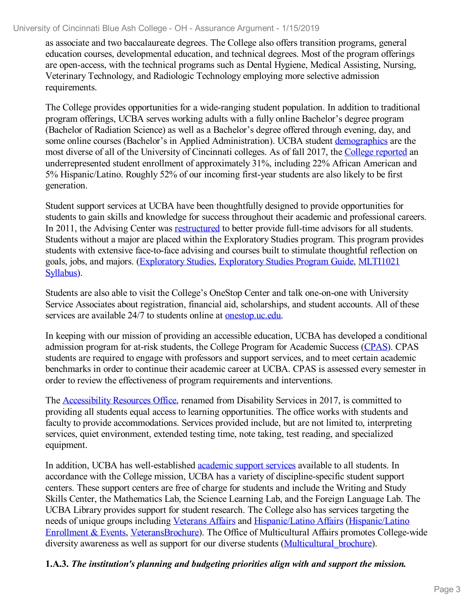as associate and two baccalaureate degrees. The College also offers transition programs, general education courses, developmental education, and technical degrees. Most of the program offerings are open-access, with the technical programs such as Dental Hygiene, Medical Assisting, Nursing, Veterinary Technology, and Radiologic Technology employing more selective admission requirements.

The College provides opportunities for a wide-ranging student population. In addition to traditional program offerings, UCBA serves working adults with a fully online Bachelor's degree program (Bachelor of Radiation Science) as well as a Bachelor's degree offered through evening, day, and some online courses (Bachelor's in Applied Administration). UCBA student [demographics](file:///D:/evidence/viewfile?fileId=686182) are the most diverse of all of the University of Cincinnati colleges. As of fall 2017, the College [reported](file:///D:/evidence/viewfile?fileId=664288) an underrepresented student enrollment of approximately 31%, including 22% African American and 5% Hispanic/Latino. Roughly 52% of our incoming first-year students are also likely to be first generation.

Student support services at UCBA have been thoughtfully designed to provide opportunities for students to gain skills and knowledge for success throughout their academic and professional careers. In 2011, the Advising Center was [restructured](file:///D:/evidence/viewfile?fileId=629784) to better provide full-time advisors for all students. Students without a major are placed within the Exploratory Studies program. This program provides students with extensive face-to-face advising and courses built to stimulate thoughtful reflection on goals, jobs, and majors. [\(Exploratory](file:///D:/evidence/viewfile?fileId=629788) Studies, [Exploratory](file:///D:/evidence/viewfile?fileId=629785) Studies Program Guide, MLTI1021 Syllabus).

Students are also able to visit the College's OneStop Center and talk one-on-one with University Service Associates about registration, financial aid, scholarships, and student accounts. All of these services are available 24/7 to students online at <u>onestop.uc.edu</u>.

In keeping with our mission of providing an accessible education, UCBA has developed a conditional admission program for at-risk students, the College Program for Academic Success ([CPAS](file:///D:/evidence/viewfile?fileid=703382)). CPAS students are required to engage with professors and support services, and to meet certain academic benchmarks in order to continue their academic career at UCBA. CPAS is assessed every semester in order to review the effectiveness of program requirements and interventions.

The [Accessibility](file:///D:/evidence/viewfile?fileId=629791) Resources Office, renamed from Disability Services in 2017, is committed to providing all students equal access to learning opportunities. The office works with students and faculty to provide accommodations. Services provided include, but are not limited to, interpreting services, quiet environment, extended testing time, note taking, test reading, and specialized equipment.

In addition, UCBA has well-established *[academic](file:///D:/evidence/viewfile?fileId=629793) support services* available to all students. In accordance with the College mission, UCBA has a variety of discipline-specific student support centers. These support centers are free of charge for students and include the Writing and Study Skills Center, the Mathematics Lab, the Science Learning Lab, and the Foreign Language Lab. The UCBA Library provides support for student research. The College also has services targeting the needs of unique groups including [Veterans](file:///D:/evidence/viewfile?fileId=629792) Affairs and [Hispanic/Latino](file:///D:/evidence/viewfile?fileId=629795) Affairs (Hispanic/Latino Enrollment & Events, [VeteransBrochure\).](file:///D:/evidence/viewfile?fileId=629790) The Office of Multicultural Affairs promotes College-wide diversity awareness as well as support for our diverse students (Multicultural brochure).

#### **1.A.3.** *The institution's planning and budgeting priorities align with and support the mission.*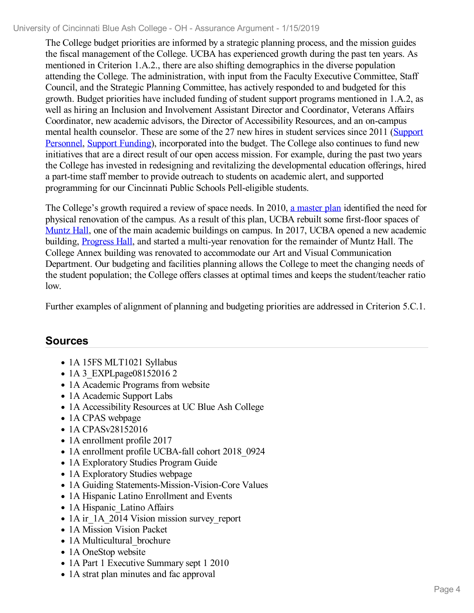The College budget priorities are informed by a strategic planning process, and the mission guides the fiscal management of the College. UCBA has experienced growth during the past ten years. As mentioned in Criterion 1.A.2., there are also shifting demographics in the diverse population attending the College. The administration, with input from the Faculty Executive Committee, Staff Council, and the Strategic Planning Committee, has actively responded to and budgeted for this growth. Budget priorities have included funding of student support programs mentioned in 1.A.2, as well as hiring an Inclusion and Involvement Assistant Director and Coordinator, Veterans Affairs Coordinator, new academic advisors, the Director of Accessibility Resources, and an on-campus mental health counselor. These are some of the 27 new hires in student services since 2011 (Support Personnel, Support [Funding](file:///D:/evidence/viewfile?fileId=629802)), [incorporated](file:///D:/evidence/viewfile?fileId=629799) into the budget. The College also continues to fund new initiatives that are a direct result of our open access mission. For example, during the past two years the College has invested in redesigning and revitalizing the developmental education offerings, hired a part-time staff member to provide outreach to students on academic alert, and supported programming for our Cincinnati Public Schools Pell-eligible students.

The College's growth required a review of space needs. In 2010, a [master](file:///D:/evidence/viewfile?fileId=629803) plan identified the need for physical renovation of the campus. As a result of this plan, UCBA rebuilt some first-floor spaces of [Muntz](file:///D:/evidence/viewfile?fileId=629800) Hall, one of the main academic buildings on campus. In 2017, UCBA opened a new academic building, [Progress](file:///D:/evidence/viewfile?fileId=629801) Hall, and started a multi-year renovation for the remainder of Muntz Hall. The College Annex building was renovated to accommodate our Art and Visual Communication Department. Our budgeting and facilities planning allows the College to meet the changing needs of the student population; the College offers classes at optimal times and keeps the student/teacher ratio low.

Further examples of alignment of planning and budgeting priorities are addressed in Criterion 5.C.1.

- 1A 15FS MLT1021 Syllabus
- 1A 3 EXPLpage08152016 2
- 1A Academic Programs from website
- 1A Academic Support Labs
- 1A Accessibility Resources at UC Blue Ash College
- 1A CPAS webpage
- 1A CPASv28152016
- 1A enrollment profile 2017
- 1A enrollment profile UCBA-fall cohort 2018\_0924
- 1A Exploratory Studies Program Guide
- 1A Exploratory Studies webpage
- 1A Guiding Statements-Mission-Vision-Core Values
- 1A Hispanic Latino Enrollment and Events
- 1A Hispanic Latino Affairs
- 1A ir 1A 2014 Vision mission survey report
- 1A Mission Vision Packet
- 1A Multicultural brochure
- 1A OneStop website
- 1A Part 1 Executive Summary sept 1 2010
- 1A strat plan minutes and fac approval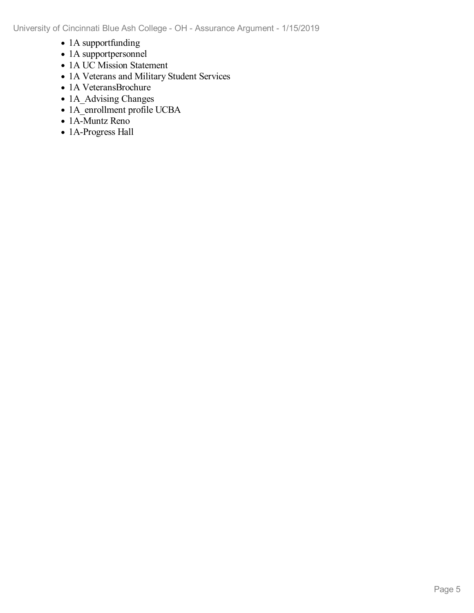- 1A supportfunding
- 1A supportpersonnel
- 1A UC Mission Statement
- 1A Veterans and Military Student Services
- 1A VeteransBrochure
- 1A Advising Changes
- 1A\_enrollment profile UCBA
- 1A-Muntz Reno
- 1A-Progress Hall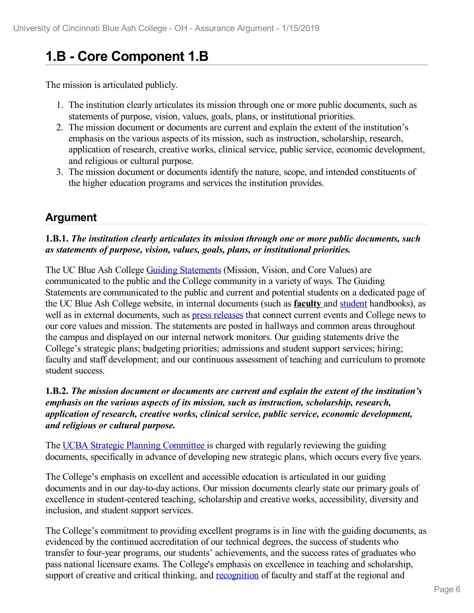# **1.B - Core Component 1.B**

The mission is articulated publicly.

- 1. The institution clearly articulates its mission through one or more public documents, such as statements of purpose, vision, values, goals, plans, or institutional priorities.
- 2. The mission document or documents are current and explain the extent of the institution's emphasis on the various aspects of its mission, such as instruction, scholarship, research, application of research, creative works, clinical service, public service, economic development, and religious or cultural purpose.
- 3. The mission document or documents identify the nature, scope, and intended constituents of the higher education programs and services the institution provides.

### **Argument**

#### **1.B.1.** *The institution clearly articulates its mission through one or more public documents, such as statements of purpose, vision, values, goals, plans, or institutional priorities.*

The UC Blue Ash College Guiding [Statements](file:///D:/evidence/viewfile?fileId=629755) (Mission, Vision, and Core Values) are communicated to the public and the College community in a variety of ways. The Guiding Statements are communicated to the public and current and potential students on a dedicated page of the UC Blue Ash College website, in internal documents (such as **faculty** and [student](https://www.ucblueash.edu/content/dam/ucblueash/docs/students/basics/StudentHandbook_FINAL_PRINT.pdf) handbooks), as well as in external documents, such as press [releases](file:///D:/evidence/viewfile?fileId=674760) that connect current events and College news to our core values and mission. The statements are posted in hallways and common areas throughout the campus and displayed on our internal network monitors. Our guiding statements drive the College's strategic plans; budgeting priorities; admissions and student support services; hiring; faculty and staff development; and our continuous assessment of teaching and curriculum to promote student success.

#### **1.B.2.** *The mission document or documents are current and explain the extent of the institution's emphasis on the various aspects of its mission, such as instruction, scholarship, research, application of research, creative works, clinical service, public service, economic development, and religious or cultural purpose.*

The UCBA Strategic Planning [Committee](file:///D:/evidence/viewfile?fileId=674781) is charged with regularly reviewing the guiding documents, specifically in advance of developing new strategic plans, which occurs every five years.

The College's emphasis on excellent and accessible education is articulated in our guiding documents and in our day-to-day actions. Our mission documents clearly state our primary goals of excellence in student-centered teaching, scholarship and creative works, accessibility, diversity and inclusion, and student support services.

The College's commitment to providing excellent programs is in line with the guiding documents, as evidenced by the continued accreditation of our technical degrees, the success of students who transfer to four-year programs, our students' achievements, and the success rates of graduates who pass national licensure exams. The College's emphasis on excellence in teaching and scholarship, support of creative and critical thinking, and [recognition](file:///D:/evidence/viewfile?fileId=703264) of faculty and staff at the regional and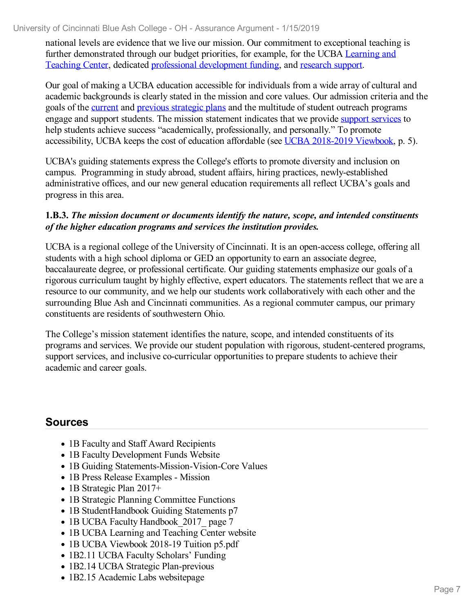national levels are evidence that we live our mission. Our commitment to exceptional teaching is further [demonstrated](file:///D:/evidence/viewfile?fileId=674788) through our budget priorities, for example, for the UCBA Learning and Teaching Center, dedicated professional [development](file:///D:/evidence/viewfile?fileId=686013) funding, and [research](file:///D:/evidence/viewfile?fileId=674789) support.

Our goal of making a UCBA education accessible for individuals from a wide array of cultural and academic backgrounds is clearly stated in the mission and core values. Our admission criteria and the goals of the [current](file:///D:/evidence/viewfile?fileId=686022) and previous [strategic](file:///D:/evidence/viewfile?fileId=686021) plans and the multitude of student outreach programs engage and support students. The mission statement indicates that we provide support [services](file:///D:/evidence/viewfile?fileId=674790) to help students achieve success "academically, professionally, and personally." To promote accessibility, UCBA keeps the cost of education affordable (see UCBA [2018-2019](file:///D:/evidence/viewfile?fileId=686018) Viewbook, p. 5).

UCBA's guiding statements express the College's efforts to promote diversity and inclusion on campus. Programming in study abroad, student affairs, hiring practices, newly-established administrative offices, and our new general education requirements all reflect UCBA's goals and progress in this area.

#### **1.B.3.** *The mission document or documents identify the nature, scope, and intended constituents of the higher education programs and services the institution provides.*

UCBA is a regional college of the University of Cincinnati. It is an open-access college, offering all students with a high school diploma or GED an opportunity to earn an associate degree, baccalaureate degree, or professional certificate. Our guiding statements emphasize our goals of a rigorous curriculum taught by highly effective, expert educators. The statements reflect that we are a resource to our community, and we help our students work collaboratively with each other and the surrounding Blue Ash and Cincinnati communities. As a regional commuter campus, our primary constituents are residents of southwestern Ohio.

The College's mission statement identifies the nature, scope, and intended constituents of its programs and services. We provide our student population with rigorous, student-centered programs, support services, and inclusive co-curricular opportunities to prepare students to achieve their academic and career goals.

- 1B Faculty and Staff Award Recipients
- 1B Faculty Development Funds Website
- 1B Guiding Statements-Mission-Vision-Core Values
- 1B Press Release Examples Mission
- 1B Strategic Plan 2017+
- 1B Strategic Planning Committee Functions
- 1B StudentHandbook Guiding Statements p7
- 1B UCBA Faculty Handbook 2017 page 7
- 1B UCBA Learning and Teaching Center website
- 1B UCBA Viewbook 2018-19 Tuition p5.pdf
- 1B2.11 UCBA Faculty Scholars' Funding
- 1B2.14 UCBA Strategic Plan-previous
- 1B2.15 Academic Labs websitepage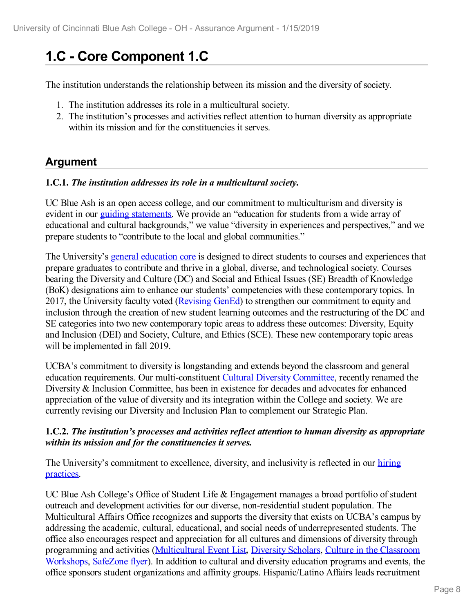# **1.C - Core Component 1.C**

The institution understands the relationship between its mission and the diversity of society.

- 1. The institution addresses its role in a multicultural society.
- 2. The institution's processes and activities reflect attention to human diversity as appropriate within its mission and for the constituencies it serves.

# **Argument**

#### **1.C.1.** *The institution addresses its role in a multicultural society.*

UC Blue Ash is an open access college, and our commitment to multiculturism and diversity is evident in our *guiding [statements](file:///D:/evidence/viewfile?fileId=629756)*. We provide an "education for students from a wide array of educational and cultural backgrounds," we value "diversity in experiences and perspectives," and we prepare students to "contribute to the local and global communities."

The University's general [education](file:///D:/evidence/viewfile?fileId=672352) core is designed to direct students to courses and experiences that prepare graduates to contribute and thrive in a global, diverse, and technological society. Courses bearing the Diversity and Culture (DC) and Social and Ethical Issues (SE) Breadth of Knowledge (BoK) designations aim to enhance our students' competencies with these contemporary topics. In 2017, the University faculty voted [\(Revising](file:///D:/evidence/viewfile?fileId=693362) GenEd) to strengthen our commitment to equity and inclusion through the creation of new student learning outcomes and the restructuring of the DC and SE categories into two new contemporary topic areas to address these outcomes: Diversity, Equity and Inclusion (DEI) and Society, Culture, and Ethics (SCE). These new contemporary topic areas will be implemented in fall 2019.

UCBA's commitment to diversity is longstanding and extends beyond the classroom and general education requirements. Our multi-constituent Cultural Diversity [Committee](file:///D:/evidence/viewfile?fileId=703401), recently renamed the Diversity & Inclusion Committee, has been in existence for decades and advocates for enhanced appreciation of the value of diversity and its integration within the College and society. We are currently revising our Diversity and Inclusion Plan to complement our Strategic Plan.

#### **1.C.2.** *The institution's processes and activities reflect attention to human diversity as appropriate within its mission and for the constituencies it serves.*

The University's [commitment](file:///D:/evidence/viewfile?fileId=703266) to excellence, diversity, and inclusivity is reflected in our hiring practices.

UC Blue Ash College's Office of Student Life & Engagement manages a broad portfolio of student outreach and development activities for our diverse, non-residential student population. The Multicultural Affairs Office recognizes and supports the diversity that exists on UCBA's campus by addressing the academic, cultural, educational, and social needs of underrepresented students. The office also encourages respect and appreciation for all cultures and dimensions of diversity through programming and activities [\(Multicultural](file:///D:/evidence/viewfile?fileId=703272) Event List*,* [Diversity](file:///D:/evidence/viewfile?fileId=629857) Scholars, Culture in the Classroom Workshops, [SafeZone](file:///D:/evidence/viewfile?fileId=629861) flyer). In addition to cultural and diversity education programs and events, the office sponsors student organizations and affinity groups. Hispanic/Latino Affairs leads recruitment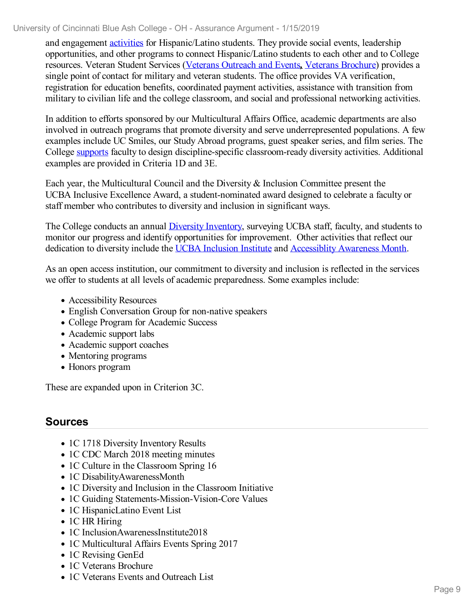and engagement [activities](file:///D:/evidence/viewfile?fileId=703277) for Hispanic/Latino students. They provide social events, leadership opportunities, and other programs to connect Hispanic/Latino students to each other and to College resources. Veteran Student Services (Veterans [Outreach](file:///D:/evidence/viewfile?fileId=703278) and Events*,* Veterans [Brochure](file:///D:/evidence/viewfile?fileId=693363)) provides a single point of contact for military and veteran students. The office provides VA verification, registration for education benefits, coordinated payment activities, assistance with transition from military to civilian life and the college classroom, and social and professional networking activities.

In addition to efforts sponsored by our Multicultural Affairs Office, academic departments are also involved in outreach programs that promote diversity and serve underrepresented populations. A few examples include UC Smiles, our Study Abroad programs, guest speaker series, and film series. The College [supports](file:///D:/evidence/viewfile?fileId=693361) faculty to design discipline-specific classroom-ready diversity activities. Additional examples are provided in Criteria 1D and 3E.

Each year, the Multicultural Council and the Diversity & Inclusion Committee present the UCBA Inclusive Excellence Award, a student-nominated award designed to celebrate a faculty or staff member who contributes to diversity and inclusion in significant ways.

The College conducts an annual Diversity [Inventory](file:///D:/evidence/viewfile?fileId=703268), surveying UCBA staff, faculty, and students to monitor our progress and identify opportunities for improvement. Other activities that reflect our dedication to diversity include the UCBA [Inclusion](file:///D:/evidence/viewfile?fileId=686141) Institute and [Accessiblity](file:///D:/evidence/viewfile?fileId=686140) Awareness Month.

As an open access institution, our commitment to diversity and inclusion is reflected in the services we offer to students at all levels of academic preparedness. Some examples include:

- Accessibility Resources
- English Conversation Group for non-native speakers
- College Program for Academic Success
- Academic support labs
- Academic support coaches
- Mentoring programs
- Honors program

These are expanded upon in Criterion 3C.

- 1C 1718 Diversity Inventory Results
- 1C CDC March 2018 meeting minutes
- 1C Culture in the Classroom Spring 16
- 1C DisabilityAwarenessMonth
- 1C Diversity and Inclusion in the Classroom Initiative
- 1C Guiding Statements-Mission-Vision-Core Values
- 1C HispanicLatino Event List
- 1C HR Hiring
- 1C InclusionAwarenessInstitute2018
- 1C Multicultural Affairs Events Spring 2017
- 1C Revising GenEd
- 1C Veterans Brochure
- 1C Veterans Events and Outreach List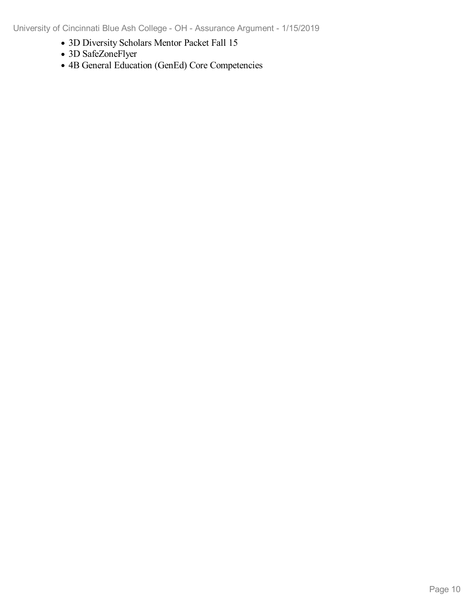- 3D Diversity Scholars Mentor Packet Fall 15
- 3D SafeZoneFlyer
- 4B General Education (GenEd) Core Competencies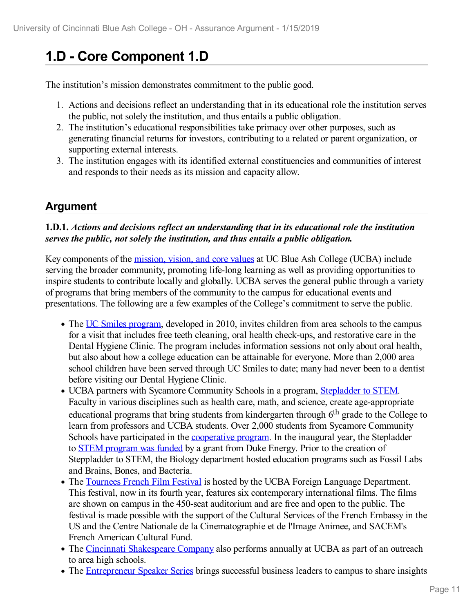# **1.D - Core Component 1.D**

The institution's mission demonstrates commitment to the public good.

- 1. Actions and decisions reflect an understanding that in its educational role the institution serves the public, not solely the institution, and thus entails a public obligation.
- 2. The institution's educational responsibilities take primacy over other purposes, such as generating financial returns for investors, contributing to a related or parent organization, or supporting external interests.
- 3. The institution engages with its identified external constituencies and communities of interest and responds to their needs as its mission and capacity allow.

### **Argument**

#### **1.D.1.** *Actions and decisions reflect an understanding that in its educational role the institution serves the public, not solely the institution, and thus entails a public obligation.*

Key components of the [mission,](file:///D:/evidence/viewfile?fileId=624242) vision, and core values at UC Blue Ash College (UCBA) include serving the broader community, promoting life-long learning as well as providing opportunities to inspire students to contribute locally and globally. UCBA serves the general public through a variety of programs that bring members of the community to the campus for educational events and presentations. The following are a few examples of the College's commitment to serve the public.

- The UC Smiles [program](file:///D:/evidence/viewfile?fileId=624254), developed in 2010, invites children from area schools to the campus for a visit that includes free teeth cleaning, oral health check-ups, and restorative care in the Dental Hygiene Clinic. The program includes information sessions not only about oral health, but also about how a college education can be attainable for everyone. More than 2,000 area school children have been served through UC Smiles to date; many had never been to a dentist before visiting our Dental Hygiene Clinic.
- UCBA partners with Sycamore Community Schools in a program, [Stepladder](file:///D:/evidence/viewfile?fileId=624249) to STEM. Faculty in various disciplines such as health care, math, and science, create age-appropriate educational programs that bring students from kindergarten through 6<sup>th</sup> grade to the College to learn from professors and UCBA students. Over 2,000 students from Sycamore Community Schools have participated in the [cooperative](file:///D:/evidence/viewfile?fileId=624246) program. In the inaugural year, the Stepladder to STEM [program](file:///D:/evidence/viewfile?fileId=624257) was funded by a grant from Duke Energy. Prior to the creation of Steppladder to STEM, the Biology department hosted education programs such as Fossil Labs and Brains, Bones, and Bacteria.
- The [Tournees](file:///D:/evidence/viewfile?fileId=624250) French Film Festival is hosted by the UCBA Foreign Language Department. This festival, now in its fourth year, features six contemporary international films. The films are shown on campus in the 450-seat auditorium and are free and open to the public. The festival is made possible with the support of the Cultural Services of the French Embassy in the US and the Centre Nationale de la Cinematographie et de l'Image Animee, and SACEM's French American Cultural Fund.
- The Cincinnati [Shakespeare](file:///D:/evidence/viewfile?fileid=686210) Company also performs annually at UCBA as part of an outreach to area high schools.
- The [Entrepreneur](file:///D:/evidence/viewfile?fileId=624239) Speaker Series brings successful business leaders to campus to share insights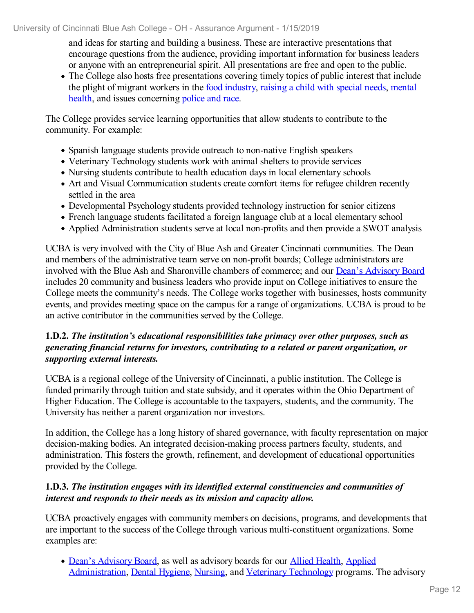and ideas for starting and building a business. These are interactive presentations that encourage questions from the audience, providing important information for business leaders or anyone with an entrepreneurial spirit. All presentations are free and open to the public.

The College also hosts free presentations covering timely topics of public interest that include the plight of migrant workers in the food [industry](file:///D:/evidence/viewfile?fileId=624248), [raising](file:///D:/evidence/viewfile?fileId=624252) a child with special needs, mental health, and issues [concerning](file:///D:/evidence/viewfile?fileId=686143) [police](file:///D:/evidence/viewfile?fileId=624256) and race.

The College provides service learning opportunities that allow students to contribute to the community. For example:

- Spanish language students provide outreach to non-native English speakers
- Veterinary Technology students work with animal shelters to provide services
- Nursing students contribute to health education days in local elementary schools
- Art and Visual Communication students create comfort items for refugee children recently settled in the area
- Developmental Psychology students provided technology instruction for senior citizens
- French language students facilitated a foreign language club at a local elementary school
- Applied Administration students serve at local non-profits and then provide a SWOT analysis

UCBA is very involved with the City of Blue Ash and Greater Cincinnati communities. The Dean and members of the administrative team serve on non-profit boards; College administrators are involved with the Blue Ash and Sharonville chambers of commerce; and our Dean's [Advisory](file:///D:/evidence/viewfile?fileid=624241) Board includes 20 community and business leaders who provide input on College initiatives to ensure the College meets the community's needs. The College works together with businesses, hosts community events, and provides meeting space on the campus for a range of organizations. UCBA is proud to be an active contributor in the communities served by the College.

#### **1.D.2.** *The institution's educational responsibilities take primacy over other purposes, such as generating financial returns for investors, contributing to a related or parent organization, or supporting external interests.*

UCBA is a regional college of the University of Cincinnati, a public institution. The College is funded primarily through tuition and state subsidy, and it operates within the Ohio Department of Higher Education. The College is accountable to the taxpayers, students, and the community. The University has neither a parent organization nor investors.

In addition, the College has a long history of shared governance, with faculty representation on major decision-making bodies. An integrated decision-making process partners faculty, students, and administration. This fosters the growth, refinement, and development of educational opportunities provided by the College.

#### **1.D.3.** *The institution engages with its identified external constituencies and communities of interest and responds to their needs as its mission and capacity allow.*

UCBA proactively engages with community members on decisions, programs, and developments that are important to the success of the College through various multi-constituent organizations. Some examples are:

• Dean's [Advisory](file:///D:/evidence/viewfile?fileId=624234) [Board](file:///D:/evidence/viewfile?fileId=624241), as well as advisory boards for our Allied [Health](file:///D:/evidence/viewfile?fileId=624235), Applied [Administration,](file:///D:/evidence/viewfile?fileId=624237) Dental [Hygiene](file:///D:/evidence/viewfile?fileId=624236), [Nursing,](file:///D:/evidence/viewfile?fileId=624247) and Veterinary [Technology](file:///D:/evidence/viewfile?fileId=624251) programs. The advisory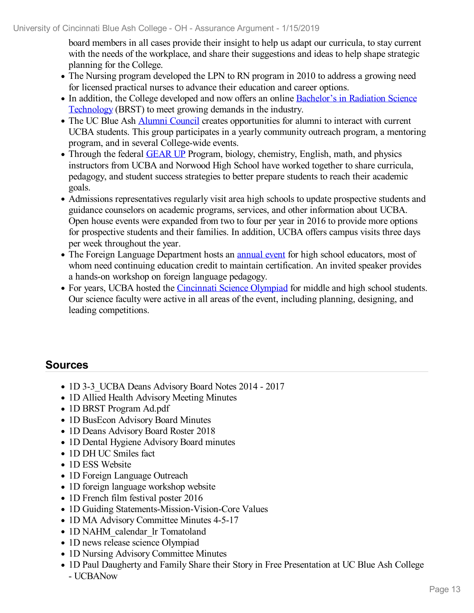board members in all cases provide their insight to help us adapt our curricula, to stay current with the needs of the workplace, and share their suggestions and ideas to help shape strategic planning for the College.

- The Nursing program developed the LPN to RN program in 2010 to address a growing need for licensed practical nurses to advance their education and career options.
- In addition, the College developed and now offers an online Bachelor's in Radiation Science [Technology](file:///D:/evidence/viewfile?fileId=624255) (BRST) to meet growing demands in the industry.
- The UC Blue Ash Alumni [Council](file:///D:/evidence/viewfile?fileId=624258) creates opportunities for alumni to interact with current UCBA students. This group participates in a yearly community outreach program, a mentoring program, and in several College-wide events.
- Through the federal [GEAR](file:///D:/evidence/viewfile?fileId=624253) UP Program, biology, chemistry, English, math, and physics instructors from UCBA and Norwood High School have worked together to share curricula, pedagogy, and student success strategies to better prepare students to reach their academic goals.
- Admissions representatives regularly visit area high schools to update prospective students and guidance counselors on academic programs, services, and other information about UCBA. Open house events were expanded from two to four per year in 2016 to provide more options for prospective students and their families. In addition, UCBA offers campus visits three days per week throughout the year.
- The Foreign Language Department hosts an [annual](file:///D:/evidence/viewfile?fileid=624238) event for high school educators, most of whom need continuing education credit to maintain certification. An invited speaker provides a hands-on workshop on foreign language pedagogy.
- For years, UCBA hosted the *[Cincinnati](file:///D:/evidence/viewfile?fileid=624245) Science Olympiad* for middle and high school students. Our science faculty were active in all areas of the event, including planning, designing, and leading competitions.

- 1D 3-3 UCBA Deans Advisory Board Notes 2014 2017
- 1D Allied Health Advisory Meeting Minutes
- 1D BRST Program Ad.pdf
- 1D BusEcon Advisory Board Minutes
- 1D Deans Advisory Board Roster 2018
- 1D Dental Hygiene Advisory Board minutes
- 1D DH UC Smiles fact
- 1D ESS Website
- 1D Foreign Language Outreach
- 1D foreign language workshop website
- 1D French film festival poster 2016
- 1D Guiding Statements-Mission-Vision-Core Values
- 1D MA Advisory Committee Minutes 4-5-17
- 1D NAHM\_calendar\_lr Tomatoland
- 1D news release science Olympiad
- 1D Nursing Advisory Committee Minutes
- 1D Paul Daugherty and Family Share their Story in Free Presentation at UC Blue Ash College - UCBANow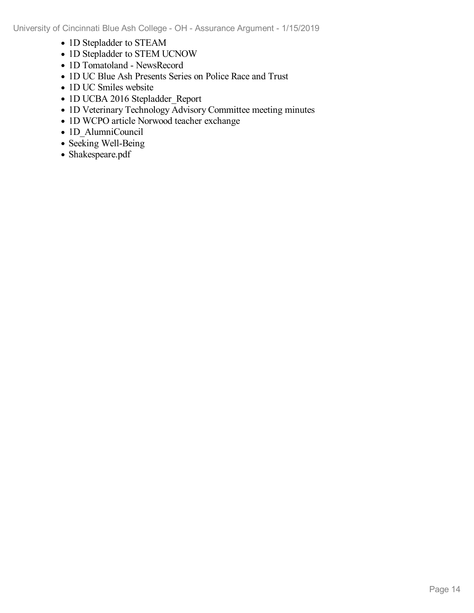- 1D Stepladder to STEAM
- 1D Stepladder to STEM UCNOW
- 1D Tomatoland NewsRecord
- 1D UC Blue Ash Presents Series on Police Race and Trust
- 1D UC Smiles website
- 1D UCBA 2016 Stepladder Report
- 1D Veterinary Technology Advisory Committee meeting minutes
- 1D WCPO article Norwood teacher exchange
- 1D AlumniCouncil
- Seeking Well-Being
- Shakespeare.pdf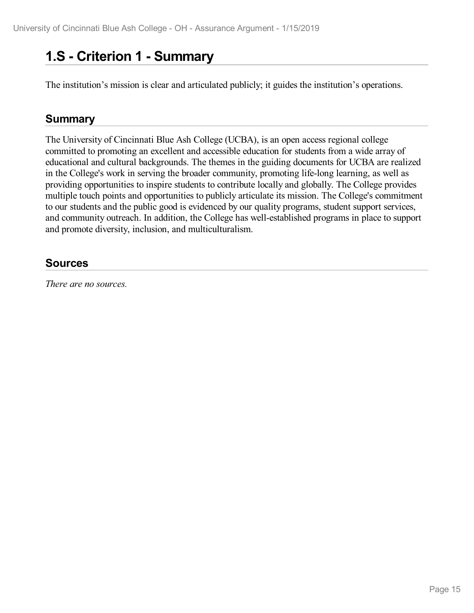# **1.S - Criterion 1 -Summary**

The institution's mission is clear and articulated publicly; it guides the institution's operations.

### **Summary**

The University of Cincinnati Blue Ash College (UCBA), is an open access regional college committed to promoting an excellent and accessible education for students from a wide array of educational and cultural backgrounds. The themes in the guiding documents for UCBA are realized in the College's work in serving the broader community, promoting life-long learning, as well as providing opportunities to inspire students to contribute locally and globally. The College provides multiple touch points and opportunities to publicly articulate its mission. The College's commitment to our students and the public good is evidenced by our quality programs, student support services, and community outreach. In addition, the College has well-established programs in place to support and promote diversity, inclusion, and multiculturalism.

### **Sources**

*There are no sources.*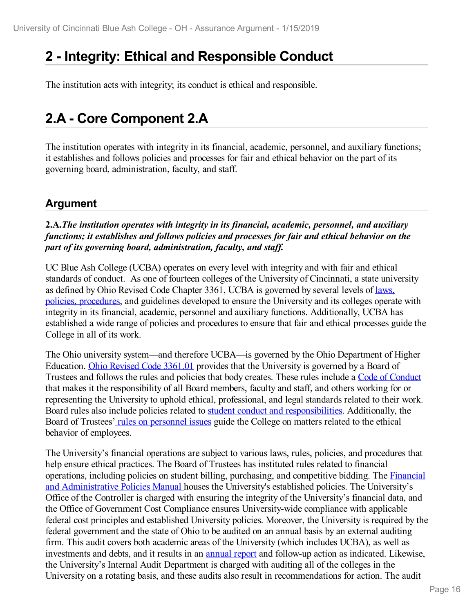# **2 -Integrity: Ethical and Responsible Conduct**

The institution acts with integrity; its conduct is ethical and responsible.

# **2.A - Core Component 2.A**

The institution operates with integrity in its financial, academic, personnel, and auxiliary functions; it establishes and follows policies and processes for fair and ethical behavior on the part of its governing board, administration, faculty, and staff.

### **Argument**

**2.A.***The institution operates with integrity in its financial, academic, personnel, and auxiliary functions; it establishes and follows policies and processes for fair and ethical behavior on the part of its governing board, administration, faculty, and staff.* 

UC Blue Ash College (UCBA) operates on every level with integrity and with fair and ethical standards of conduct. As one of fourteen colleges of the University of Cincinnati, a state university as defined by Ohio Revised Code Chapter 3361, UCBA is governed by several levels of laws, policies, [procedures,](file:///D:/evidence/viewfile?fileId=629658) and guidelines developed to ensure the University and its colleges operate with integrity in its financial, academic, personnel and auxiliary functions. Additionally, UCBA has established a wide range of policies and procedures to ensure that fair and ethical processes guide the College in all of its work.

The Ohio university system—and therefore UCBA—is governed by the Ohio Department of Higher Education. Ohio Revised Code [3361.01](file:///D:/evidence/viewfile?fileId=629728) provides that the University is governed by a Board of Trustees and follows the rules and policies that body creates. These rules include a Code of [Conduct](file:///D:/evidence/viewfile?fileId=629731) that makes it the responsibility of all Board members, faculty and staff, and others working for or representing the University to uphold ethical, professional, and legal standards related to their work. Board rules also include policies related to student conduct and [responsibilities](file:///D:/evidence/viewfile?fileId=653957). Additionally, the Board of Trustees' rules on [personnel](file:///D:/evidence/viewfile?fileId=629729) issues guide the College on matters related to the ethical behavior of employees.

The University's financial operations are subject to various laws, rules, policies, and procedures that help ensure ethical practices. The Board of Trustees has instituted rules related to financial operations, including policies on student billing, purchasing, and competitive bidding. The Financial and [Administrative](file:///D:/evidence/viewfile?fileId=653961) Policies Manual houses the University's established policies. The University's Office of the Controller is charged with ensuring the integrity of the University's financial data, and the Office of Government Cost Compliance ensures University-wide compliance with applicable federal cost principles and established University policies. Moreover, the University is required by the federal government and the state of Ohio to be audited on an annual basis by an external auditing firm. This audit covers both academic areas of the University (which includes UCBA), as well as investments and debts, and it results in an [annual](file:///D:/evidence/viewfile?fileId=653969) report and follow-up action as indicated. Likewise, the University's Internal Audit Department is charged with auditing all of the colleges in the University on a rotating basis, and these audits also result in recommendations for action. The audit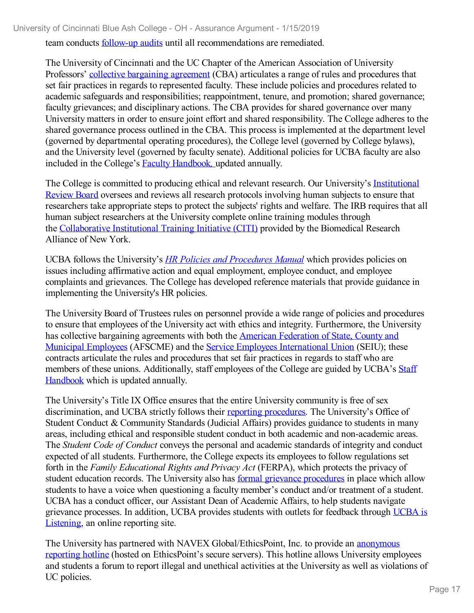team conducts [follow-up](file:///D:/evidence/viewfile?fileId=653973) audits until all recommendations are remediated.

The University of Cincinnati and the UC Chapter of the American Association of University Professors' collective [bargaining](file:///D:/evidence/viewfile?fileId=653959) agreement (CBA) articulates a range of rules and procedures that set fair practices in regards to represented faculty. These include policies and procedures related to academic safeguards and responsibilities; reappointment, tenure, and promotion; shared governance; faculty grievances; and disciplinary actions. The CBA provides for shared governance over many University matters in order to ensure joint effort and shared responsibility. The College adheres to the shared governance process outlined in the CBA. This process is implemented at the department level (governed by departmental operating procedures), the College level (governed by College bylaws), and the University level (governed by faculty senate). Additional policies for UCBA faculty are also included in the College's Faculty [Handbook](https://ucblueash.edu/resources/faculty-staff/handbook.html)*,* updated annually.

The College is committed to producing ethical and relevant research. Our [University's](file:///D:/evidence/viewfile?fileId=653963) Institutional Review Board oversees and reviews all research protocols involving human subjects to ensure that researchers take appropriate steps to protect the subjects' rights and welfare. The IRB requires that all human subject researchers at the University complete online training modules through the [Collaborative](file:///D:/evidence/viewfile?fileId=703886) Institutional Training Initiative (CITI) provided by the Biomedical Research Alliance of New York.

UCBA follows the University's *HR Policies and [Procedures](file:///D:/evidence/viewfile?fileId=653960) Manual* which provides policies on issues including affirmative action and equal employment, employee conduct, and employee complaints and grievances. The College has developed reference materials that provide guidance in implementing the University's HR policies.

The University Board of Trustees rules on personnel provide a wide range of policies and procedures to ensure that employees of the University act with ethics and integrity. Furthermore, the University has collective bargaining agreements with both the American Federation of State, County and Municipal Employees (AFSCME) and the Service Employees [International](file:///D:/evidence/viewfile?fileId=653958) Union (SEIU); these contracts articulate the rules and procedures that set fair practices in regards to staff who are members of these unions. [Additionally,](file:///D:/evidence/viewfile?fileId=653976) staff employees of the College are guided by UCBA's Staff Handbook which is updated annually.

The University's Title IX Office ensures that the entire University community is free of sex discrimination, and UCBA strictly follows their reporting [procedures](file:///D:/evidence/viewfile?fileId=653968). The University's Office of Student Conduct & Community Standards (Judicial Affairs) provides guidance to students in many areas, including ethical and responsible student conduct in both academic and non-academic areas. The *Student Code of Conduct* conveys the personal and academic standards of integrity and conduct expected of all students. Furthermore, the College expects its employees to follow regulations set forth in the *Family Educational Rights and Privacy Act* (FERPA), which protects the privacy of student education records. The University also has formal grievance [procedures](file:///D:/evidence/viewfile?fileId=653977) in place which allow students to have a voice when questioning a faculty member's conduct and/or treatment of a student. UCBA has a conduct officer, our Assistant Dean of Academic Affairs, to help students navigate grievance [processes.](file:///D:/evidence/viewfile?fileId=653966) In addition, UCBA provides students with outlets for feedback through UCBA is Listening, an online reporting site.

The University has partnered with NAVEX [Global/EthicsPoint,](file:///D:/evidence/viewfile?fileId=653956) Inc. to provide an anonymous reporting hotline (hosted on EthicsPoint's secure servers). This hotline allows University employees and students a forum to report illegal and unethical activities at the University as well as violations of UC policies.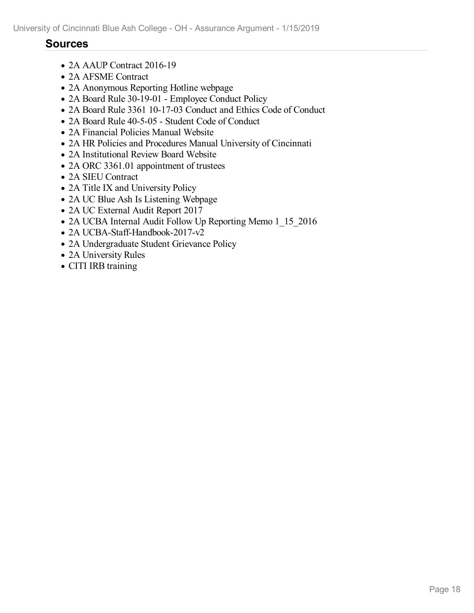- 2A AAUP Contract 2016-19
- 2A AFSME Contract
- 2A Anonymous Reporting Hotline webpage
- 2A Board Rule 30-19-01 Employee Conduct Policy
- 2A Board Rule 3361 10-17-03 Conduct and Ethics Code of Conduct
- 2A Board Rule 40-5-05 Student Code of Conduct
- 2A Financial Policies Manual Website
- 2A HR Policies and Procedures Manual University of Cincinnati
- 2A Institutional Review Board Website
- 2A ORC 3361.01 appointment of trustees
- 2A SIEU Contract
- 2A Title IX and University Policy
- 2A UC Blue Ash Is Listening Webpage
- 2A UC External Audit Report 2017
- 2A UCBA Internal Audit Follow Up Reporting Memo 1 15 2016
- 2A UCBA-Staff-Handbook-2017-v2
- 2A Undergraduate Student Grievance Policy
- 2A University Rules
- CITI IRB training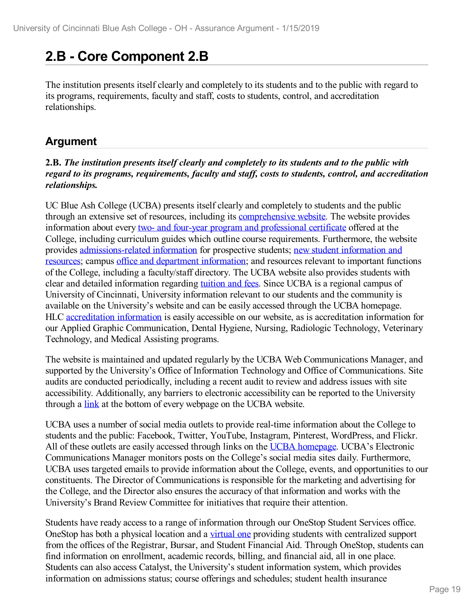# **2.B - Core Component 2.B**

The institution presents itself clearly and completely to its students and to the public with regard to its programs, requirements, faculty and staff, costs to students, control, and accreditation relationships.

## **Argument**

#### **2.B.** *The institution presents itself clearly and completely to its students and to the public with regard to its programs, requirements, faculty and staf , costs to students, control, and accreditation relationships.*

UC Blue Ash College (UCBA) presents itself clearly and completely to students and the public through an extensive set of resources, including its [comprehensive](file:///D:/evidence/viewfile?fileId=653995) website. The website provides information about every two- and four-year program and [professional](file:///D:/evidence/viewfile?fileId=653983) certificate offered at the College, including curriculum guides which outline course requirements. Furthermore, the website provides [admissions-related](file:///D:/evidence/viewfile?fileId=653990) information for prospective students; new student information and resources; campus office and department [information;](file:///D:/evidence/viewfile?fileId=653987) and resources relevant to important functions of the College, including a faculty/staff directory. The UCBA website also provides students with clear and detailed information regarding [tuition](file:///D:/evidence/viewfile?fileId=653992) and fees. Since UCBA is a regional campus of University of Cincinnati, University information relevant to our students and the community is available on the University's website and can be easily accessed through the UCBA homepage. HLC [accreditation](file:///D:/evidence/viewfile?fileId=653994) information is easily accessible on our website, as is accreditation information for our Applied Graphic Communication, Dental Hygiene, Nursing, Radiologic Technology, Veterinary Technology, and Medical Assisting programs.

The website is maintained and updated regularly by the UCBA Web Communications Manager, and supported by the University's Office of Information Technology and Office of Communications. Site audits are conducted periodically, including a recent audit to review and address issues with site accessibility. Additionally, any barriers to electronic accessibility can be reported to the University through a [link](file:///D:/evidence/viewfile?fileid=653980) at the bottom of every webpage on the UCBA website.

UCBA uses a number of social media outlets to provide real-time information about the College to students and the public: Facebook, Twitter, YouTube, Instagram, Pinterest, WordPress, and Flickr. All of these outlets are easily accessed through links on the UCBA [homepage](file:///D:/evidence/viewfile?fileid=653995). UCBA's Electronic Communications Manager monitors posts on the College's social media sites daily. Furthermore, UCBA uses targeted emails to provide information about the College, events, and opportunities to our constituents. The Director of Communications is responsible for the marketing and advertising for the College, and the Director also ensures the accuracy of that information and works with the University's Brand Review Committee for initiatives that require their attention.

Students have ready access to a range of information through our OneStop Student Services office. OneStop has both a physical location and a [virtual](file:///D:/evidence/viewfile?fileId=653989) one providing students with centralized support from the offices of the Registrar, Bursar, and Student Financial Aid. Through OneStop, students can find information on enrollment, academic records, billing, and financial aid, all in one place. Students can also access Catalyst, the University's student information system, which provides information on admissions status; course offerings and schedules; student health insurance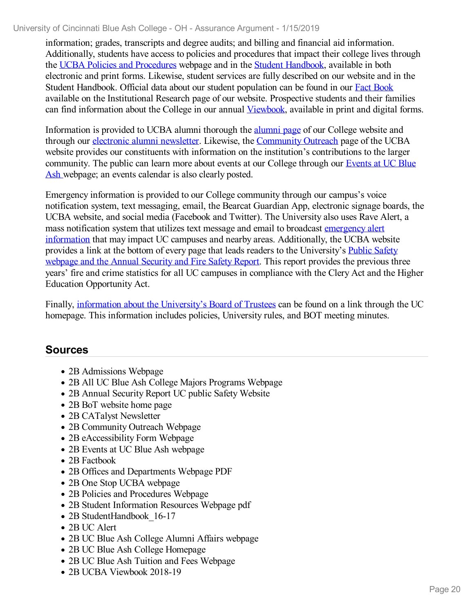information; grades, transcripts and degree audits; and billing and financial aid information. Additionally, students have access to policies and procedures that impact their college lives through the UCBA Policies and [Procedures](file:///D:/evidence/viewfile?fileId=653986) webpage and in the Student [Handbook](file:///D:/evidence/viewfile?fileId=653996), available in both electronic and print forms. Likewise, student services are fully described on our website and in the Student Handbook. Official data about our student population can be found in our Fact [Book](file:///D:/evidence/viewfile?fileId=653991) available on the Institutional Research page of our website. Prospective students and their families can find information about the College in our annual [Viewbook](file:///D:/evidence/viewfile?fileId=653997), available in print and digital forms.

Information is provided to UCBA alumni thorough the [alumni](file:///D:/evidence/viewfile?fileId=653993) page of our College website and through our electronic alumni [newsletter](file:///D:/evidence/viewfile?fileId=694671). Likewise, the [Community](file:///D:/evidence/viewfile?fileId=653982) Outreach page of the UCBA website provides our constituents with information on the institution's contributions to the larger [community.](file:///D:/evidence/viewfile?fileId=653985) The public can learn more about events at our College through our Events at UC Blue Ash webpage; an events calendar is also clearly posted.

Emergency information is provided to our College community through our campus's voice notification system, text messaging, email, the Bearcat Guardian App, electronic signage boards, the UCBA website, and social media (Facebook and Twitter). The University also uses Rave Alert, a mass notification system that utilizes text message and email to broadcast emergency alert information that may impact UC campuses and nearby areas. [Additionally,](file:///D:/evidence/viewfile?fileId=653988) the UCBA website provides a link at the bottom of every page that leads readers to the [University's](file:///D:/evidence/viewfile?fileId=653981) Public Safety webpage and the Annual Security and Fire Safety Report. This report provides the previous three years' fire and crime statistics for all UC campuses in compliance with the Clery Act and the Higher Education Opportunity Act.

Finally, information about the [University's](file:///D:/evidence/viewfile?fileId=653979) Board of Trustees can be found on a link through the UC homepage. This information includes policies, University rules, and BOT meeting minutes.

- 2B Admissions Webpage
- 2B All UC Blue Ash College Majors Programs Webpage
- 2B Annual Security Report UC public Safety Website
- 2B BoT website home page
- 2B CATalyst Newsletter
- 2B Community Outreach Webpage
- 2B eAccessibility Form Webpage
- 2B Events at UC Blue Ash webpage
- 2B Factbook
- 2B Offices and Departments Webpage PDF
- 2B One Stop UCBA webpage
- 2B Policies and Procedures Webpage
- 2B Student Information Resources Webpage pdf
- 2B StudentHandbook 16-17
- 2B UC Alert
- 2B UC Blue Ash College Alumni Affairs webpage
- 2B UC Blue Ash College Homepage
- 2B UC Blue Ash Tuition and Fees Webpage
- 2B UCBA Viewbook 2018-19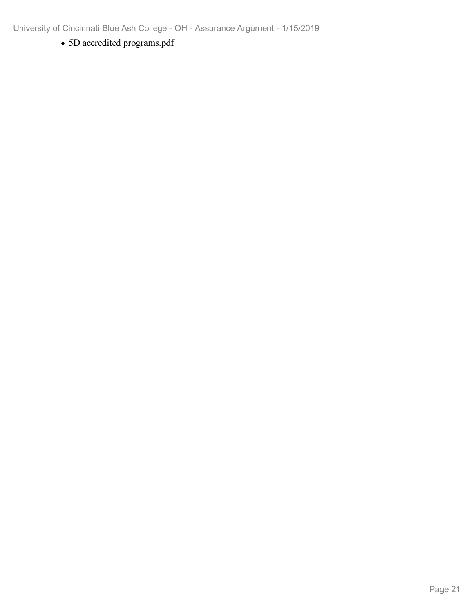5D accredited programs.pdf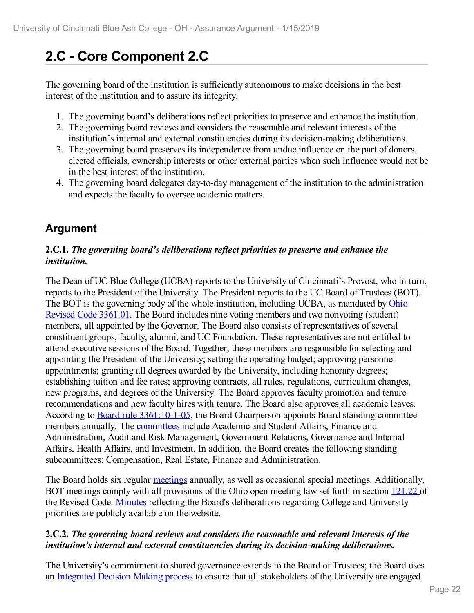# **2.C - Core Component 2.C**

The governing board of the institution is sufficiently autonomous to make decisions in the best interest of the institution and to assure its integrity.

- 1. The governing board's deliberations reflect priorities to preserve and enhance the institution.
- 2. The governing board reviews and considers the reasonable and relevant interests of the institution's internal and external constituencies during its decision-making deliberations.
- 3. The governing board preserves its independence from undue influence on the part of donors, elected officials, ownership interests or other external parties when such influence would not be in the best interest of the institution.
- 4. The governing board delegates day-to-day management of the institution to the administration and expects the faculty to oversee academic matters.

### **Argument**

#### **2.C.1.** *The governing board's deliberations reflect priorities to preserve and enhance the institution.*

The Dean of UC Blue College (UCBA) reports to the University of Cincinnati's Provost, who in turn, reports to the President of the University. The President reports to the UC Board of Trustees (BOT). The BOT is the governing body of the whole [institution,](file:///D:/evidence/viewfile?fileId=654037) including UCBA, as mandated by Ohio Revised Code 3361.01. The Board includes nine voting members and two nonvoting (student) members, all appointed by the Governor. The Board also consists of representatives of several constituent groups, faculty, alumni, and UC Foundation. These representatives are not entitled to attend executive sessions of the Board. Together, these members are responsible for selecting and appointing the President of the University; setting the operating budget; approving personnel appointments; granting all degrees awarded by the University, including honorary degrees; establishing tuition and fee rates; approving contracts, all rules, regulations, curriculum changes, new programs, and degrees of the University. The Board approves faculty promotion and tenure recommendations and new faculty hires with tenure. The Board also approves all academic leaves. According to Board rule [3361:10-1-05,](file:///D:/evidence/viewfile?fileId=654025) the Board Chairperson appoints Board standing committee members annually. The [committees](file:///D:/evidence/viewfile?fileId=654028) include Academic and Student Affairs, Finance and Administration, Audit and Risk Management, Government Relations, Governance and Internal Affairs, Health Affairs, and Investment. In addition, the Board creates the following standing subcommittees: Compensation, Real Estate, Finance and Administration.

The Board holds six regular [meetings](file:///D:/evidence/viewfile?fileId=654027) annually, as well as occasional special meetings. Additionally, BOT meetings comply with all provisions of the Ohio open meeting law set forth in section [121.22](file:///D:/evidence/viewfile?fileId=654033) of the Revised Code. [Minutes](file:///D:/evidence/viewfile?fileId=654026) reflecting the Board's deliberations regarding College and University priorities are publicly available on the website.

#### **2.C.2.** *The governing board reviews and considers the reasonable and relevant interests of the institution's internal and external constituencies during its decision-making deliberations.*

The University's commitment to shared governance extends to the Board of Trustees; the Board uses an [Integrated](file:///D:/evidence/viewfile?fileId=654030) Decision Making process to ensure that all stakeholders of the University are engaged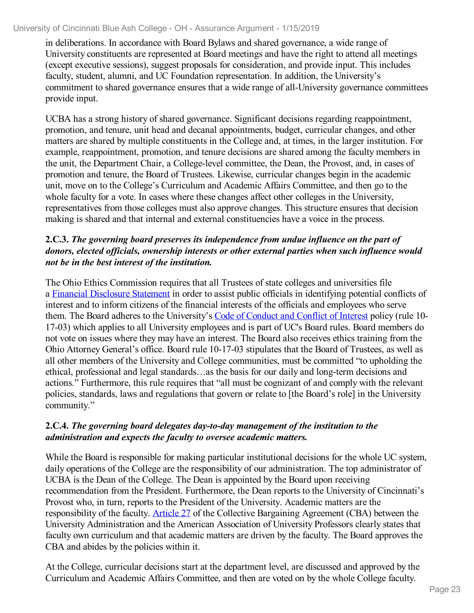in deliberations. In accordance with Board Bylaws and shared governance, a wide range of University constituents are represented at Board meetings and have the right to attend all meetings (except executive sessions), suggest proposals for consideration, and provide input. This includes faculty, student, alumni, and UC Foundation representation. In addition, the University's commitment to shared governance ensures that a wide range of all-University governance committees provide input.

UCBA has a strong history of shared governance. Significant decisions regarding reappointment, promotion, and tenure, unit head and decanal appointments, budget, curricular changes, and other matters are shared by multiple constituents in the College and, at times, in the larger institution. For example, reappointment, promotion, and tenure decisions are shared among the faculty members in the unit, the Department Chair, a College-level committee, the Dean, the Provost, and, in cases of promotion and tenure, the Board of Trustees. Likewise, curricular changes begin in the academic unit, move on to the College's Curriculum and Academic Affairs Committee, and then go to the whole faculty for a vote. In cases where these changes affect other colleges in the University, representatives from those colleges must also approve changes. This structure ensures that decision making is shared and that internal and external constituencies have a voice in the process.

#### **2.C.3.** *The governing board preserves its independence from undue influence on the part of donors, elected of icials, ownership interests or other external parties when such influence would not be in the best interest of the institution.*

The Ohio Ethics Commission requires that all Trustees of state colleges and universities file a Financial [Disclosure](file:///D:/evidence/viewfile?fileId=654029) Statement in order to assist public officials in identifying potential conflicts of interest and to inform citizens of the financial interests of the officials and employees who serve them. The Board adheres to the University's Code of [Conduct](file:///D:/evidence/viewfile?fileId=654034) and Conflict of Interest policy (rule 10- 17-03) which applies to all University employees and is part of UC's Board rules. Board members do not vote on issues where they may have an interest. The Board also receives ethics training from the Ohio Attorney General's office. Board rule 10-17-03 stipulates that the Board of Trustees, as well as all other members of the University and College communities, must be committed "to upholding the ethical, professional and legal standards…as the basis for our daily and long-term decisions and actions." Furthermore, this rule requires that "all must be cognizant of and comply with the relevant policies, standards, laws and regulations that govern or relate to [the Board's role] in the University community."

#### **2.C.4.** *The governing board delegates day-to-day management of the institution to the administration and expects the faculty to oversee academic matters.*

While the Board is responsible for making particular institutional decisions for the whole UC system, daily operations of the College are the responsibility of our administration. The top administrator of UCBA is the Dean of the College. The Dean is appointed by the Board upon receiving recommendation from the President. Furthermore, the Dean reports to the University of Cincinnati's Provost who, in turn, reports to the President of the University. Academic matters are the responsibility of the faculty. [Article](file:///D:/evidence/viewfile?fileId=654024) 27 of the Collective Bargaining Agreement (CBA) between the University Administration and the American Association of University Professors clearly states that faculty own curriculum and that academic matters are driven by the faculty. The Board approves the CBA and abides by the policies within it.

At the College, curricular decisions start at the department level, are discussed and approved by the Curriculum and Academic Affairs Committee, and then are voted on by the whole College faculty.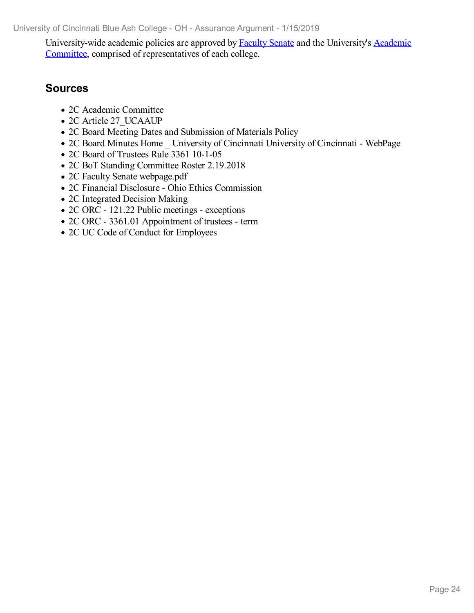[University-wide](file:///D:/evidence/viewfile?fileId=654022) academic policies are approved by [Faculty](file:///D:/evidence/viewfile?fileId=654032) Senate and the University's Academic Committee, comprised of representatives of each college.

- 2C Academic Committee
- 2C Article 27 UCAAUP
- 2C Board Meeting Dates and Submission of Materials Policy
- 2C Board Minutes Home University of Cincinnati University of Cincinnati WebPage
- 2C Board of Trustees Rule 3361 10-1-05
- 2C BoT Standing Committee Roster 2.19.2018
- 2C Faculty Senate webpage.pdf
- 2C Financial Disclosure Ohio Ethics Commission
- 2C Integrated Decision Making
- 2C ORC 121.22 Public meetings exceptions
- 2C ORC 3361.01 Appointment of trustees term
- 2C UC Code of Conduct for Employees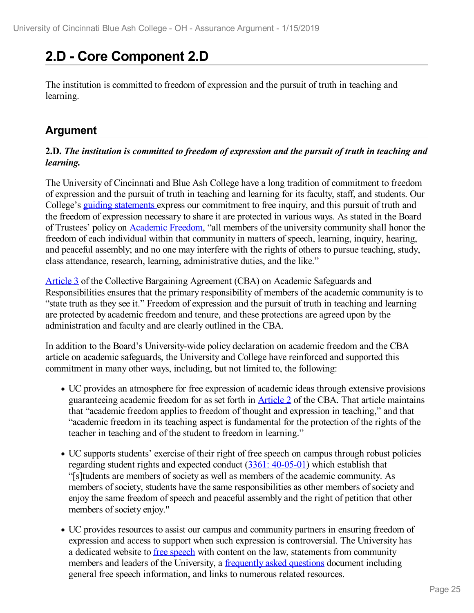# **2.D - Core Component 2.D**

The institution is committed to freedom of expression and the pursuit of truth in teaching and learning.

# **Argument**

#### **2.D.** *The institution is committed to freedom ofexpression and the pursuit of truth in teaching and learning.*

The University of Cincinnati and Blue Ash College have a long tradition of commitment to freedom of expression and the pursuit of truth in teaching and learning for its faculty, staff, and students. Our College's guiding [statements](file:///D:/evidence/viewfile?fileId=654044) express our commitment to free inquiry, and this pursuit of truth and the freedom of expression necessary to share it are protected in various ways. As stated in the Board of Trustees' policy on [Academic](file:///D:/evidence/viewfile?fileId=654038) Freedom, "all members of the university community shall honor the freedom of each individual within that community in matters of speech, learning, inquiry, hearing, and peaceful assembly; and no one may interfere with the rights of others to pursue teaching, study, class attendance, research, learning, administrative duties, and the like."

[Article](file:///D:/evidence/viewfile?fileId=654041) 3 of the Collective Bargaining Agreement (CBA) on Academic Safeguards and Responsibilities ensures that the primary responsibility of members of the academic community is to "state truth as they see it." Freedom of expression and the pursuit of truth in teaching and learning are protected by academic freedom and tenure, and these protections are agreed upon by the administration and faculty and are clearly outlined in the CBA.

In addition to the Board's University-wide policy declaration on academic freedom and the CBA article on academic safeguards, the University and College have reinforced and supported this commitment in many other ways, including, but not limited to, the following:

- UC provides an atmosphere for free expression of academic ideas through extensive provisions guaranteeing academic freedom for as set forth in [Article](file:///D:/evidence/viewfile?fileId=654040) 2 of the CBA. That article maintains that "academic freedom applies to freedom of thought and expression in teaching," and that "academic freedom in its teaching aspect is fundamental for the protection of the rights of the teacher in teaching and of the student to freedom in learning."
- UC supports students' exercise of their right of free speech on campus through robust policies regarding student rights and expected conduct (3361: [40-05-01](file:///D:/evidence/viewfile?fileId=654039)) which establish that "[s]tudents are members of society as well as members of the academic community. As members of society, students have the same responsibilities as other members of society and enjoy the same freedom of speech and peaceful assembly and the right of petition that other members of society enjoy."
- UC provides resources to assist our campus and community partners in ensuring freedom of expression and access to support when such expression is controversial. The University has a dedicated website to free [speech](file:///D:/evidence/viewfile?fileId=654042) with content on the law, statements from community members and leaders of the University, a [frequently](file:///D:/evidence/viewfile?fileId=654046) asked questions document including general free speech information, and links to numerous related resources.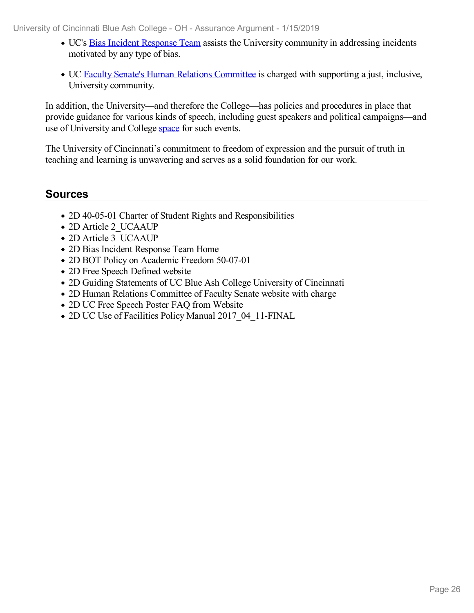- UC's Bias Incident [Response](file:///D:/evidence/viewfile?fileId=654043) Team assists the University community in addressing incidents motivated by any type of bias.
- UC Faculty Senate's Human Relations [Committee](file:///D:/evidence/viewfile?fileId=654045) is charged with supporting a just, inclusive, University community.

In addition, the University—and therefore the College—has policies and procedures in place that provide guidance for various kinds of speech, including guest speakers and political campaigns—and use of University and College [space](file:///D:/evidence/viewfile?fileId=654048) for such events.

The University of Cincinnati's commitment to freedom of expression and the pursuit of truth in teaching and learning is unwavering and serves as a solid foundation for our work.

- 2D 40-05-01 Charter of Student Rights and Responsibilities
- 2D Article 2 UCAAUP
- 2D Article 3 UCAAUP
- 2D Bias Incident Response Team Home
- 2D BOT Policy on Academic Freedom 50-07-01
- 2D Free Speech Defined website
- 2D Guiding Statements of UC Blue Ash College University of Cincinnati
- 2D Human Relations Committee of Faculty Senate website with charge
- 2D UC Free Speech Poster FAQ from Website
- 2D UC Use of Facilities Policy Manual 2017 04 11-FINAL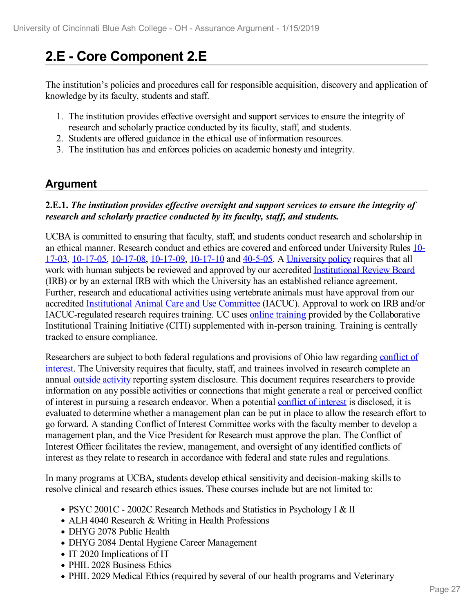# **2.E - Core Component 2.E**

The institution's policies and procedures call for responsible acquisition, discovery and application of knowledge by its faculty, students and staff.

- 1. The institution provides effective oversight and support services to ensure the integrity of research and scholarly practice conducted by its faculty, staff, and students.
- 2. Students are offered guidance in the ethical use of information resources.
- 3. The institution has and enforces policies on academic honesty and integrity.

### **Argument**

#### **2.E.1.** *The institution provides ef ective oversight and support services to ensure the integrity of research and scholarly practice conducted by its faculty, staf , and students.*

UCBA is committed to ensuring that faculty, staff, and students conduct research and scholarship in an ethical manner. Research conduct and ethics are covered and enforced under [University](file:///D:/evidence/viewfile?fileId=654055) Rules 10- 17-03, [10-17-05,](file:///D:/evidence/viewfile?fileId=654052) [10-17-08](file:///D:/evidence/viewfile?fileId=654053), [10-17-09](file:///D:/evidence/viewfile?fileId=654054), [10-17-10](file:///D:/evidence/viewfile?fileId=654051) and [40-5-05](file:///D:/evidence/viewfile?fileId=654056). A [University](file:///D:/evidence/viewfile?fileId=654065) policy requires that all work with human subjects be reviewed and approved by our accredited [Institutional](file:///D:/evidence/viewfile?fileId=654067) Review Board (IRB) or by an external IRB with which the University has an established reliance agreement. Further, research and educational activities using vertebrate animals must have approval from our accredited [Institutional](file:///D:/evidence/viewfile?fileid=654057) Animal Care and Use [Committee](file:///D:/evidence/viewfile?fileId=654057) (IACUC). Approval to work on IRB and/or IACUC-regulated research requires training. UC uses online [training](file:///D:/evidence/viewfile?fileId=654066) provided by the Collaborative Institutional Training Initiative (CITI) supplemented with in-person training. Training is centrally tracked to ensure compliance.

[Researchers](file:///D:/evidence/viewfile?fileId=654068) are subject to both federal regulations and provisions of Ohio law regarding conflict of interest. The University requires that faculty, staff, and trainees involved in research complete an annual outside [activity](file:///D:/evidence/viewfile?fileId=654069) reporting system disclosure. This document requires researchers to provide information on any possible activities or connections that might generate a real or perceived conflict of interest in pursuing a research endeavor. When a potential [conflict](file:///D:/evidence/viewfile?fileId=654063) of interest is disclosed, it is evaluated to determine whether a management plan can be put in place to allow the research effort to go forward. A standing Conflict of Interest Committee works with the faculty member to develop a management plan, and the Vice President for Research must approve the plan. The Conflict of Interest Officer facilitates the review, management, and oversight of any identified conflicts of interest as they relate to research in accordance with federal and state rules and regulations.

In many programs at UCBA, students develop ethical sensitivity and decision-making skills to resolve clinical and research ethics issues. These courses include but are not limited to:

- PSYC 2001C 2002C Research Methods and Statistics in Psychology I & II
- ALH 4040 Research & Writing in Health Professions
- DHYG 2078 Public Health
- DHYG 2084 Dental Hygiene Career Management
- IT 2020 Implications of IT
- PHIL 2028 Business Ethics
- PHIL 2029 Medical Ethics (required by several of our health programs and Veterinary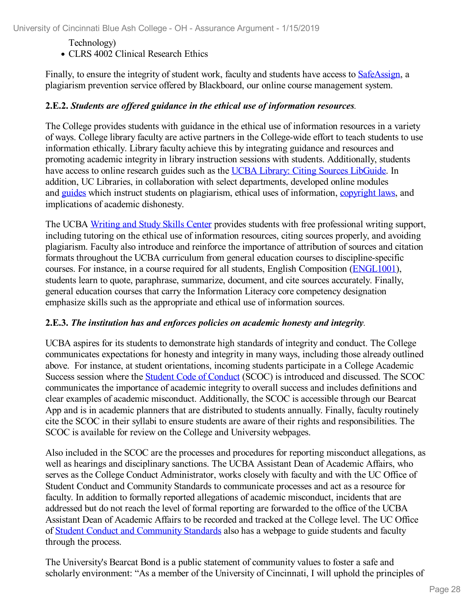### Technology)

CLRS 4002 Clinical Research Ethics

Finally, to ensure the integrity of student work, faculty and students have access to [SafeAssign](file:///D:/evidence/viewfile?fileId=654073), a plagiarism prevention service offered by Blackboard, our online course management system.

#### **2.E.2.** *Students are of ered guidance in the ethical use of information resources.*

The College provides students with guidance in the ethical use of information resources in a variety of ways. College library faculty are active partners in the College-wide effort to teach students to use information ethically. Library faculty achieve this by integrating guidance and resources and promoting academic integrity in library instruction sessions with students. Additionally, students have access to online research guides such as the UCBA Library: Citing Sources [LibGuide](file:///D:/evidence/viewfile?fileId=654062). In addition, UC Libraries, in collaboration with select departments, developed online modules and [guides](file:///D:/evidence/viewfile?fileId=654059) which instruct students on plagiarism, ethical uses of information, [copyright](file:///D:/evidence/viewfile?fileId=654061) laws, and implications of academic dishonesty.

The UCBA [Writing](file:///D:/evidence/viewfile?fileId=654072) and Study Skills Center provides students with free professional writing support, including tutoring on the ethical use of information resources, citing sources properly, and avoiding plagiarism. Faculty also introduce and reinforce the importance of attribution of sources and citation formats throughout the UCBA curriculum from general education courses to discipline-specific courses. For instance, in a course required for all students, English Composition [\(ENGL1001\)](file:///D:/evidence/viewfile?fileId=654064), students learn to quote, paraphrase, summarize, document, and cite sources accurately. Finally, general education courses that carry the Information Literacy core competency designation emphasize skills such as the appropriate and ethical use of information sources.

#### **2.E.3.** *The institution has and enforces policies on academic honesty and integrity.*

UCBA aspires for its students to demonstrate high standards of integrity and conduct. The College communicates expectations for honesty and integrity in many ways, including those already outlined above. For instance, at student orientations, incoming students participate in a College Academic Success session where the Student Code of [Conduct](file:///D:/evidence/viewfile?fileId=654056) (SCOC) is introduced and discussed. The SCOC communicates the importance of academic integrity to overall success and includes definitions and clear examples of academic misconduct. Additionally, the SCOC is accessible through our Bearcat App and is in academic planners that are distributed to students annually. Finally, faculty routinely cite the SCOC in their syllabi to ensure students are aware of their rights and responsibilities. The SCOC is available for review on the College and University webpages.

Also included in the SCOC are the processes and procedures for reporting misconduct allegations, as well as hearings and disciplinary sanctions. The UCBA Assistant Dean of Academic Affairs, who serves as the College Conduct Administrator, works closely with faculty and with the UC Office of Student Conduct and Community Standards to communicate processes and act as a resource for faculty. In addition to formally reported allegations of academic misconduct, incidents that are addressed but do not reach the level of formal reporting are forwarded to the office of the UCBA Assistant Dean of Academic Affairs to be recorded and tracked at the College level. The UC Office of Student Conduct and [Community](file:///D:/evidence/viewfile?fileId=654058) Standards also has a webpage to guide students and faculty through the process.

The University's Bearcat Bond is a public statement of community values to foster a safe and scholarly environment: "As a member of the University of Cincinnati, I will uphold the principles of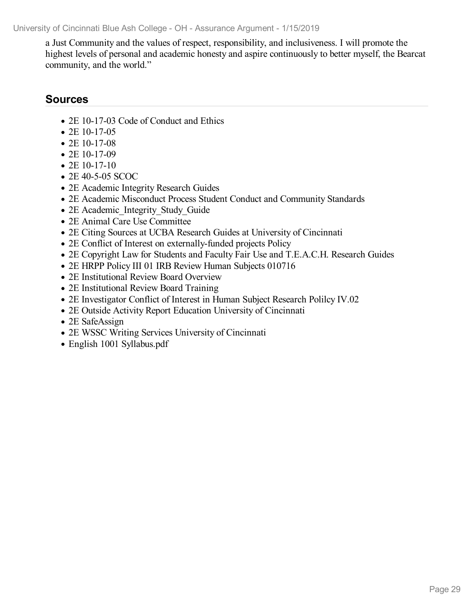a Just Community and the values of respect, responsibility, and inclusiveness. I will promote the highest levels of personal and academic honesty and aspire continuously to better myself, the Bearcat community, and the world."

- 2E 10-17-03 Code of Conduct and Ethics
- 2E 10-17-05
- 2E 10-17-08
- $\bullet$  2E 10-17-09
- $\bullet$  2E 10-17-10
- 2E 40-5-05 SCOC
- 2E Academic Integrity Research Guides
- 2E Academic Misconduct Process Student Conduct and Community Standards
- 2E Academic Integrity Study Guide
- 2E Animal Care Use Committee
- 2E Citing Sources at UCBA Research Guides at University of Cincinnati
- 2E Conflict of Interest on externally-funded projects Policy
- 2E Copyright Law for Students and Faculty Fair Use and T.E.A.C.H. Research Guides
- 2E HRPP Policy III 01 IRB Review Human Subjects 010716
- 2E Institutional Review Board Overview
- 2E Institutional Review Board Training
- 2E Investigator Conflict of Interest in Human Subject Research Polilcy IV.02
- 2E Outside Activity Report Education University of Cincinnati
- 2E SafeAssign
- 2E WSSC Writing Services University of Cincinnati
- English 1001 Syllabus.pdf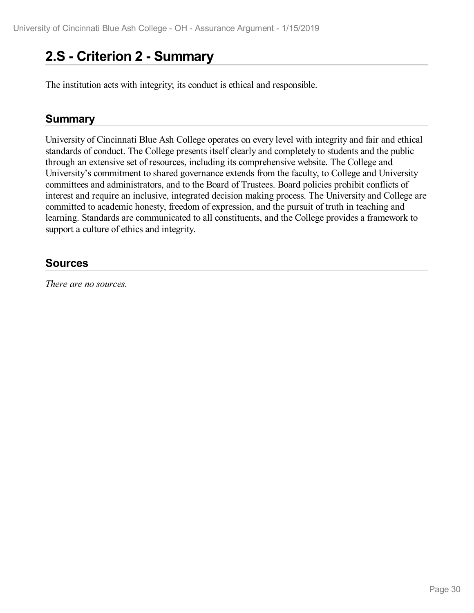# **2.S - Criterion 2 -Summary**

The institution acts with integrity; its conduct is ethical and responsible.

### **Summary**

University of Cincinnati Blue Ash College operates on every level with integrity and fair and ethical standards of conduct. The College presents itself clearly and completely to students and the public through an extensive set of resources, including its comprehensive website. The College and University's commitment to shared governance extends from the faculty, to College and University committees and administrators, and to the Board of Trustees. Board policies prohibit conflicts of interest and require an inclusive, integrated decision making process. The University and College are committed to academic honesty, freedom of expression, and the pursuit of truth in teaching and learning. Standards are communicated to all constituents, and the College provides a framework to support a culture of ethics and integrity.

### **Sources**

*There are no sources.*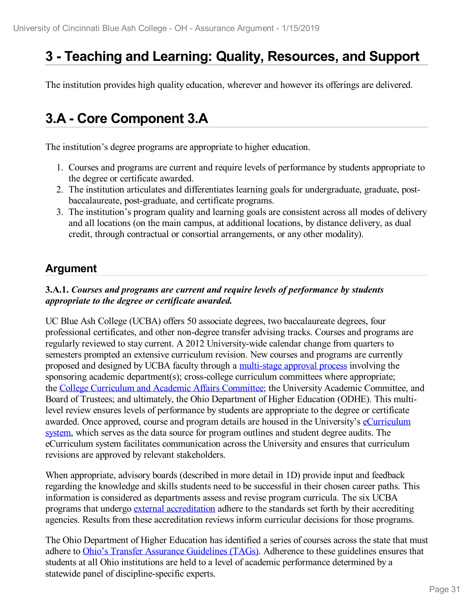# **3 -Teaching and Learning: Quality, Resources, and Support**

The institution provides high quality education, wherever and however its offerings are delivered.

# **3.A - Core Component 3.A**

The institution's degree programs are appropriate to higher education.

- 1. Courses and programs are current and require levels of performance by students appropriate to the degree or certificate awarded.
- 2. The institution articulates and differentiates learning goals for undergraduate, graduate, post baccalaureate, post-graduate, and certificate programs.
- 3. The institution's program quality and learning goals are consistent across all modes of delivery and all locations (on the main campus, at additional locations, by distance delivery, as dual credit, through contractual or consortial arrangements, or any other modality).

### **Argument**

#### **3.A.1.** *Courses and programs are current and require levels of performance by students appropriate to the degree or certificate awarded.*

UC Blue Ash College (UCBA) offers 50 associate degrees, two baccalaureate degrees, four professional certificates, and other non-degree transfer advising tracks. Courses and programs are regularly reviewed to stay current. A 2012 University-wide calendar change from quarters to semesters prompted an extensive curriculum revision. New courses and programs are currently proposed and designed by UCBA faculty through a [multi-stage](file:///D:/evidence/viewfile?fileId=656170) approval process involving the sponsoring academic department(s); cross-college curriculum committees where appropriate; the College [Curriculum](file:///D:/evidence/viewfile?fileId=678918) and Academic Affairs Committee; the University Academic Committee, and Board of Trustees; and ultimately, the Ohio Department of Higher Education (ODHE). This multilevel review ensures levels of performance by students are appropriate to the degree or certificate awarded. Once approved, course and program details are housed in the University's [eCurriculum](file:///D:/evidence/viewfile?fileId=678924) system, which serves as the data source for program outlines and student degree audits. The eCurriculum system facilitates communication across the University and ensures that curriculum revisions are approved by relevant stakeholders.

When appropriate, advisory boards (described in more detail in 1D) provide input and feedback regarding the knowledge and skills students need to be successful in their chosen career paths. This information is considered as departments assess and revise program curricula. The six UCBA programs that undergo external [accreditation](file:///D:/evidence/viewfile?fileId=678937) adhere to the standards set forth by their accrediting agencies. Results from these accreditation reviews inform curricular decisions for those programs.

The Ohio Department of Higher Education has identified a series of courses across the state that must adhere to Ohio's Transfer Assurance [Guidelines](file:///D:/evidence/viewfile?fileId=656171) (TAGs). Adherence to these guidelines ensures that students at all Ohio institutions are held to a level of academic performance determined by a statewide panel of discipline-specific experts.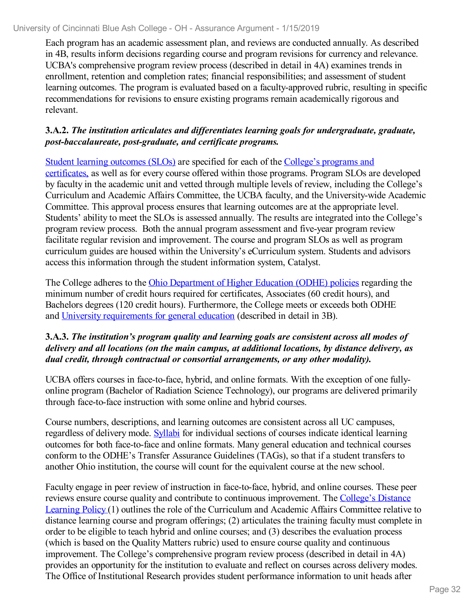Each program has an academic assessment plan, and reviews are conducted annually. As described in 4B, results inform decisions regarding course and program revisions for currency and relevance. UCBA's comprehensive program review process (described in detail in 4A) examines trends in enrollment, retention and completion rates; financial responsibilities; and assessment of student learning outcomes. The program is evaluated based on a faculty-approved rubric, resulting in specific recommendations for revisions to ensure existing programs remain academically rigorous and relevant.

#### **3.A.2.** *The institution articulates and dif erentiates learning goals for undergraduate, graduate, post-baccalaureate, post-graduate, and certificate programs.*

Student learning [outcomes](file:///D:/evidence/viewfile?fileId=646147) (SLOs) are specified for each of the College's programs and [certificates,](file:///D:/evidence/viewfile?fileId=678941) as well as for every course offered within those programs. Program SLOs are developed by faculty in the academic unit and vetted through multiple levels of review, including the College's Curriculum and Academic Affairs Committee, the UCBA faculty, and the University-wide Academic Committee. This approval process ensures that learning outcomes are at the appropriate level. Students' ability to meet the SLOs is assessed annually. The results are integrated into the College's program review process. Both the annual program assessment and five-year program review facilitate regular revision and improvement. The course and program SLOs as well as program curriculum guides are housed within the University's eCurriculum system. Students and advisors access this information through the student information system, Catalyst.

The College adheres to the Ohio [Department](file:///D:/evidence/viewfile?fileId=678944) of Higher Education (ODHE) policies regarding the minimum number of credit hours required for certificates, Associates (60 credit hours), and Bachelors degrees (120 credit hours). Furthermore, the College meets or exceeds both ODHE and University [requirements](file:///D:/evidence/viewfile?fileId=678947) for general education (described in detail in 3B).

#### **3.A.3.** *The institution's program quality and learning goals are consistent across all modes of delivery and all locations (on the main campus, at additional locations, by distance delivery, as dual credit, through contractual or consortial arrangements, or any other modality).*

UCBA offers courses in face-to-face, hybrid, and online formats. With the exception of one fully online program (Bachelor of Radiation Science Technology), our programs are delivered primarily through face-to-face instruction with some online and hybrid courses.

Course numbers, descriptions, and learning outcomes are consistent across all UC campuses, regardless of delivery mode. [Syllabi](file:///D:/evidence/viewfile?fileId=672348) for individual sections of courses indicate identical learning outcomes for both face-to-face and online formats. Many general education and technical courses conform to the ODHE's Transfer Assurance Guidelines (TAGs), so that if a student transfers to another Ohio institution, the course will count for the equivalent course at the new school.

Faculty engage in peer review of instruction in face-to-face, hybrid, and online courses. These peer reviews ensure course quality and contribute to continuous [improvement.](file:///D:/evidence/viewfile?fileId=676144) The College's Distance Learning Policy (1) outlines the role of the Curriculum and Academic Affairs Committee relative to distance learning course and program offerings; (2) articulates the training faculty must complete in order to be eligible to teach hybrid and online courses; and (3) describes the evaluation process (which is based on the Quality Matters rubric) used to ensure course quality and continuous improvement. The College's comprehensive program review process (described in detail in 4A) provides an opportunity for the institution to evaluate and reflect on courses across delivery modes. The Office of Institutional Research provides student performance information to unit heads after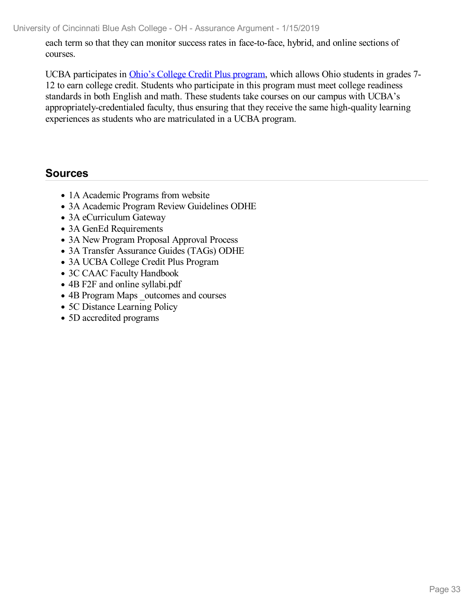each term so that they can monitor success rates in face-to-face, hybrid, and online sections of courses.

UCBA participates in Ohio's College Credit Plus [program](file:///D:/evidence/viewfile?fileId=678952), which allows Ohio students in grades 7- 12 to earn college credit. Students who participate in this program must meet college readiness standards in both English and math. These students take courses on our campus with UCBA's appropriately-credentialed faculty, thus ensuring that they receive the same high-quality learning experiences as students who are matriculated in a UCBA program.

- 1A Academic Programs from website
- 3A Academic Program Review Guidelines ODHE
- 3A eCurriculum Gateway
- 3A GenEd Requirements
- 3A New Program Proposal Approval Process
- 3A Transfer Assurance Guides (TAGs) ODHE
- 3A UCBA College Credit Plus Program
- 3C CAAC Faculty Handbook
- 4B F2F and online syllabi.pdf
- 4B Program Maps outcomes and courses
- 5C Distance Learning Policy
- 5D accredited programs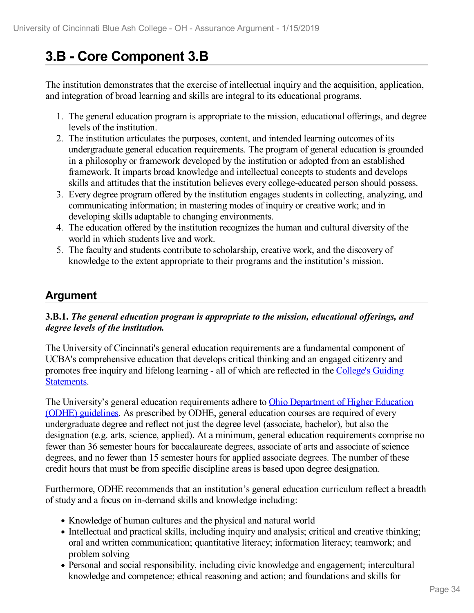# **3.B - Core Component 3.B**

The institution demonstrates that the exercise of intellectual inquiry and the acquisition, application, and integration of broad learning and skills are integral to its educational programs.

- 1. The general education program is appropriate to the mission, educational offerings, and degree levels of the institution.
- 2. The institution articulates the purposes, content, and intended learning outcomes of its undergraduate general education requirements. The program of general education is grounded in a philosophy or framework developed by the institution or adopted from an established framework. It imparts broad knowledge and intellectual concepts to students and develops skills and attitudes that the institution believes every college-educated person should possess.
- 3. Every degree program offered by the institution engages students in collecting, analyzing, and communicating information; in mastering modes of inquiry or creative work; and in developing skills adaptable to changing environments.
- 4. The education offered by the institution recognizes the human and cultural diversity of the world in which students live and work.
- 5. The faculty and students contribute to scholarship, creative work, and the discovery of knowledge to the extent appropriate to their programs and the institution's mission.

# **Argument**

#### **3.B.1.** *The general education program isappropriate to the mission, educational of erings, and degree levels of the institution.*

The University of Cincinnati's general education requirements are a fundamental component of UCBA's comprehensive education that develops critical thinking and an engaged citizenry and promotes free inquiry and lifelong learning - all of which are reflected in the College's Guiding [Statements.](file:///D:/evidence/viewfile?fileId=701557)

The University's general education [requirements](file:///D:/evidence/viewfile?fileId=701558) adhere to Ohio Department of Higher Education (ODHE) guidelines. As prescribed by ODHE, general education courses are required of every undergraduate degree and reflect not just the degree level (associate, bachelor), but also the designation (e.g. arts, science, applied). At a minimum, general education requirements comprise no fewer than 36 semester hours for baccalaureate degrees, associate of arts and associate of science degrees, and no fewer than 15 semester hours for applied associate degrees. The number of these credit hours that must be from specific discipline areas is based upon degree designation.

Furthermore, ODHE recommends that an institution's general education curriculum reflect a breadth of study and a focus on in-demand skills and knowledge including:

- Knowledge of human cultures and the physical and natural world
- Intellectual and practical skills, including inquiry and analysis; critical and creative thinking; oral and written communication; quantitative literacy; information literacy; teamwork; and problem solving
- Personal and social responsibility, including civic knowledge and engagement; intercultural knowledge and competence; ethical reasoning and action; and foundations and skills for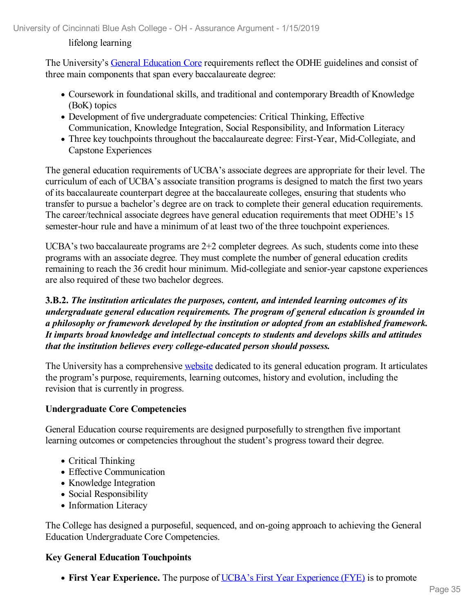#### lifelong learning

The University's General [Education](file:///D:/evidence/viewfile?fileId=701561) Core requirements reflect the ODHE guidelines and consist of three main components that span every baccalaureate degree:

- Coursework in foundational skills, and traditional and contemporary Breadth of Knowledge (BoK) topics
- Development of five undergraduate competencies: Critical Thinking, Effective Communication, Knowledge Integration, Social Responsibility, and Information Literacy
- Three key touchpoints throughout the baccalaureate degree: First-Year, Mid-Collegiate, and Capstone Experiences

The general education requirements of UCBA's associate degrees are appropriate for their level. The curriculum of each of UCBA's associate transition programs is designed to match the first two years of its baccalaureate counterpart degree at the baccalaureate colleges, ensuring that students who transfer to pursue a bachelor's degree are on track to complete their general education requirements. The career/technical associate degrees have general education requirements that meet ODHE's 15 semester-hour rule and have a minimum of at least two of the three touchpoint experiences.

UCBA's two baccalaureate programs are 2+2 completer degrees. As such, students come into these programs with an associate degree. They must complete the number of general education credits remaining to reach the 36 credit hour minimum. Mid-collegiate and senior-year capstone experiences are also required of these two bachelor degrees.

**3.B.2.** *The institution articulates the purposes, content, and intended learning outcomes of its undergraduate general education requirements. The program ofgeneral education is grounded in a philosophy or framework developed by the institution or adopted from an established framework. It imparts broad knowledge and intellectual concepts to students and develops skills and attitudes that the institution believes every college-educated person should possess.*

The University has a comprehensive [website](file:///D:/evidence/viewfile?fileId=701562) dedicated to its general education program. It articulates the program's purpose, requirements, learning outcomes, history and evolution, including the revision that is currently in progress.

#### **Undergraduate Core Competencies**

General Education course requirements are designed purposefully to strengthen five important learning outcomes or competencies throughout the student's progress toward their degree.

- Critical Thinking
- Effective Communication
- Knowledge Integration
- Social Responsibility
- Information Literacy

The College has designed a purposeful, sequenced, and on-going approach to achieving the General Education Undergraduate Core Competencies.

#### **Key General Education Touchpoints**

• **First Year [Experience](file:///D:/evidence/viewfile?fileId=701563).** The purpose of <u>UCBA's First Year Experience (FYE)</u> is to promote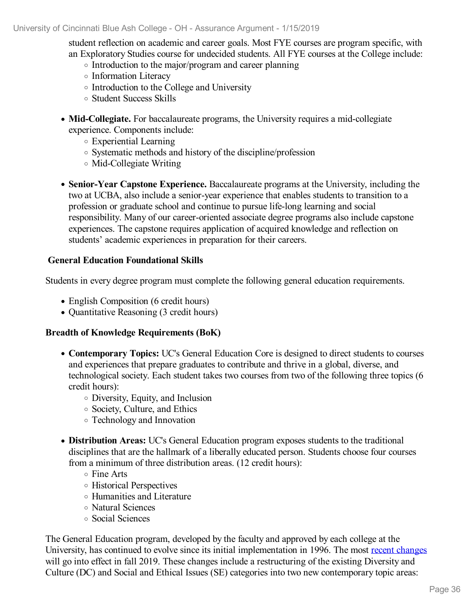student reflection on academic and career goals. Most FYE courses are program specific, with an Exploratory Studies course for undecided students. All FYE courses at the College include:

- Introduction to the major/program and career planning
- Information Literacy
- Introduction to the College and University
- Student Success Skills
- **Mid-Collegiate.** For baccalaureate programs, the University requires a mid-collegiate experience. Components include:
	- Experiential Learning
	- Systematic methods and history of the discipline/profession
	- Mid-Collegiate Writing
- **Senior-Year Capstone Experience.** Baccalaureate programs at the University, including the two at UCBA, also include a senior-year experience that enables students to transition to a profession or graduate school and continue to pursue life-long learning and social responsibility. Many of our career-oriented associate degree programs also include capstone experiences. The capstone requires application of acquired knowledge and reflection on students' academic experiences in preparation for their careers.

#### **General Education Foundational Skills**

Students in every degree program must complete the following general education requirements.

- English Composition (6 credit hours)
- Quantitative Reasoning (3 credit hours)

#### **Breadth of Knowledge Requirements (BoK)**

- **Contemporary Topics:** UC's General Education Core is designed to direct students to courses and experiences that prepare graduates to contribute and thrive in a global, diverse, and technological society. Each student takes two courses from two of the following three topics (6 credit hours):
	- Diversity, Equity, and Inclusion
	- Society, Culture, and Ethics
	- Technology and Innovation
- **Distribution Areas:** UC's General Education program exposes students to the traditional disciplines that are the hallmark of a liberally educated person. Students choose four courses from a minimum of three distribution areas. (12 credit hours):
	- o Fine Arts
	- Historical Perspectives
	- Humanities and Literature
	- Natural Sciences
	- Social Sciences

The General Education program, developed by the faculty and approved by each college at the University, has continued to evolve since its initial implementation in 1996. The most recent [changes](file:///D:/evidence/viewfile?fileid=701564) will go into effect in fall 2019. These changes include a restructuring of the existing Diversity and Culture (DC) and Social and Ethical Issues (SE) categories into two new contemporary topic areas: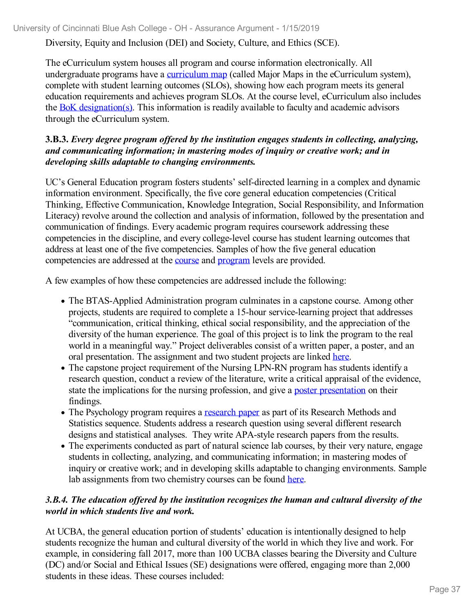Diversity, Equity and Inclusion (DEI) and Society, Culture, and Ethics (SCE).

The eCurriculum system houses all program and course information electronically. All undergraduate programs have a [curriculum](file:///D:/evidence/viewfile?fileId=646147) map (called Major Maps in the eCurriculum system), complete with student learning outcomes (SLOs), showing how each program meets its general education requirements and achieves program SLOs. At the course level, eCurriculum also includes the BoK [designation\(s\)](file:///D:/evidence/viewfile?fileId=707811). This information is readily available to faculty and academic advisors through the eCurriculum system.

#### **3.B.3.** *Every degree program ofered by the institution engages students in collecting, analyzing, and communicating information; in mastering modes of inquiry or creative work; and in developing skills adaptable to changing environments.*

UC's General Education program fosters students' self-directed learning in a complex and dynamic information environment. Specifically, the five core general education competencies (Critical Thinking, Effective Communication, Knowledge Integration, Social Responsibility, and Information Literacy) revolve around the collection and analysis of information, followed by the presentation and communication of findings. Every academic program requires coursework addressing these competencies in the discipline, and every college-level course has student learning outcomes that address at least one of the five competencies. Samples of how the five general education competencies are addressed at the [course](file:///D:/evidence/viewfile?fileid=707807) and [program](file:///D:/evidence/viewfile?fileid=707779) levels are provided.

A few examples of how these competencies are addressed include the following:

- The BTAS-Applied Administration program culminates in a capstone course. Among other projects, students are required to complete a 15-hour service-learning project that addresses "communication, critical thinking, ethical social responsibility, and the appreciation of the diversity of the human experience. The goal of this project is to link the program to the real world in a meaningful way." Project deliverables consist of a written paper, a poster, and an oral presentation. The assignment and two student projects are linked [here](file:///D:/evidence/viewfile?fileId=701565).
- The capstone project requirement of the Nursing LPN-RN program has students identify a research question, conduct a review of the literature, write a critical appraisal of the evidence, state the implications for the nursing profession, and give a poster [presentation](file:///D:/evidence/viewfile?fileId=701568) on their findings.
- The Psychology program requires a [research](file:///D:/evidence/viewfile?fileId=701569) paper as part of its Research Methods and Statistics sequence. Students address a research question using several different research designs and statistical analyses. They write APA-style research papers from the results.
- The experiments conducted as part of natural science lab courses, by their very nature, engage students in collecting, analyzing, and communicating information; in mastering modes of inquiry or creative work; and in developing skills adaptable to changing environments. Sample lab assignments from two chemistry courses can be found [here](file:///D:/evidence/viewfile?fileId=701566).

## *3.B.4. The education of ered by the institution recognizes the human and cultural diversity of the world in which students live and work.*

At UCBA, the general education portion of students' education is intentionally designed to help students recognize the human and cultural diversity of the world in which they live and work. For example, in considering fall 2017, more than 100 UCBA classes bearing the Diversity and Culture (DC) and/or Social and Ethical Issues (SE) designations were offered, engaging more than 2,000 students in these ideas. These courses included: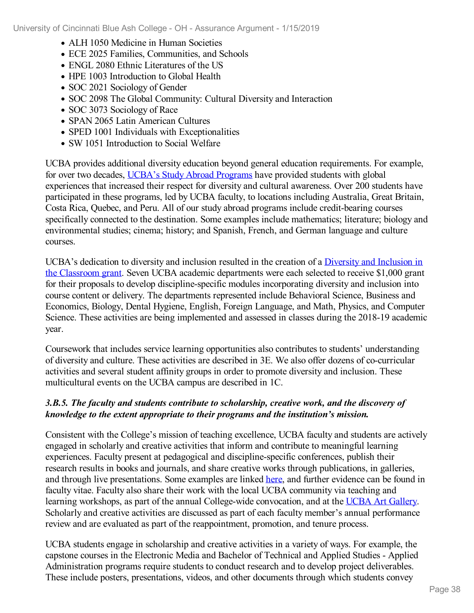- ALH 1050 Medicine in Human Societies
- ECE 2025 Families, Communities, and Schools
- ENGL 2080 Ethnic Literatures of the US
- HPE 1003 Introduction to Global Health
- SOC 2021 Sociology of Gender
- SOC 2098 The Global Community: Cultural Diversity and Interaction
- SOC 3073 Sociology of Race
- SPAN 2065 Latin American Cultures
- SPED 1001 Individuals with Exceptionalities
- SW 1051 Introduction to Social Welfare

UCBA provides additional diversity education beyond general education requirements. For example, for over two decades, UCBA's Study Abroad [Programs](file:///D:/evidence/viewfile?fileId=627920) have provided students with global experiences that increased their respect for diversity and cultural awareness. Over 200 students have participated in these programs, led by UCBA faculty, to locations including Australia, Great Britain, Costa Rica, Quebec, and Peru. All of our study abroad programs include credit-bearing courses specifically connected to the destination. Some examples include mathematics; literature; biology and environmental studies; cinema; history; and Spanish, French, and German language and culture courses.

UCBA's dedication to diversity and inclusion resulted in the creation of a Diversity and Inclusion in the Classroom grant. Seven UCBA academic [departments](file:///D:/evidence/viewfile?fileId=707947) were each selected to receive \$1,000 grant for their proposals to develop discipline-specific modules incorporating diversity and inclusion into course content or delivery. The departments represented include Behavioral Science, Business and Economics, Biology, Dental Hygiene, English, Foreign Language, and Math, Physics, and Computer Science. These activities are being implemented and assessed in classes during the 2018-19 academic year.

Coursework that includes service learning opportunities also contributes to students' understanding of diversity and culture. These activities are described in 3E. We also offer dozens of co-curricular activities and several student affinity groups in order to promote diversity and inclusion. These multicultural events on the UCBA campus are described in 1C.

## *3.B.5. The faculty and students contribute to scholarship, creative work, and the discovery of knowledge to the extent appropriate to their programs and the institution's mission.*

Consistent with the College's mission of teaching excellence, UCBA faculty and students are actively engaged in scholarly and creative activities that inform and contribute to meaningful learning experiences. Faculty present at pedagogical and discipline-specific conferences, publish their research results in books and journals, and share creative works through publications, in galleries, and through live presentations. Some examples are linked [here](file:///D:/evidence/viewfile?fileId=707950), and further evidence can be found in faculty vitae. Faculty also share their work with the local UCBA community via teaching and learning workshops, as part of the annual College-wide convocation, and at the UCBA Art [Gallery](file:///D:/evidence/viewfile?fileId=708268). Scholarly and creative activities are discussed as part of each faculty member's annual performance review and are evaluated as part of the reappointment, promotion, and tenure process.

UCBA students engage in scholarship and creative activities in a variety of ways. For example, the capstone courses in the Electronic Media and Bachelor of Technical and Applied Studies - Applied Administration programs require students to conduct research and to develop project deliverables. These include posters, presentations, videos, and other documents through which students convey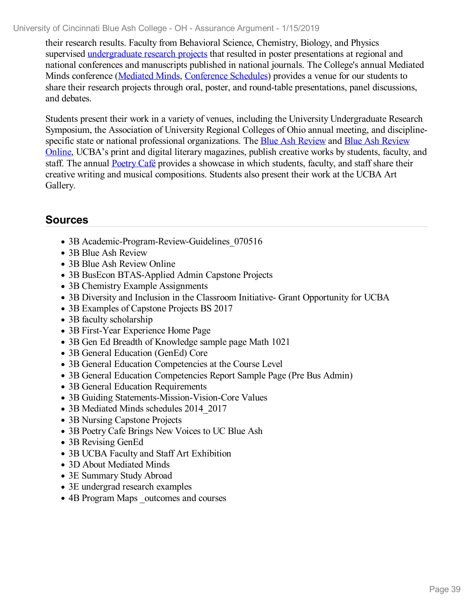their research results. Faculty from Behavioral Science, Chemistry, Biology, and Physics supervised [undergraduate](file:///D:/evidence/viewfile?fileId=627902) research projects that resulted in poster presentations at regional and national conferences and manuscripts published in national journals. The College's annual Mediated Minds conference [\(Mediated](file:///D:/evidence/viewfile?fileId=631357) Minds, [Conference](file:///D:/evidence/viewfile?fileId=703282) Schedules) provides a venue for our students to share their research projects through oral, poster, and round-table presentations, panel discussions, and debates.

Students present their work in a variety of venues, including the University Undergraduate Research Symposium, the Association of University Regional Colleges of Ohio annual meeting, and disciplinespecific state or national professional [organizations.](file:///D:/evidence/viewfile?fileId=701571) The Blue Ash [Review](file:///D:/evidence/viewfile?fileId=701570) and Blue Ash Review Online, UCBA's print and digital literary magazines, publish creative works by students, faculty, and staff. The annual **[Poetry](file:///D:/evidence/viewfile?fileId=701567) Café** provides a showcase in which students, faculty, and staff share their creative writing and musical compositions. Students also present their work at the UCBA Art Gallery.

# **Sources**

- 3B Academic-Program-Review-Guidelines 070516
- 3B Blue Ash Review
- 3B Blue Ash Review Online
- 3B BusEcon BTAS-Applied Admin Capstone Projects
- 3B Chemistry Example Assignments
- 3B Diversity and Inclusion in the Classroom Initiative- Grant Opportunity for UCBA
- 3B Examples of Capstone Projects BS 2017
- 3B faculty scholarship
- 3B First-Year Experience Home Page
- 3B Gen Ed Breadth of Knowledge sample page Math 1021
- 3B General Education (GenEd) Core
- 3B General Education Competencies at the Course Level
- 3B General Education Competencies Report Sample Page (Pre Bus Admin)
- 3B General Education Requirements
- 3B Guiding Statements-Mission-Vision-Core Values
- 3B Mediated Minds schedules 2014 2017
- 3B Nursing Capstone Projects
- 3B Poetry Cafe Brings New Voices to UC Blue Ash
- 3B Revising GenEd
- 3B UCBA Faculty and Staff Art Exhibition
- 3D About Mediated Minds
- 3E Summary Study Abroad
- 3E undergrad research examples
- 4B Program Maps outcomes and courses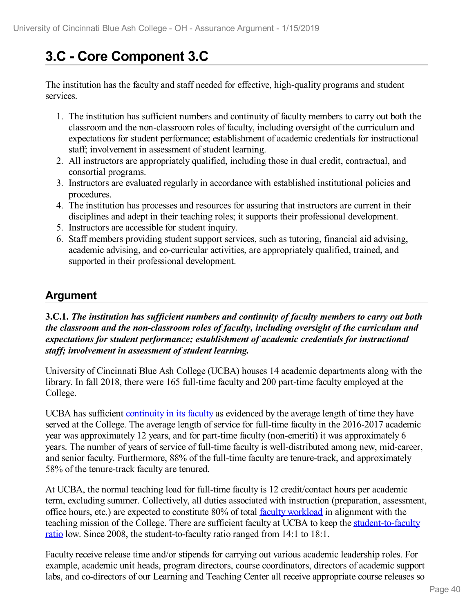# **3.C - Core Component 3.C**

The institution has the faculty and staff needed for effective, high-quality programs and student services.

- 1. The institution has sufficient numbers and continuity of faculty members to carry out both the classroom and the non-classroom roles of faculty, including oversight of the curriculum and expectations for student performance; establishment of academic credentials for instructional staff; involvement in assessment of student learning.
- 2. All instructors are appropriately qualified, including those in dual credit, contractual, and consortial programs.
- 3. Instructors are evaluated regularly in accordance with established institutional policies and procedures.
- 4. The institution has processes and resources for assuring that instructors are current in their disciplines and adept in their teaching roles; it supports their professional development.
- 5. Instructors are accessible for student inquiry.
- 6. Staff members providing student support services, such as tutoring, financial aid advising, academic advising, and co-curricular activities, are appropriately qualified, trained, and supported in their professional development.

# **Argument**

**3.C.1.** *The institution has suf icient numbers and continuity of faculty members to carry out both the classroom and the non-classroom roles of faculty, including oversight of the curriculum and expectations for student performance; establishment of academic credentials for instructional staf ; involvement in assessment of student learning.*

University of Cincinnati Blue Ash College (UCBA) houses 14 academic departments along with the library. In fall 2018, there were 165 full-time faculty and 200 part-time faculty employed at the College.

UCBA has sufficient [continuity](file:///D:/evidence/viewfile?fileId=625444) in its faculty as evidenced by the average length of time they have served at the College. The average length of service for full-time faculty in the 2016-2017 academic year was approximately 12 years, and for part-time faculty (non-emeriti) it was approximately 6 years. The number of years of service of full-time faculty is well-distributed among new, mid-career, and senior faculty. Furthermore, 88% of the full-time faculty are tenure-track, and approximately 58% of the tenure-track faculty are tenured.

At UCBA, the normal teaching load for full-time faculty is 12 credit/contact hours per academic term, excluding summer. Collectively, all duties associated with instruction (preparation, assessment, office hours, etc.) are expected to constitute 80% of total faculty [workload](file:///D:/evidence/viewfile?fileId=625415) in alignment with the teaching mission of the College. There are sufficient faculty at UCBA to keep the [student-to-faculty](file:///D:/evidence/viewfile?fileId=625430) ratio low. Since 2008, the student-to-faculty ratio ranged from 14:1 to 18:1.

Faculty receive release time and/or stipends for carrying out various academic leadership roles. For example, academic unit heads, program directors, course coordinators, directors of academic support labs, and co-directors of our Learning and Teaching Center all receive appropriate course releases so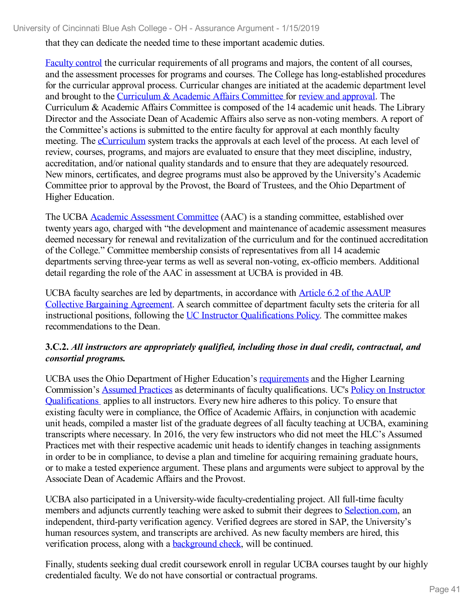that they can dedicate the needed time to these important academic duties.

[Faculty](file:///D:/evidence/viewfile?fileId=625449) control the curricular requirements of all programs and majors, the content of all courses, and the assessment processes for programs and courses. The College has long-established procedures for the curricular approval process. Curricular changes are initiated at the academic department level and brought to the [Curriculum](file:///D:/evidence/viewfile?fileId=625452) & Academic Affairs Committee for review and [approval.](file:///D:/evidence/viewfile?fileid=625436) The Curriculum & Academic Affairs Committee is composed of the 14 academic unit heads. The Library Director and the Associate Dean of Academic Affairs also serve as non-voting members. A report of the Committee's actions is submitted to the entire faculty for approval at each monthly faculty meeting. The [eCurriculum](file:///D:/evidence/viewfile?fileid=625408) system tracks the approvals at each level of the process. At each level of review, courses, programs, and majors are evaluated to ensure that they meet discipline, industry, accreditation, and/or national quality standards and to ensure that they are adequately resourced. New minors, certificates, and degree programs must also be approved by the University's Academic Committee prior to approval by the Provost, the Board of Trustees, and the Ohio Department of Higher Education.

The UCBA Academic [Assessment](file:///D:/evidence/viewfile?fileId=625451) Committee (AAC) is a standing committee, established over twenty years ago, charged with "the development and maintenance of academic assessment measures deemed necessary for renewal and revitalization of the curriculum and for the continued accreditation of the College." Committee membership consists of representatives from all 14 academic departments serving three-year terms as well as several non-voting, ex-officio members. Additional detail regarding the role of the AAC in assessment at UCBA is provided in 4B.

UCBA faculty searches are led by [departments,](file:///D:/evidence/viewfile?fileId=625450) in accordance with Article 6.2 of the AAUP Collective Bargaining Agreement. A search committee of department faculty sets the criteria for all instructional positions, following the UC Instructor [Qualifications](file:///D:/evidence/viewfile?fileId=625434) Policy. The committee makes recommendations to the Dean.

## **3.C.2.** *All instructors are appropriately qualified, including those in dual credit, contractual, and consortial programs.*

UCBA uses the Ohio Department of Higher Education's [requirements](file:///D:/evidence/viewfile?fileId=625416) and the Higher Learning [Commission's](file:///D:/evidence/viewfile?fileid=625434) [Assumed](file:///D:/evidence/viewfile?fileId=625418) Practices as determinants of faculty qualifications. UC's Policy on Instructor Qualifications applies to all instructors. Every new hire adheres to this policy. To ensure that existing faculty were in compliance, the Office of Academic Affairs, in conjunction with academic unit heads, compiled a master list of the graduate degrees of all faculty teaching at UCBA, examining transcripts where necessary. In 2016, the very few instructors who did not meet the HLC's Assumed Practices met with their respective academic unit heads to identify changes in teaching assignments in order to be in compliance, to devise a plan and timeline for acquiring remaining graduate hours, or to make a tested experience argument. These plans and arguments were subject to approval by the Associate Dean of Academic Affairs and the Provost.

UCBA also participated in a University-wide faculty-credentialing project. All full-time faculty members and adjuncts currently teaching were asked to submit their degrees to [Selection.com](file:///D:/evidence/viewfile?fileId=625422), an independent, third-party verification agency. Verified degrees are stored in SAP, the University's human resources system, and transcripts are archived. As new faculty members are hired, this verification process, along with a [background](file:///D:/evidence/viewfile?fileId=625420) check, will be continued.

Finally, students seeking dual credit coursework enroll in regular UCBA courses taught by our highly credentialed faculty. We do not have consortial or contractual programs.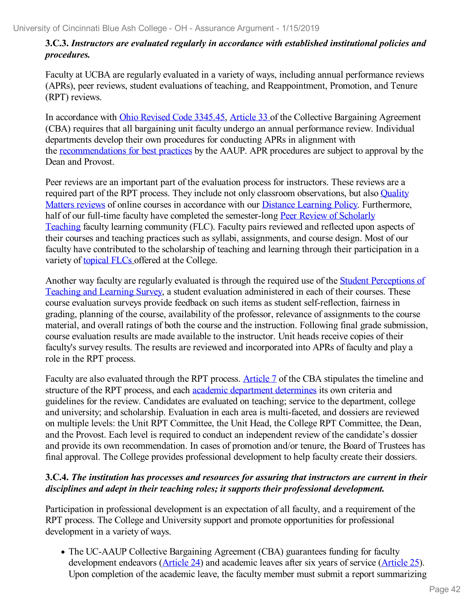## **3.C.3.** *Instructors are evaluated regularly in accordance with established institutional policies and procedures.*

Faculty at UCBA are regularly evaluated in a variety of ways, including annual performance reviews (APRs), peer reviews, student evaluations of teaching, and Reappointment, Promotion, and Tenure (RPT) reviews.

In accordance with Ohio Revised Code [3345.45](file:///D:/evidence/viewfile?fileId=625413), [Article](file:///D:/evidence/viewfile?fileId=625453) 33 of the Collective Bargaining Agreement (CBA) requires that all bargaining unit faculty undergo an annual performance review. Individual departments develop their own procedures for conducting APRs in alignment with the [recommendations](file:///D:/evidence/viewfile?fileId=725021) for best practices by the AAUP. APR procedures are subject to approval by the Dean and Provost.

Peer reviews are an important part of the evaluation process for instructors. These reviews are a required part of the RPT process. They include not only classroom [observations,](file:///D:/evidence/viewfile?fileId=625448) but also **Quality** Matters reviews of online courses in accordance with our Distance [Learning](file:///D:/evidence/viewfile?fileId=625406) Policy. Furthermore, half of our full-time faculty have completed the [semester-long](file:///D:/evidence/viewfile?fileId=664387) Peer Review of Scholarly Teaching faculty learning community (FLC). Faculty pairs reviewed and reflected upon aspects of their courses and teaching practices such as syllabi, assignments, and course design. Most of our faculty have contributed to the scholarship of teaching and learning through their participation in a variety of [topical](file:///D:/evidence/viewfile?fileid=625414) FLCs offered at the College.

Another way faculty are regularly evaluated is through the required use of the Student Perceptions of Teaching and Learning Survey, a student evaluation [administered](file:///D:/evidence/viewfile?fileId=625424) in each of their courses. These course evaluation surveys provide feedback on such items as student self-reflection, fairness in grading, planning of the course, availability of the professor, relevance of assignments to the course material, and overall ratings of both the course and the instruction. Following final grade submission, course evaluation results are made available to the instructor. Unit heads receive copies of their faculty's survey results. The results are reviewed and incorporated into APRs of faculty and play a role in the RPT process.

Faculty are also evaluated through the RPT process. [Article](file:///D:/evidence/viewfile?fileId=625403) 7 of the CBA stipulates the timeline and structure of the RPT process, and each academic [department](file:///D:/evidence/viewfile?fileId=629038) determines its own criteria and guidelines for the review. Candidates are evaluated on teaching; service to the department, college and university; and scholarship. Evaluation in each area is multi-faceted, and dossiers are reviewed on multiple levels: the Unit RPT Committee, the Unit Head, the College RPT Committee, the Dean, and the Provost. Each level is required to conduct an independent review of the candidate's dossier and provide its own recommendation. In cases of promotion and/or tenure, the Board of Trustees has final approval. The College provides professional development to help faculty create their dossiers.

## **3.C.4.** *The institution has processes and resources for assuring that instructors are current in their disciplines and adept in their teaching roles; it supports their professional development.*

Participation in professional development is an expectation of all faculty, and a requirement of the RPT process. The College and University support and promote opportunities for professional development in a variety of ways.

The UC-AAUP Collective Bargaining Agreement (CBA) guarantees funding for faculty development endeavors ([Article](file:///D:/evidence/viewfile?fileId=625407) 24) and academic leaves after six years of service [\(Article](file:///D:/evidence/viewfile?fileId=625404) 25). Upon completion of the academic leave, the faculty member must submit a report summarizing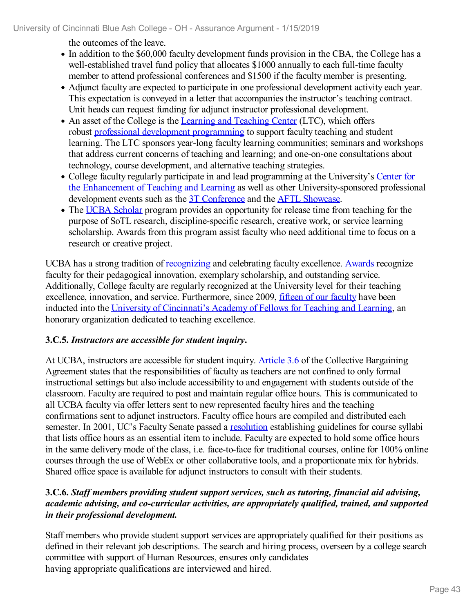the outcomes of the leave.

- In addition to the \$60,000 faculty development funds provision in the CBA, the College has a well-established travel fund policy that allocates \$1000 annually to each full-time faculty member to attend professional conferences and \$1500 if the faculty member is presenting.
- Adjunct faculty are expected to participate in one professional development activity each year. This expectation is conveyed in a letter that accompanies the instructor's teaching contract. Unit heads can request funding for adjunct instructor professional development.
- An asset of the College is the Learning and [Teaching](file:///D:/evidence/viewfile?fileId=625410) Center (LTC), which offers robust professional development [programming](file:///D:/evidence/viewfile?fileId=625414) to support faculty teaching and student learning. The LTC sponsors year-long faculty learning communities; seminars and workshops that address current concerns of teaching and learning; and one-on-one consultations about technology, course development, and alternative teaching strategies.
- College faculty regularly participate in and lead programming at the University's Center for the Enhancement of Teaching and Learning as well as other [University-sponsored](file:///D:/evidence/viewfile?fileId=625402) professional development events such as the 3T [Conference](file:///D:/evidence/viewfile?fileId=626771) and the AFTL [Showcase](file:///D:/evidence/viewfile?fileid=625397).
- The UCBA [Scholar](file:///D:/evidence/viewfile?fileId=625438) program provides an opportunity for release time from teaching for the purpose of SoTL research, discipline-specific research, creative work, or service learning scholarship. Awards from this program assist faculty who need additional time to focus on a research or creative project.

UCBA has a strong tradition of [recognizing](file:///D:/evidence/viewfile?fileId=625409) and celebrating faculty excellence. [Awards](file:///D:/evidence/viewfile?fileId=625412) recognize faculty for their pedagogical innovation, exemplary scholarship, and outstanding service. Additionally, College faculty are regularly recognized at the University level for their teaching excellence, innovation, and service. Furthermore, since 2009, fifteen of our [faculty](file:///D:/evidence/viewfile?fileId=625396) have been inducted into the University of [Cincinnati's](file:///D:/evidence/viewfile?fileId=625399) Academy of Fellows for Teaching and Learning, an honorary organization dedicated to teaching excellence.

# **3.C.5.** *Instructors are accessible for student inquiry***.**

At UCBA, instructors are accessible for student inquiry. [Article](file:///D:/evidence/viewfile?fileId=625400) 3.6 of the Collective Bargaining Agreement states that the responsibilities of faculty as teachers are not confined to only formal instructional settings but also include accessibility to and engagement with students outside of the classroom. Faculty are required to post and maintain regular office hours. This is communicated to all UCBA faculty via offer letters sent to new represented faculty hires and the teaching confirmations sent to adjunct instructors. Faculty office hours are compiled and distributed each semester. In 2001, UC's Faculty Senate passed a [resolution](file:///D:/evidence/viewfile?fileId=625419) establishing guidelines for course syllabi that lists office hours as an essential item to include. Faculty are expected to hold some office hours in the same delivery mode of the class, i.e. face-to-face for traditional courses, online for 100% online courses through the use of WebEx or other collaborative tools, and a proportionate mix for hybrids. Shared office space is available for adjunct instructors to consult with their students.

## **3.C.6.** *Staf members providing student support services, such as tutoring, financial aid advising, academic advising, and co-curricular activities, are appropriately qualified, trained, and supported in their professional development.*

Staff members who provide student support services are appropriately qualified for their positions as defined in their relevant job descriptions. The search and hiring process, overseen by a college search committee with support of Human Resources, ensures only candidates having appropriate qualifications are interviewed and hired.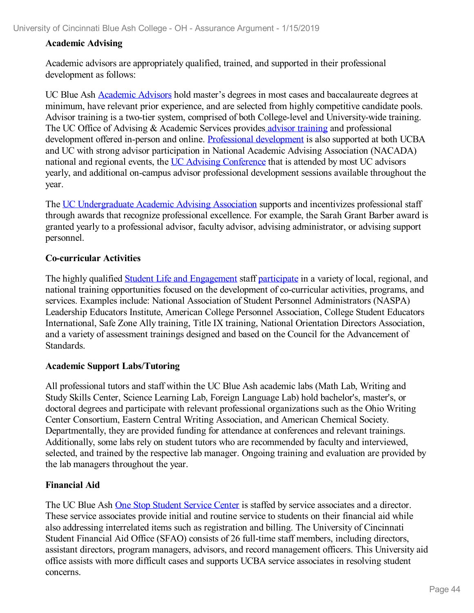#### **Academic Advising**

Academic advisors are appropriately qualified, trained, and supported in their professional development as follows:

UC Blue Ash [Academic](file:///D:/evidence/viewfile?fileId=625445) Advisors hold master's degrees in most cases and baccalaureate degrees at minimum, have relevant prior experience, and are selected from highly competitive candidate pools. Advisor training is a two-tier system, comprised of both College-level and University-wide training. The UC Office of Advising & Academic Services provides advisor [training](file:///D:/evidence/viewfile?fileId=625423) and professional development offered in-person and online. Professional [development](file:///D:/evidence/viewfile?fileId=625443) is also supported at both UCBA and UC with strong advisor participation in National Academic Advising Association (NACADA) national and regional events, the UC Advising [Conference](file:///D:/evidence/viewfile?fileId=625432) that is attended by most UC advisors yearly, and additional on-campus advisor professional development sessions available throughout the year.

The UC [Undergraduate](file:///D:/evidence/viewfile?fileid=625439) Academic Advising Association supports and incentivizes professional staff through awards that recognize professional excellence. For example, the Sarah Grant Barber award is granted yearly to a professional advisor, faculty advisor, advising administrator, or advising support personnel.

#### **Co-curricular Activities**

The highly qualified Student Life and [Engagement](file:///D:/evidence/viewfile?fileid=625431) staff [participate](file:///D:/evidence/viewfile?fileid=625427) in a variety of local, regional, and national training opportunities focused on the development of co-curricular activities, programs, and services. Examples include: National Association of Student Personnel Administrators (NASPA) Leadership Educators Institute, American College Personnel Association, College Student Educators International, Safe Zone Ally training, Title IX training, National Orientation Directors Association, and a variety of assessment trainings designed and based on the Council for the Advancement of Standards.

#### **Academic Support Labs/Tutoring**

All professional tutors and staff within the UC Blue Ash academic labs (Math Lab, Writing and Study Skills Center, Science Learning Lab, Foreign Language Lab) hold bachelor's, master's, or doctoral degrees and participate with relevant professional organizations such as the Ohio Writing Center Consortium, Eastern Central Writing Association, and American Chemical Society. Departmentally, they are provided funding for attendance at conferences and relevant trainings. Additionally, some labs rely on student tutors who are recommended by faculty and interviewed, selected, and trained by the respective lab manager. Ongoing training and evaluation are provided by the lab managers throughout the year.

#### **Financial Aid**

The UC Blue Ash One Stop [Student](file:///D:/evidence/viewfile?fileId=629035) Service Center is staffed by service associates and a director. These service associates provide initial and routine service to students on their financial aid while also addressing interrelated items such as registration and billing. The University of Cincinnati Student Financial Aid Office (SFAO) consists of 26 full-time staff members, including directors, assistant directors, program managers, advisors, and record management officers. This University aid office assists with more difficult cases and supports UCBA service associates in resolving student concerns.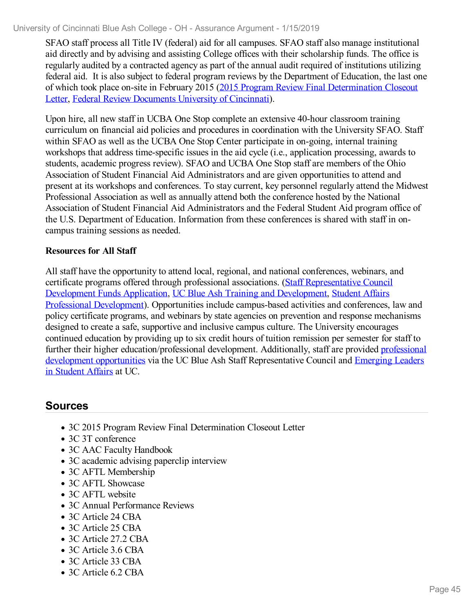SFAO staff process all Title IV (federal) aid for all campuses. SFAO staff also manage institutional aid directly and by advising and assisting College offices with their scholarship funds. The office is regularly audited by a contracted agency as part of the annual audit required of institutions utilizing federal aid. It is also subject to federal program reviews by the Department of Education, the last one of which took place on-site in February 2015 (2015 Program Review Final [Determination](file:///D:/evidence/viewfile?fileId=625395) Closeout Letter, Federal Review [Documents](file:///D:/evidence/viewfile?fileId=625429) University of Cincinnati).

Upon hire, all new staff in UCBA One Stop complete an extensive 40-hour classroom training curriculum on financial aid policies and procedures in coordination with the University SFAO. Staff within SFAO as well as the UCBA One Stop Center participate in on-going, internal training workshops that address time-specific issues in the aid cycle (i.e., application processing, awards to students, academic progress review). SFAO and UCBA One Stop staff are members of the Ohio Association of Student Financial Aid Administrators and are given opportunities to attend and present at its workshops and conferences. To stay current, key personnel regularly attend the Midwest Professional Association as well as annually attend both the conference hosted by the National Association of Student Financial Aid Administrators and the Federal Student Aid program office of the U.S. Department of Education. Information from these conferences is shared with staff in oncampus training sessions as needed.

#### **Resources for All Staff**

All staff have the opportunity to attend local, regional, and national conferences, webinars, and certificate programs offered through professional associations. (Staff [Representative](file:///D:/evidence/viewfile?fileId=625428) Council Development Funds Application, UC Blue Ash Training and [Development,](file:///D:/evidence/viewfile?fileid=625433) Student Affairs Professional Development). Opportunities include campus-based activities and conferences, law and policy certificate programs, and webinars by state agencies on prevention and response mechanisms designed to create a safe, supportive and inclusive campus culture. The University encourages continued education by providing up to six credit hours of tuition remission per semester for staff to further their higher [education/professional](file:///D:/evidence/viewfile?fileId=625425) development. Additionally, staff are provided professional development opportunities via the UC Blue Ash Staff [Representative](file:///D:/evidence/viewfile?fileId=625411) Council and Emerging Leaders in Student Affairs at UC.

# **Sources**

- 3C 2015 Program Review Final Determination Closeout Letter
- 3C 3T conference
- 3C AAC Faculty Handbook
- 3C academic advising paperclip interview
- 3C AFTL Membership
- 3C AFTL Showcase
- 3C AFTL website
- 3C Annual Performance Reviews
- 3C Article 24 CBA
- 3C Article 25 CBA
- 3C Article 27.2 CBA
- 3C Article 3.6 CBA
- 3C Article 33 CBA
- 3C Article 6.2 CBA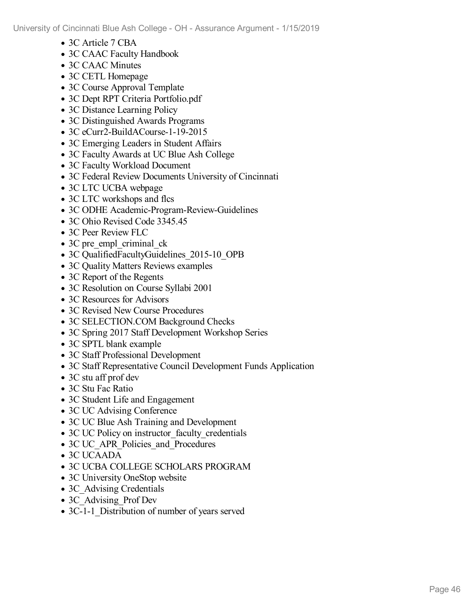- 3C Article 7 CBA
- 3C CAAC Faculty Handbook
- 3C CAAC Minutes
- 3C CETL Homepage
- 3C Course Approval Template
- 3C Dept RPT Criteria Portfolio.pdf
- 3C Distance Learning Policy
- 3C Distinguished Awards Programs
- 3C eCurr2-BuildACourse-1-19-2015
- 3C Emerging Leaders in Student Affairs
- 3C Faculty Awards at UC Blue Ash College
- 3C Faculty Workload Document
- 3C Federal Review Documents University of Cincinnati
- 3C LTC UCBA webpage
- 3C LTC workshops and flcs
- 3C ODHE Academic-Program-Review-Guidelines
- 3C Ohio Revised Code 3345.45
- 3C Peer Review FLC
- 3C pre empl criminal ck
- 3C QualifiedFacultyGuidelines 2015-10 OPB
- 3C Quality Matters Reviews examples
- 3C Report of the Regents
- 3C Resolution on Course Syllabi 2001
- 3C Resources for Advisors
- 3C Revised New Course Procedures
- 3C SELECTION.COM Background Checks
- 3C Spring 2017 Staff Development Workshop Series
- 3C SPTL blank example
- 3C Staff Professional Development
- 3C Staff Representative Council Development Funds Application
- 3C stu aff prof dev
- 3C Stu Fac Ratio
- 3C Student Life and Engagement
- 3C UC Advising Conference
- 3C UC Blue Ash Training and Development
- 3C UC Policy on instructor faculty credentials
- 3C UC\_APR\_Policies\_and\_Procedures
- 3C UCAADA
- 3C UCBA COLLEGE SCHOLARS PROGRAM
- 3C University OneStop website
- 3C Advising Credentials
- 3C Advising Prof Dev
- 3C-1-1 Distribution of number of years served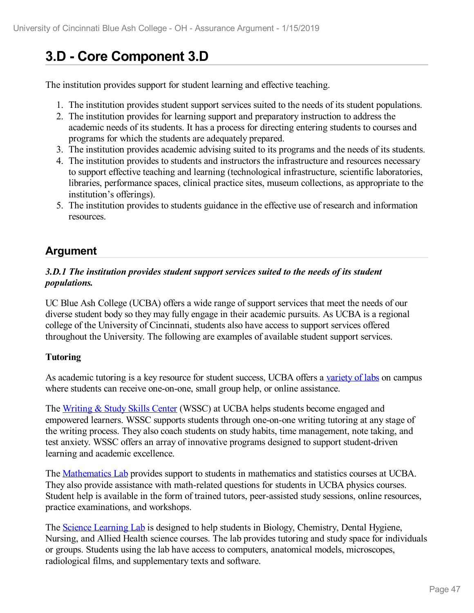# **3.D - Core Component 3.D**

The institution provides support for student learning and effective teaching.

- 1. The institution provides student support services suited to the needs of its student populations.
- 2. The institution provides for learning support and preparatory instruction to address the academic needs of its students. It has a process for directing entering students to courses and programs for which the students are adequately prepared.
- 3. The institution provides academic advising suited to its programs and the needs of its students.
- 4. The institution provides to students and instructors the infrastructure and resources necessary to support effective teaching and learning (technological infrastructure, scientific laboratories, libraries, performance spaces, clinical practice sites, museum collections, as appropriate to the institution's offerings).
- 5. The institution provides to students guidance in the effective use of research and information resources.

# **Argument**

## *3.D.1 The institution provides student support services suited to the needs of its student populations.*

UC Blue Ash College (UCBA) offers a wide range of support services that meet the needs of our diverse student body so they may fully engage in their academic pursuits. As UCBA is a regional college of the University of Cincinnati, students also have access to support services offered throughout the University. The following are examples of available student support services.

# **Tutoring**

As academic tutoring is a key resource for student success, UCBA offers a [variety](file:///D:/evidence/viewfile?fileId=629812) of labs on campus where students can receive one-on-one, small group help, or online assistance.

The [Writing](file:///D:/evidence/viewfile?fileId=629827) & Study Skills Center (WSSC) at UCBA helps students become engaged and empowered learners. WSSC supports students through one-on-one writing tutoring at any stage of the writing process. They also coach students on study habits, time management, note taking, and test anxiety. WSSC offers an array of innovative programs designed to support student-driven learning and academic excellence.

The [Mathematics](file:///D:/evidence/viewfile?fileId=629823) Lab provides support to students in mathematics and statistics courses at UCBA. They also provide assistance with math-related questions for students in UCBA physics courses. Student help is available in the form of trained tutors, peer-assisted study sessions, online resources, practice examinations, and workshops.

The Science [Learning](file:///D:/evidence/viewfile?fileId=629826) Lab is designed to help students in Biology, Chemistry, Dental Hygiene, Nursing, and Allied Health science courses. The lab provides tutoring and study space for individuals or groups. Students using the lab have access to computers, anatomical models, microscopes, radiological films, and supplementary texts and software.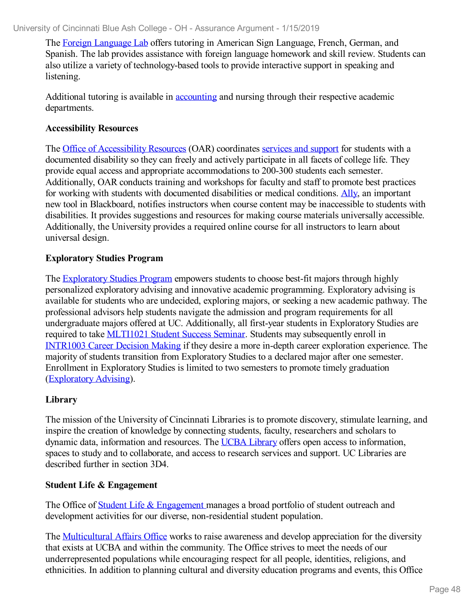The Foreign [Language](file:///D:/evidence/viewfile?fileId=629820) Lab offers tutoring in American Sign Language, French, German, and Spanish. The lab provides assistance with foreign language homework and skill review. Students can also utilize a variety of technology-based tools to provide interactive support in speaking and listening.

Additional tutoring is available in [accounting](file:///D:/evidence/viewfile?fileId=629808) and nursing through their respective academic departments.

## **Accessibility Resources**

The Office of [Accessibility](file:///D:/evidence/viewfile?fileId=629816) Resources (OAR) coordinates [services](file:///D:/evidence/viewfile?fileId=629816) and support for students with a documented disability so they can freely and actively participate in all facets of college life. They provide equal access and appropriate accommodations to 200-300 students each semester. Additionally, OAR conducts training and workshops for faculty and staff to promote best practices for working with students with documented disabilities or medical conditions. [Ally,](file:///D:/evidence/viewfile?fileId=686135) an important new tool in Blackboard, notifies instructors when course content may be inaccessible to students with disabilities. It provides suggestions and resources for making course materials universally accessible. Additionally, the University provides a required online course for all instructors to learn about universal design.

## **Exploratory Studies Program**

The [Exploratory](file:///D:/evidence/viewfile?fileId=713280) Studies Program empowers students to choose best-fit majors through highly personalized exploratory advising and innovative academic programming. Exploratory advising is available for students who are undecided, exploring majors, or seeking a new academic pathway. The professional advisors help students navigate the admission and program requirements for all undergraduate majors offered at UC. Additionally, all first-year students in Exploratory Studies are required to take [MLTI1021](file:///D:/evidence/viewfile?fileId=629873) Student Success Seminar. Students may subsequently enroll in [INTR1003](file:///D:/evidence/viewfile?fileId=629872) Career Decision Making if they desire a more in-depth career exploration experience. The majority of students transition from Exploratory Studies to a declared major after one semester. Enrollment in Exploratory Studies is limited to two semesters to promote timely graduation ([Exploratory](file:///D:/evidence/viewfile?fileId=629871) Advising).

# **Library**

The mission of the University of Cincinnati Libraries is to promote discovery, stimulate learning, and inspire the creation of knowledge by connecting students, faculty, researchers and scholars to dynamic data, information and resources. The UCBA [Library](file:///D:/evidence/viewfile?fileId=629875) offers open access to information, spaces to study and to collaborate, and access to research services and support. UC Libraries are described further in section 3D4.

## **Student Life & Engagement**

The Office of Student Life & [Engagement](file:///D:/evidence/viewfile?fileId=629874) manages a broad portfolio of student outreach and development activities for our diverse, non-residential student population.

The [Multicultural](file:///D:/evidence/viewfile?fileId=629815) Affairs Office works to raise awareness and develop appreciation for the diversity that exists at UCBA and within the community. The Office strives to meet the needs of our underrepresented populations while encouraging respect for all people, identities, religions, and ethnicities. In addition to planning cultural and diversity education programs and events, this Office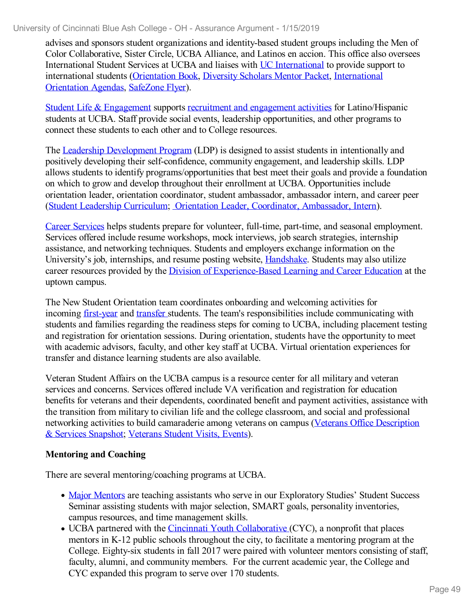advises and sponsors student organizations and identity-based student groups including the Men of Color Collaborative, Sister Circle, UCBA Alliance, and Latinos en accion. This office also oversees International Student Services at UCBA and liaises with UC [International](file:///D:/evidence/viewfile?fileId=629825) to provide support to international students [\(Orientation](file:///D:/evidence/viewfile?fileId=629858) Book, [Diversity](file:///D:/evidence/viewfile?fileId=629857) Scholars Mentor Packet, [International](file:///D:/evidence/viewfile?fileId=629854) Orientation Agendas, [SafeZone](file:///D:/evidence/viewfile?fileId=629861) Flyer).

Student Life & [Engagement](file:///D:/evidence/viewfile?fileId=629819) supports recruitment and [engagement](file:///D:/evidence/viewfile?fileId=629866) activities for Latino/Hispanic students at UCBA. Staff provide social events, leadership opportunities, and other programs to connect these students to each other and to College resources.

The Leadership [Development](file:///D:/evidence/viewfile?fileId=629818) Program (LDP) is designed to assist students in intentionally and positively developing their self-confidence, community engagement, and leadership skills. LDP allows students to identify programs/opportunities that best meet their goals and provide a foundation on which to grow and develop throughout their enrollment at UCBA. Opportunities include orientation leader, orientation coordinator, student ambassador, ambassador intern, and career peer (Student Leadership [Curriculum](file:///D:/evidence/viewfile?fileId=629869); Orientation Leader, Coordinator, [Ambassador,](file:///D:/evidence/viewfile?fileId=629870) Intern).

Career [Services](file:///D:/evidence/viewfile?fileId=629822) helps students prepare for volunteer, full-time, part-time, and seasonal employment. Services offered include resume workshops, mock interviews, job search strategies, internship assistance, and networking techniques. Students and employers exchange information on the University's job, internships, and resume posting website, **[Handshake](file:///D:/evidence/viewfile?fileId=664484)**. Students may also utilize career resources provided by the Division of [Experience-Based](file:///D:/evidence/viewfile?fileId=629829) Learning and Career Education at the uptown campus.

The New Student Orientation team coordinates onboarding and welcoming activities for incoming [first-year](file:///D:/evidence/viewfile?fileId=629814) and [transfer](file:///D:/evidence/viewfile?fileId=629817) students. The team's responsibilities include communicating with students and families regarding the readiness steps for coming to UCBA, including placement testing and registration for orientation sessions. During orientation, students have the opportunity to meet with academic advisors, faculty, and other key staff at UCBA. Virtual orientation experiences for transfer and distance learning students are also available.

Veteran Student Affairs on the UCBA campus is a resource center for all military and veteran services and concerns. Services offered include VA verification and registration for education benefits for veterans and their dependents, coordinated benefit and payment activities, assistance with the transition from military to civilian life and the college classroom, and social and professional networking activities to build [camaraderie](file:///D:/evidence/viewfile?fileId=629868) among veterans on campus (Veterans Office Description & Services Snapshot; [Veterans](file:///D:/evidence/viewfile?fileId=629824) Student Visits, Events).

#### **Mentoring and Coaching**

There are several mentoring/coaching programs at UCBA.

- Major [Mentors](file:///D:/evidence/viewfile?fileId=686154) are teaching assistants who serve in our Exploratory Studies' Student Success Seminar assisting students with major selection, SMART goals, personality inventories, campus resources, and time management skills.
- UCBA partnered with the Cincinnati Youth [Collaborative](file:///D:/evidence/viewfile?fileId=686155) (CYC), a nonprofit that places mentors in K-12 public schools throughout the city, to facilitate a mentoring program at the College. Eighty-six students in fall 2017 were paired with volunteer mentors consisting of staff, faculty, alumni, and community members. For the current academic year, the College and CYC expanded this program to serve over 170 students.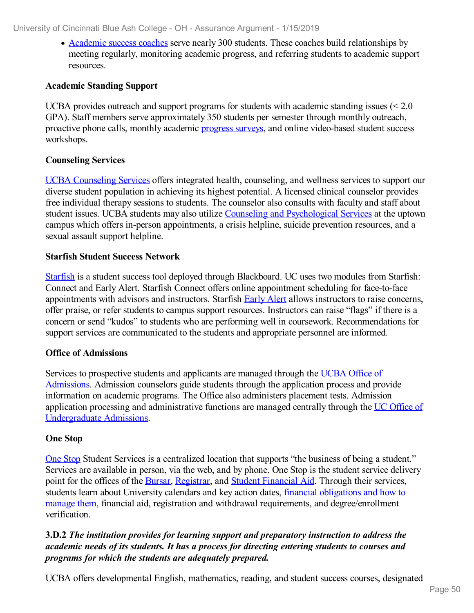• [Academic](file:///D:/evidence/viewfile?fileId=713278) success coaches serve nearly 300 students. These coaches build relationships by meeting regularly, monitoring academic progress, and referring students to academic support resources.

#### **Academic Standing Support**

UCBA provides outreach and support programs for students with academic standing issues (< 2.0 GPA). Staff members serve approximately 350 students per semester through monthly outreach, proactive phone calls, monthly academic [progress](file:///D:/evidence/viewfile?fileId=686162) surveys, and online video-based student success workshops.

## **Counseling Services**

UCBA [Counseling](file:///D:/evidence/viewfile?fileId=629810) Services offers integrated health, counseling, and wellness services to support our diverse student population in achieving its highest potential. A licensed clinical counselor provides free individual therapy sessions to students. The counselor also consults with faculty and staff about student issues. UCBA students may also utilize Counseling and [Psychological](file:///D:/evidence/viewfile?fileId=629821) Services at the uptown campus which offers in-person appointments, a crisis helpline, suicide prevention resources, and a sexual assault support helpline.

#### **Starfish Student Success Network**

[Starfish](file:///D:/evidence/viewfile?fileId=629859) is a student success tool deployed through Blackboard. UC uses two modules from Starfish: Connect and Early Alert. Starfish Connect offers online appointment scheduling for face-to-face appointments with advisors and instructors. Starfish [Early](file:///D:/evidence/viewfile?fileId=629865) Alert allows instructors to raise concerns, offer praise, or refer students to campus support resources. Instructors can raise "flags" if there is a concern or send "kudos" to students who are performing well in coursework. Recommendations for support services are communicated to the students and appropriate personnel are informed.

#### **Office of Admissions**

Services to [prospective](file:///D:/evidence/viewfile?fileId=629864) students and applicants are managed through the UCBA Office of Admissions. Admission counselors guide students through the application process and provide information on academic programs. The Office also administers placement tests. Admission application processing and [administrative](file:///D:/evidence/viewfile?fileId=629862) functions are managed centrally through the UC Office of Undergraduate Admissions.

#### **One Stop**

One [Stop](file:///D:/evidence/viewfile?fileId=629860) Student Services is a centralized location that supports "the business of being a student." Services are available in person, via the web, and by phone. One Stop is the student service delivery point for the offices of the [Bursar](file:///D:/evidence/viewfile?fileId=629853), [Registrar](file:///D:/evidence/viewfile?fileId=629856), and Student [Financial](file:///D:/evidence/viewfile?fileId=629863) Aid. Through their services, students learn about University calendars and key action dates, financial obligations and how to manage them, financial aid, registration and withdrawal requirements, and [degree/enrollment](file:///D:/evidence/viewfile?fileId=629855) verification.

## **3.D.2** *The institution provides for learning support and preparatory instruction to address the academic needs of its students. It has a process for directing entering students to courses and programs for which the students are adequately prepared.*

UCBA offers developmental English, mathematics, reading, and student success courses, designated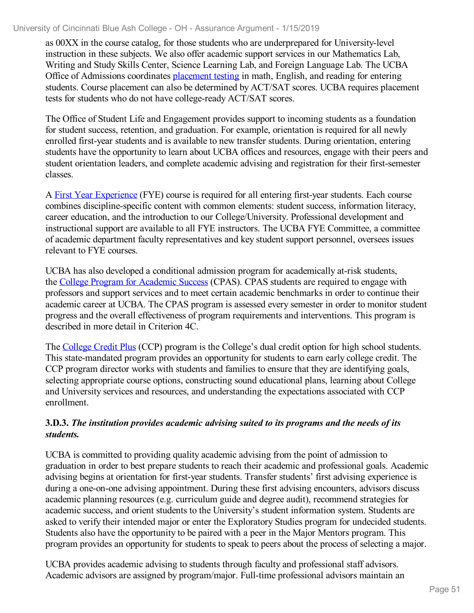as 00XX in the course catalog, for those students who are underprepared for University-level instruction in these subjects. We also offer academic support services in our Mathematics Lab, Writing and Study Skills Center, Science Learning Lab, and Foreign Language Lab. The UCBA Office of Admissions coordinates [placement](file:///D:/evidence/viewfile?fileId=631297) testing in math, English, and reading for entering students. Course placement can also be determined by ACT/SAT scores. UCBA requires placement tests for students who do not have college-ready ACT/SAT scores.

The Office of Student Life and Engagement provides support to incoming students as a foundation for student success, retention, and graduation. For example, orientation is required for all newly enrolled first-year students and is available to new transfer students. During orientation, entering students have the opportunity to learn about UCBA offices and resources, engage with their peers and student orientation leaders, and complete academic advising and registration for their first-semester classes.

A First Year [Experience](file:///D:/evidence/viewfile?fileId=701563) (FYE) course is required for all entering first-year students. Each course combines discipline-specific content with common elements: student success, information literacy, career education, and the introduction to our College/University. Professional development and instructional support are available to all FYE instructors. The UCBA FYE Committee, a committee of academic department faculty representatives and key student support personnel, oversees issues relevant to FYE courses.

UCBA has also developed a conditional admission program for academically at-risk students, the College Program for [Academic](file:///D:/evidence/viewfile?fileId=631298) Success (CPAS). CPAS students are required to engage with professors and support services and to meet certain academic benchmarks in order to continue their academic career at UCBA. The CPAS program is assessed every semester in order to monitor student progress and the overall effectiveness of program requirements and interventions. This program is described in more detail in Criterion 4C.

The [College](file:///D:/evidence/viewfile?fileId=675451) Credit Plus (CCP) program is the College's dual credit option for high school students. This state-mandated program provides an opportunity for students to earn early college credit. The CCP program director works with students and families to ensure that they are identifying goals, selecting appropriate course options, constructing sound educational plans, learning about College and University services and resources, and understanding the expectations associated with CCP enrollment.

## **3.D.3.** *The institution provides academic advising suited to its programs and the needs of its students.*

UCBA is committed to providing quality academic advising from the point of admission to graduation in order to best prepare students to reach their academic and professional goals. Academic advising begins at orientation for first-year students. Transfer students' first advising experience is during a one-on-one advising appointment. During these first advising encounters, advisors discuss academic planning resources (e.g. curriculum guide and degree audit), recommend strategies for academic success, and orient students to the University's student information system. Students are asked to verify their intended major or enter the Exploratory Studies program for undecided students. Students also have the opportunity to be paired with a peer in the Major Mentors program. This program provides an opportunity for students to speak to peers about the process of selecting a major.

UCBA provides academic advising to students through faculty and professional staff advisors. Academic advisors are assigned by program/major. Full-time professional advisors maintain an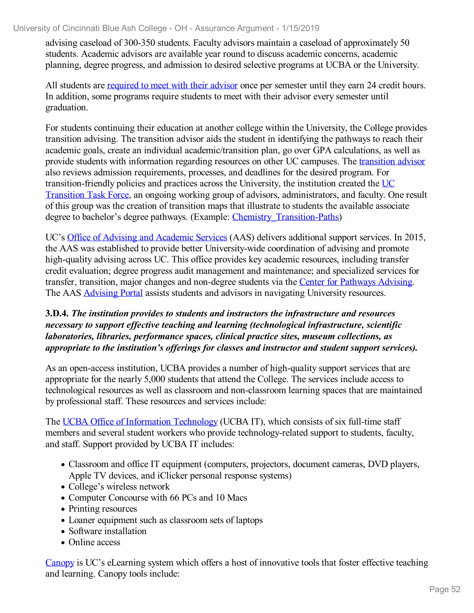advising caseload of 300-350 students. Faculty advisors maintain a caseload of approximately 50 students. Academic advisors are available year round to discuss academic concerns, academic planning, degree progress, and admission to desired selective programs at UCBA or the University.

All students are [required](file:///D:/evidence/viewfile?fileId=631308) to meet with their advisor once per semester until they earn 24 credit hours. In addition, some programs require students to meet with their advisor every semester until graduation.

For students continuing their education at another college within the University, the College provides transition advising. The transition advisor aids the student in identifying the pathways to reach their academic goals, create an individual academic/transition plan, go over GPA calculations, as well as provide students with information regarding resources on other UC campuses. The [transition](file:///D:/evidence/viewfile?fileId=631309) advisor also reviews admission requirements, processes, and deadlines for the desired program. For [transition-friendly](file:///D:/evidence/viewfile?fileId=631311) policies and practices across the University, the institution created the UC Transition Task Force, an ongoing working group of advisors, administrators, and faculty. One result of this group was the creation of transition maps that illustrate to students the available associate degree to bachelor's degree pathways. (Example: Chemistry Transition-Paths)

UC's Office of Advising and [Academic](file:///D:/evidence/viewfile?fileId=631313) Services (AAS) delivers additional support services. In 2015, the AAS was established to provide better University-wide coordination of advising and promote high-quality advising across UC. This office provides key academic resources, including transfer credit evaluation; degree progress audit management and maintenance; and specialized services for transfer, transition, major changes and non-degree students via the Center for [Pathways](file:///D:/evidence/viewfile?fileId=631314) Advising. The AAS [Advising](file:///D:/evidence/viewfile?fileId=631312) Portal assists students and advisors in navigating University resources.

#### **3.D.4.** *The institution provides to students and instructors the infrastructure and resources necessary to support ef ective teaching and learning (technological infrastructure, scientific laboratories, libraries, performance spaces, clinical practice sites, museum collections, as appropriate to the institution's of erings for classes and instructor and student support services).*

As an open-access institution, UCBA provides a number of high-quality support services that are appropriate for the nearly 5,000 students that attend the College. The services include access to technological resources as well as classroom and non-classroom learning spaces that are maintained by professional staff. These resources and services include:

The UCBA Office of [Information](file:///D:/evidence/viewfile?fileId=631331) Technology (UCBA IT), which consists of six full-time staff members and several student workers who provide technology-related support to students, faculty, and staff. Support provided by UCBA IT includes:

- Classroom and office IT equipment (computers, projectors, document cameras, DVD players, Apple TV devices, and iClicker personal response systems)
- College's wireless network
- Computer Concourse with 66 PCs and 10 Macs
- Printing resources
- Loaner equipment such as classroom sets of laptops
- Software installation
- Online access

[Canopy](file:///D:/evidence/viewfile?fileId=631315) is UC's eLearning system which offers a host of innovative tools that foster effective teaching and learning. Canopy tools include: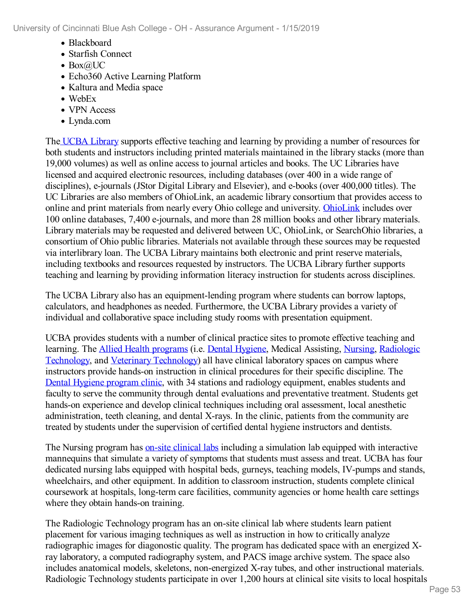- Blackboard
- Starfish Connect
- $\bullet$  Box $\omega$ UC
- Echo360 Active Learning Platform
- Kaltura and Media space
- WebEx
- VPN Access
- Lynda.com

The UCBA [Library](file:///D:/evidence/viewfile?fileid=629875) supports effective teaching and learning by providing a number of resources for both students and instructors including printed materials maintained in the library stacks (more than 19,000 volumes) as well as online access to journal articles and books. The UC Libraries have licensed and acquired electronic resources, including databases (over 400 in a wide range of disciplines), e-journals (JStor Digital Library and Elsevier), and e-books (over 400,000 titles). The UC Libraries are also members of OhioLink, an academic library consortium that provides access to online and print materials from nearly every Ohio college and university. [OhioLink](file:///D:/evidence/viewfile?fileId=631323) includes over 100 online databases, 7,400 e-journals, and more than 28 million books and other library materials. Library materials may be requested and delivered between UC, OhioLink, or SearchOhio libraries, a consortium of Ohio public libraries. Materials not available through these sources may be requested via interlibrary loan. The UCBA Library maintains both electronic and print reserve materials, including textbooks and resources requested by instructors. The UCBA Library further supports teaching and learning by providing information literacy instruction for students across disciplines.

The UCBA Library also has an equipment-lending program where students can borrow laptops, calculators, and headphones as needed. Furthermore, the UCBA Library provides a variety of individual and collaborative space including study rooms with presentation equipment.

UCBA provides students with a number of clinical practice sites to promote effective teaching and learning. The Allied Health [programs](file:///D:/evidence/viewfile?fileId=631317) (i.e. Dental [Hygiene](file:///D:/evidence/viewfile?fileId=631319), Medical Assisting, [Nursing](file:///D:/evidence/viewfile?fileId=631320), Radiologic Technology, and Veterinary [Technology\)](file:///D:/evidence/viewfile?fileId=631325) all have clinical laboratory spaces on campus where instructors provide hands-on instruction in clinical procedures for their specific discipline. The Dental Hygiene [program](file:///D:/evidence/viewfile?fileId=631333) clinic, with 34 stations and radiology equipment, enables students and faculty to serve the community through dental evaluations and preventative treatment. Students get hands-on experience and develop clinical techniques including oral assessment, local anesthetic administration, teeth cleaning, and dental X-rays. In the clinic, patients from the community are treated by students under the supervision of certified dental hygiene instructors and dentists.

The Nursing program has on-site [clinical](file:///D:/evidence/viewfile?fileId=631335) labs including a simulation lab equipped with interactive mannequins that simulate a variety of symptoms that students must assess and treat. UCBA has four dedicated nursing labs equipped with hospital beds, gurneys, teaching models, IV-pumps and stands, wheelchairs, and other equipment. In addition to classroom instruction, students complete clinical coursework at hospitals, long-term care facilities, community agencies or home health care settings where they obtain hands-on training.

The Radiologic Technology program has an on-site clinical lab where students learn patient placement for various imaging techniques as well as instruction in how to critically analyze radiographic images for diagonostic quality. The program has dedicated space with an energized Xray laboratory, a computed radiography system, and PACS image archive system. The space also includes anatomical models, skeletons, non-energized X-ray tubes, and other instructional materials. Radiologic Technology students participate in over 1,200 hours at clinical site visits to local hospitals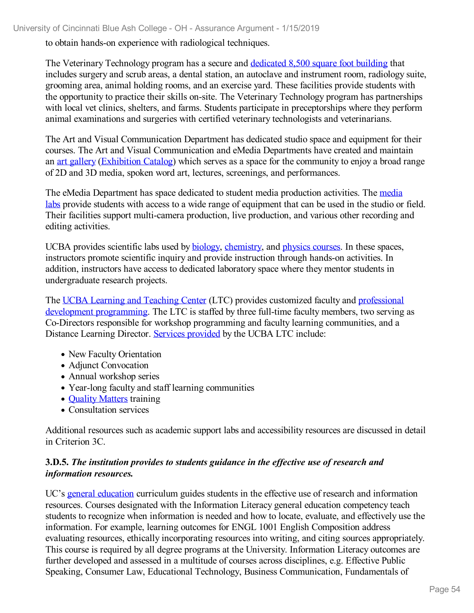to obtain hands-on experience with radiological techniques.

The Veterinary Technology program has a secure and [dedicated](file:///D:/evidence/viewfile?fileId=631337) 8,500 square foot building that includes surgery and scrub areas, a dental station, an autoclave and instrument room, radiology suite, grooming area, animal holding rooms, and an exercise yard. These facilities provide students with the opportunity to practice their skills on-site. The Veterinary Technology program has partnerships with local vet clinics, shelters, and farms. Students participate in preceptorships where they perform animal examinations and surgeries with certified veterinary technologists and veterinarians.

The Art and Visual Communication Department has dedicated studio space and equipment for their courses. The Art and Visual Communication and eMedia Departments have created and maintain an art [gallery](file:///D:/evidence/viewfile?fileId=631343) ([Exhibition](file:///D:/evidence/viewfile?fileId=631329) Catalog) which serves as a space for the community to enjoy a broad range of 2D and 3D media, spoken word art, lectures, screenings, and performances.

The eMedia [Department](file:///D:/evidence/viewfile?fileId=631321) has space dedicated to student media production activities. The media labs provide students with access to a wide range of equipment that can be used in the studio or field. Their facilities support multi-camera production, live production, and various other recording and editing activities.

UCBA provides scientific labs used by [biology,](file:///D:/evidence/viewfile?fileId=631332) [chemistry,](file:///D:/evidence/viewfile?fileId=631334) and [physics](file:///D:/evidence/viewfile?fileId=631336) courses. In these spaces, instructors promote scientific inquiry and provide instruction through hands-on activities. In addition, instructors have access to dedicated laboratory space where they mentor students in undergraduate research projects.

The UCBA Learning and [Teaching](file:///D:/evidence/viewfile?fileId=631327) Center (LTC) provides customized faculty and professional development [programming.](file:///D:/evidence/viewfile?fileId=631322) The LTC is staffed by three full-time faculty members, two serving as Co-Directors responsible for workshop programming and faculty learning communities, and a Distance Learning Director. Services [provided](file:///D:/evidence/viewfile?fileId=631324) by the UCBA LTC include:

- New Faculty Orientation
- Adjunct Convocation
- Annual workshop series
- Year-long faculty and staff learning communities
- **Quality [Matters](file:///D:/evidence/viewfile?fileId=631328) training**
- Consultation services

Additional resources such as academic support labs and accessibility resources are discussed in detail in Criterion 3C.

## **3.D.5.** *The institution provides to students guidance in the ef ective use of research and information resources.*

UC's general [education](file:///D:/evidence/viewfile?fileId=631355) curriculum guides students in the effective use of research and information resources. Courses designated with the Information Literacy general education competency teach students to recognize when information is needed and how to locate, evaluate, and effectively use the information. For example, learning outcomes for ENGL 1001 English Composition address evaluating resources, ethically incorporating resources into writing, and citing sources appropriately. This course is required by all degree programs at the University. Information Literacy outcomes are further developed and assessed in a multitude of courses across disciplines, e.g. Effective Public Speaking, Consumer Law, Educational Technology, Business Communication, Fundamentals of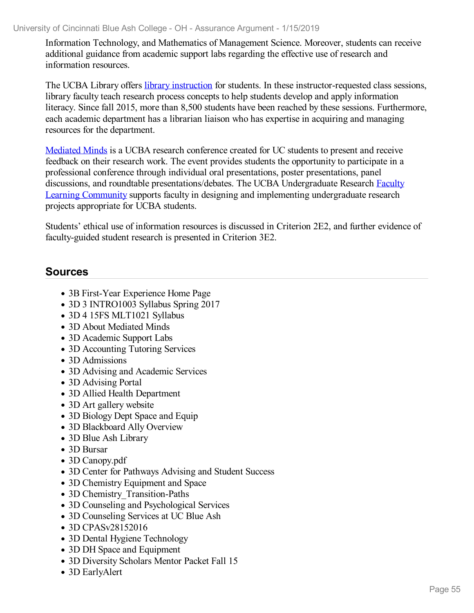Information Technology, and Mathematics of Management Science. Moreover, students can receive additional guidance from academic support labs regarding the effective use of research and information resources.

The UCBA Library offers library [instruction](file:///D:/evidence/viewfile?fileId=713306) for students. In these instructor-requested class sessions, library faculty teach research process concepts to help students develop and apply information literacy. Since fall 2015, more than 8,500 students have been reached by these sessions. Furthermore, each academic department has a librarian liaison who has expertise in acquiring and managing resources for the department.

[Mediated](file:///D:/evidence/viewfile?fileId=631357) Minds is a UCBA research conference created for UC students to present and receive feedback on their research work. The event provides students the opportunity to participate in a professional conference through individual oral presentations, poster presentations, panel discussions, and roundtable [presentations/debates.](file:///D:/evidence/viewfile?fileId=631358) The UCBA Undergraduate Research Faculty Learning Community supports faculty in designing and implementing undergraduate research projects appropriate for UCBA students.

Students' ethical use of information resources is discussed in Criterion 2E2, and further evidence of faculty-guided student research is presented in Criterion 3E2.

# **Sources**

- 3B First-Year Experience Home Page
- 3D 3 INTRO1003 Syllabus Spring 2017
- 3D 4 15FS MLT1021 Syllabus
- 3D About Mediated Minds
- 3D Academic Support Labs
- 3D Accounting Tutoring Services
- 3D Admissions
- 3D Advising and Academic Services
- 3D Advising Portal
- 3D Allied Health Department
- 3D Art gallery website
- 3D Biology Dept Space and Equip
- 3D Blackboard Ally Overview
- 3D Blue Ash Library
- 3D Bursar
- 3D Canopy.pdf
- 3D Center for Pathways Advising and Student Success
- 3D Chemistry Equipment and Space
- 3D Chemistry Transition-Paths
- 3D Counseling and Psychological Services
- 3D Counseling Services at UC Blue Ash
- 3D CPASv28152016
- 3D Dental Hygiene Technology
- 3D DH Space and Equipment
- 3D Diversity Scholars Mentor Packet Fall 15
- 3D EarlyAlert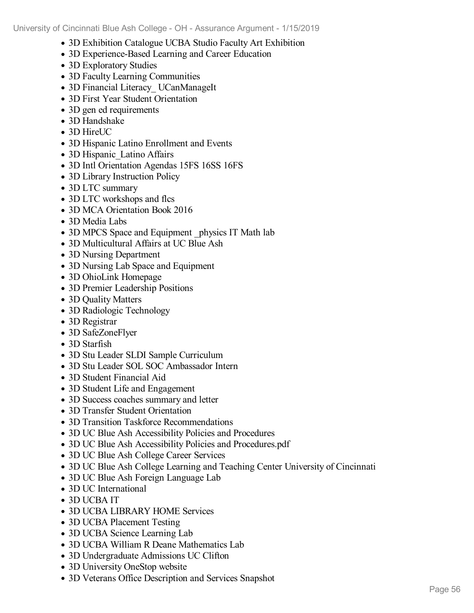- 3D Exhibition Catalogue UCBA Studio Faculty Art Exhibition
- 3D Experience-Based Learning and Career Education
- 3D Exploratory Studies
- 3D Faculty Learning Communities
- 3D Financial Literacy UCanManageIt
- 3D First Year Student Orientation
- 3D gen ed requirements
- 3D Handshake
- 3D HireUC
- 3D Hispanic Latino Enrollment and Events
- 3D Hispanic Latino Affairs
- 3D Intl Orientation Agendas 15FS 16SS 16FS
- 3D Library Instruction Policy
- 3D LTC summary
- 3D LTC workshops and flcs
- 3D MCA Orientation Book 2016
- 3D Media Labs
- 3D MPCS Space and Equipment physics IT Math lab
- 3D Multicultural Affairs at UC Blue Ash
- 3D Nursing Department
- 3D Nursing Lab Space and Equipment
- 3D OhioLink Homepage
- 3D Premier Leadership Positions
- 3D Quality Matters
- 3D Radiologic Technology
- 3D Registrar
- 3D SafeZoneFlyer
- 3D Starfish
- 3D Stu Leader SLDI Sample Curriculum
- 3D Stu Leader SOL SOC Ambassador Intern
- 3D Student Financial Aid
- 3D Student Life and Engagement
- 3D Success coaches summary and letter
- 3D Transfer Student Orientation
- 3D Transition Taskforce Recommendations
- 3D UC Blue Ash Accessibility Policies and Procedures
- 3D UC Blue Ash Accessibility Policies and Procedures.pdf
- 3D UC Blue Ash College Career Services
- 3D UC Blue Ash College Learning and Teaching Center University of Cincinnati
- 3D UC Blue Ash Foreign Language Lab
- 3D UC International
- 3D UCBA IT
- 3D UCBA LIBRARY HOME Services
- 3D UCBA Placement Testing
- 3D UCBA Science Learning Lab
- 3D UCBA William R Deane Mathematics Lab
- 3D Undergraduate Admissions UC Clifton
- 3D University OneStop website
- 3D Veterans Office Description and Services Snapshot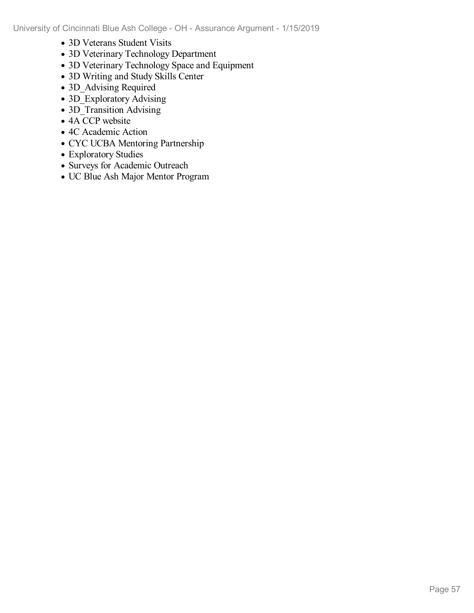- 3D Veterans Student Visits
- 3D Veterinary Technology Department
- 3D Veterinary Technology Space and Equipment
- 3D Writing and Study Skills Center
- 3D\_Advising Required
- 3D Exploratory Advising
- 3D\_Transition Advising
- $\bullet$  4A CCP website
- 4C Academic Action
- CYC UCBA Mentoring Partnership
- Exploratory Studies
- Surveys for Academic Outreach
- UC Blue Ash Major Mentor Program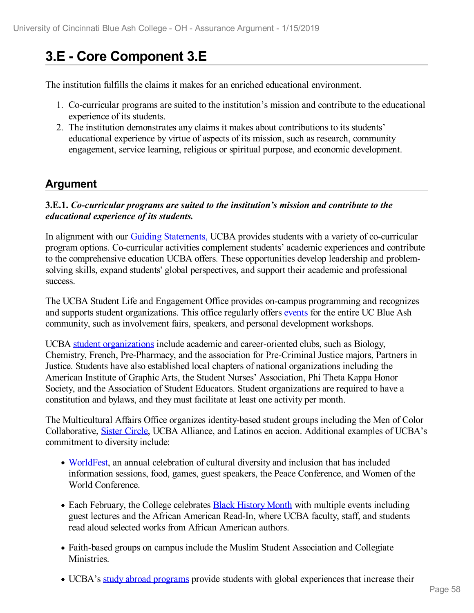# **3.E - Core Component 3.E**

The institution fulfills the claims it makes for an enriched educational environment.

- 1. Co-curricular programs are suited to the institution's mission and contribute to the educational experience of its students.
- 2. The institution demonstrates any claims it makes about contributions to its students' educational experience by virtue of aspects of its mission, such as research, community engagement, service learning, religious or spiritual purpose, and economic development.

# **Argument**

#### **3.E.1.** *Co-curricular programs are suited to the institution's mission and contribute to the educational experience of its students.*

In alignment with our **Guiding Statements**, UCBA provides students with a variety of co-curricular program options. Co-curricular activities complement students' academic experiences and contribute to the comprehensive education UCBA offers. These opportunities develop leadership and problemsolving skills, expand students' global perspectives, and support their academic and professional success.

The UCBA Student Life and Engagement Office provides on-campus programming and recognizes and supports student organizations. This office regularly offers [events](file:///D:/evidence/viewfile?fileId=627903) for the entire UC Blue Ash community, such as involvement fairs, speakers, and personal development workshops.

UCBA student [organizations](file:///D:/evidence/viewfile?fileId=627899) include academic and career-oriented clubs, such as Biology, Chemistry, French, Pre-Pharmacy, and the association for Pre-Criminal Justice majors, Partners in Justice. Students have also established local chapters of national organizations including the American Institute of Graphic Arts, the Student Nurses' Association, Phi Theta Kappa Honor Society, and the Association of Student Educators. Student organizations are required to have a constitution and bylaws, and they must facilitate at least one activity per month.

The Multicultural Affairs Office organizes identity-based student groups including the Men of Color Collaborative, Sister [Circle,](file:///D:/evidence/viewfile?fileId=713317) UCBA Alliance, and Latinos en accion. Additional examples of UCBA's commitment to diversity include:

- [WorldFest](file:///D:/evidence/viewfile?fileId=627901), an annual celebration of cultural diversity and inclusion that has included information sessions, food, games, guest speakers, the Peace Conference, and Women of the World Conference.
- Each February, the College celebrates **Black [History](file:///D:/evidence/viewfile?fileId=627894) Month** with multiple events including guest lectures and the African American Read-In, where UCBA faculty, staff, and students read aloud selected works from African American authors.
- Faith-based groups on campus include the Muslim Student Association and Collegiate Ministries.
- UCBA's study abroad [programs](file:///D:/evidence/viewfile?fileId=627920) provide students with global experiences that increase their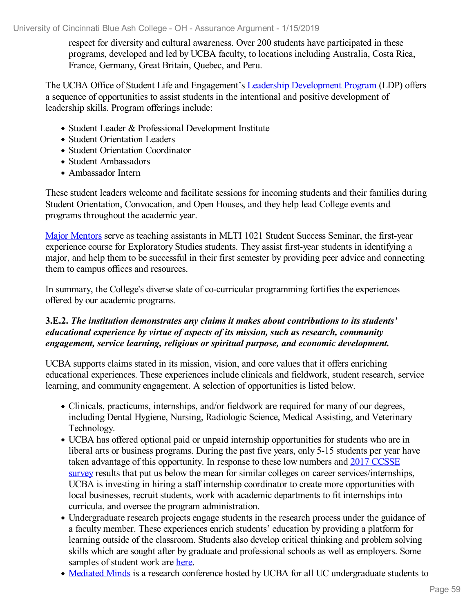respect for diversity and cultural awareness. Over 200 students have participated in these programs, developed and led by UCBA faculty, to locations including Australia, Costa Rica, France, Germany, Great Britain, Quebec, and Peru.

The UCBA Office of Student Life and Engagement's Leadership [Development](file:///D:/evidence/viewfile?fileId=627925) Program (LDP) offers a sequence of opportunities to assist students in the intentional and positive development of leadership skills. Program offerings include:

- Student Leader & Professional Development Institute
- Student Orientation Leaders
- Student Orientation Coordinator
- Student Ambassadors
- Ambassador Intern

These student leaders welcome and facilitate sessions for incoming students and their families during Student Orientation, Convocation, and Open Houses, and they help lead College events and programs throughout the academic year.

Major [Mentors](file:///D:/evidence/viewfile?fileId=627897) serve as teaching assistants in MLTI 1021 Student Success Seminar, the first-year experience course for Exploratory Studies students. They assist first-year students in identifying a major, and help them to be successful in their first semester by providing peer advice and connecting them to campus offices and resources.

In summary, the College's diverse slate of co-curricular programming fortifies the experiences offered by our academic programs.

#### **3.E.2.** *The institution demonstrates any claims it makes about contributions to its students' educational experience by virtue of aspects of its mission, such as research, community engagement, service learning, religious or spiritual purpose, and economic development.*

UCBA supports claims stated in its mission, vision, and core values that it offers enriching educational experiences. These experiences include clinicals and fieldwork, student research, service learning, and community engagement. A selection of opportunities is listed below.

- Clinicals, practicums, internships, and/or fieldwork are required for many of our degrees, including Dental Hygiene, Nursing, Radiologic Science, Medical Assisting, and Veterinary Technology.
- UCBA has offered optional paid or unpaid internship opportunities for students who are in liberal arts or business programs. During the past five years, only 5-15 students per year have taken advantage of this opportunity. In response to these low numbers and 2017 CCSSE survey results that put us below the mean for similar colleges on career [services/internsh](file:///D:/evidence/viewfile?fileId=646158)ips, UCBA is investing in hiring a staff internship coordinator to create more opportunities with local businesses, recruit students, work with academic departments to fit internships into curricula, and oversee the program administration.
- Undergraduate research projects engage students in the research process under the guidance of a faculty member. These experiences enrich students' education by providing a platform for learning outside of the classroom. Students also develop critical thinking and problem solving skills which are sought after by graduate and professional schools as well as employers. Some samples of student work are [here](file:///D:/evidence/viewfile?fileId=627902).
- [Mediated](file:///D:/evidence/viewfile?fileId=627898) Minds is a research conference hosted by UCBA for all UC undergraduate students to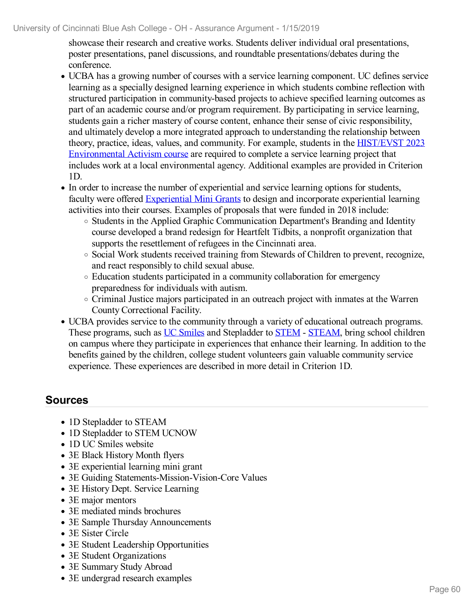showcase their research and creative works. Students deliver individual oral presentations, poster presentations, panel discussions, and roundtable presentations/debates during the conference.

- UCBA has a growing number of courses with a service learning component. UC defines service learning as a specially designed learning experience in which students combine reflection with structured participation in community-based projects to achieve specified learning outcomes as part of an academic course and/or program requirement. By participating in service learning, students gain a richer mastery of course content, enhance their sense of civic responsibility, and ultimately develop a more integrated approach to understanding the relationship between theory, practice, ideas, values, and community. For example, students in the HIST/EVST 2023 [Environmental](file:///D:/evidence/viewfile?fileId=627893) Activism course are required to complete a service learning project that includes work at a local environmental agency. Additional examples are provided in Criterion  $1<sub>D</sub>$
- In order to increase the number of experiential and service learning options for students, faculty were offered [Experiential](file:///D:/evidence/viewfile?fileId=627892) Mini Grants to design and incorporate experiential learning activities into their courses. Examples of proposals that were funded in 2018 include:
	- Students in the Applied Graphic Communication Department's Branding and Identity course developed a brand redesign for Heartfelt Tidbits, a nonprofit organization that supports the resettlement of refugees in the Cincinnati area.
	- $\circ$  Social Work students received training from Stewards of Children to prevent, recognize, and react responsibly to child sexual abuse.
	- Education students participated in a community collaboration for emergency preparedness for individuals with autism.
	- Criminal Justice majors participated in an outreach project with inmates at the Warren County Correctional Facility.
- UCBA provides service to the community through a variety of educational outreach programs. These programs, such as UC [Smiles](file:///D:/evidence/viewfile?fileId=624254) and Stepladder to [STEM](file:///D:/evidence/viewfile?fileId=624249) - [STEAM](file:///D:/evidence/viewfile?fileId=624246), bring school children on campus where they participate in experiences that enhance their learning. In addition to the benefits gained by the children, college student volunteers gain valuable community service experience. These experiences are described in more detail in Criterion 1D.

# **Sources**

- 1D Stepladder to STEAM
- 1D Stepladder to STEM UCNOW
- 1D UC Smiles website
- 3E Black History Month flyers
- 3E experiential learning mini grant
- 3E Guiding Statements-Mission-Vision-Core Values
- 3E History Dept. Service Learning
- 3E major mentors
- 3E mediated minds brochures
- 3E Sample Thursday Announcements
- 3E Sister Circle
- 3E Student Leadership Opportunities
- 3E Student Organizations
- 3E Summary Study Abroad
- 3E undergrad research examples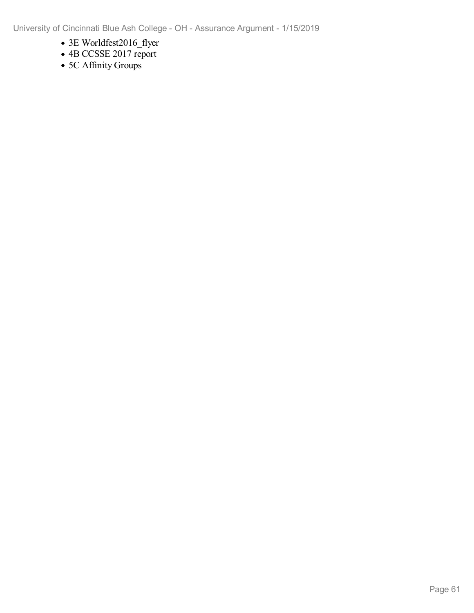- 3E Worldfest2016\_flyer
- 4B CCSSE 2017 report
- 5C Affinity Groups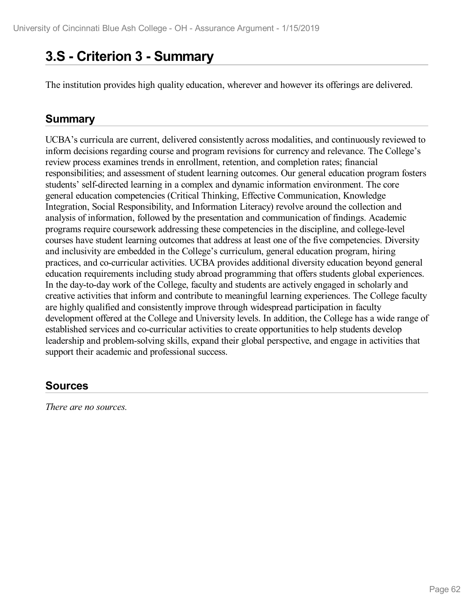# **3.S - Criterion 3 -Summary**

The institution provides high quality education, wherever and however its offerings are delivered.

# **Summary**

UCBA's curricula are current, delivered consistently across modalities, and continuously reviewed to inform decisions regarding course and program revisions for currency and relevance. The College's review process examines trends in enrollment, retention, and completion rates; financial responsibilities; and assessment of student learning outcomes. Our general education program fosters students' self-directed learning in a complex and dynamic information environment. The core general education competencies (Critical Thinking, Effective Communication, Knowledge Integration, Social Responsibility, and Information Literacy) revolve around the collection and analysis of information, followed by the presentation and communication of findings. Academic programs require coursework addressing these competencies in the discipline, and college-level courses have student learning outcomes that address at least one of the five competencies. Diversity and inclusivity are embedded in the College's curriculum, general education program, hiring practices, and co-curricular activities. UCBA provides additional diversity education beyond general education requirements including study abroad programming that offers students global experiences. In the day-to-day work of the College, faculty and students are actively engaged in scholarly and creative activities that inform and contribute to meaningful learning experiences. The College faculty are highly qualified and consistently improve through widespread participation in faculty development offered at the College and University levels. In addition, the College has a wide range of established services and co-curricular activities to create opportunities to help students develop leadership and problem-solving skills, expand their global perspective, and engage in activities that support their academic and professional success.

# **Sources**

*There are no sources.*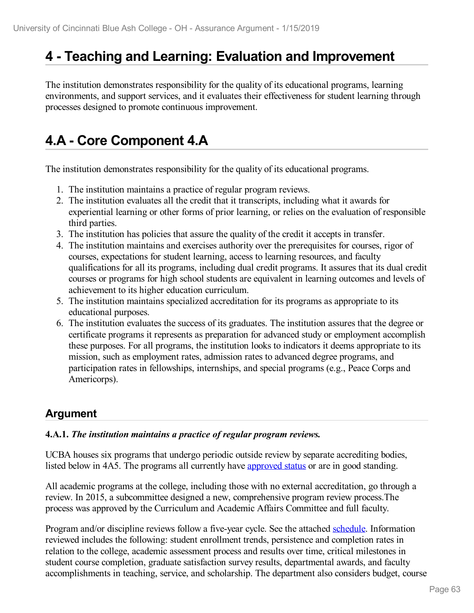# **4 -Teaching and Learning: Evaluation and Improvement**

The institution demonstrates responsibility for the quality of its educational programs, learning environments, and support services, and it evaluates their effectiveness for student learning through processes designed to promote continuous improvement.

# **4.A - Core Component 4.A**

The institution demonstrates responsibility for the quality of its educational programs.

- 1. The institution maintains a practice of regular program reviews.
- 2. The institution evaluates all the credit that it transcripts, including what it awards for experiential learning or other forms of prior learning, or relies on the evaluation of responsible third parties.
- 3. The institution has policies that assure the quality of the credit it accepts in transfer.
- 4. The institution maintains and exercises authority over the prerequisites for courses, rigor of courses, expectations for student learning, access to learning resources, and faculty qualifications for all its programs, including dual credit programs. It assures that its dual credit courses or programs for high school students are equivalent in learning outcomes and levels of achievement to its higher education curriculum.
- 5. The institution maintains specialized accreditation for its programs as appropriate to its educational purposes.
- 6. The institution evaluates the success of its graduates. The institution assures that the degree or certificate programs it represents as preparation for advanced study or employment accomplish these purposes. For all programs, the institution looks to indicators it deems appropriate to its mission, such as employment rates, admission rates to advanced degree programs, and participation rates in fellowships, internships, and special programs (e.g., Peace Corps and Americorps).

# **Argument**

## **4.A.1.** *The institution maintains a practice of regular program reviews.*

UCBA houses six programs that undergo periodic outside review by separate accrediting bodies, listed below in 4A5. The programs all currently have [approved](file:///D:/evidence/viewfile?fileId=665265) status or are in good standing.

All academic programs at the college, including those with no external accreditation, go through a review. In 2015, a subcommittee designed a new, comprehensive program review process.The process was approved by the Curriculum and Academic Affairs Committee and full faculty.

Program and/or discipline reviews follow afive-year cycle. See the attached [schedule](file:///D:/evidence/viewfile?fileId=646007). Information reviewed includes the following: student enrollment trends, persistence and completion rates in relation to the college, academic assessment process and results over time, critical milestones in student course completion, graduate satisfaction survey results, departmental awards, and faculty accomplishments in teaching, service, and scholarship. The department also considers budget, course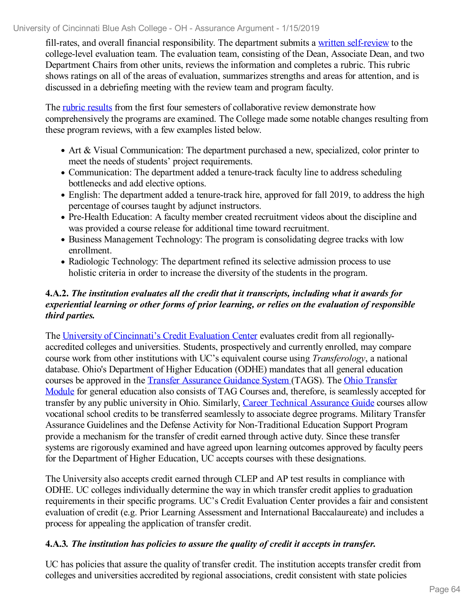fill-rates, and overall financial responsibility. The department submits a written [self-review](file:///D:/evidence/viewfile?fileId=646008) to the college-level evaluation team. The evaluation team, consisting of the Dean, Associate Dean, and two Department Chairs from other units, reviews the information and completes a rubric. This rubric shows ratings on all of the areas of evaluation, summarizes strengths and areas for attention, and is discussed in a debriefing meeting with the review team and program faculty.

The rubric [results](file:///D:/evidence/viewfile?fileId=646009) from the first four semesters of collaborative review demonstrate how comprehensively the programs are examined. The College made some notable changes resulting from these program reviews, with a few examples listed below.

- Art & Visual Communication: The department purchased a new, specialized, color printer to meet the needs of students' project requirements.
- Communication: The department added a tenure-track faculty line to address scheduling bottlenecks and add elective options.
- English: The department added a tenure-track hire, approved for fall 2019, to address the high percentage of courses taught by adjunct instructors.
- Pre-Health Education: A faculty member created recruitment videos about the discipline and was provided a course release for additional time toward recruitment.
- Business Management Technology: The program is consolidating degree tracks with low enrollment.
- Radiologic Technology: The department refined its selective admission process to use holistic criteria in order to increase the diversity of the students in the program.

## **4.A.2.** *The institution evaluates all the credit that it transcripts, including what it awards for experiential learning or other forms of prior learning, or relies on the evaluation of responsible third parties.*

The University of [Cincinnati's](file:///D:/evidence/viewfile?fileid=646014) Credit Evaluation Center evaluates credit from allregionallyaccredited colleges and universities. Students, prospectively and currently enrolled, may compare course work from other institutions with UC's equivalent course using *Transferology*, a national database. Ohio's Department of Higher Education (ODHE) mandates that all general education courses be approved in the Transfer [Assurance](file:///D:/evidence/viewfile?fileId=646010) Guidance System (TAGS). The Ohio Transfer Module for general education also consists of TAG Courses and, therefore, is [seamlessly](file:///D:/evidence/viewfile?fileId=646011) accepted for transfer by any public university in Ohio. Similarly, Career Technical [Assurance](file:///D:/evidence/viewfile?fileId=646012) Guide courses allow vocational school credits to be transferred seamlessly to associate degree programs. Military Transfer Assurance Guidelines and the Defense Activity for Non-Traditional Education Support Program provide a mechanism for the transfer of credit earned through active duty. Since these transfer systems are rigorously examined and have agreed upon learning outcomes approved by faculty peers for the Department of Higher Education, UC accepts courses with these designations.

The University also accepts credit earned through CLEP and AP test results in compliance with ODHE. UC colleges individually determine the way in which transfer credit applies to graduation requirements in their specific programs. UC's Credit Evaluation Center provides a fair and consistent evaluation of credit (e.g. Prior Learning Assessment and International Baccalaureate) and includes a process for appealing the application of transfer credit.

## **4.A.3***. The institution has policies to assure the quality of credit it accepts in transfer.*

UC has policies that assure the quality of transfer credit. The institution accepts transfer credit from colleges and universities accredited by regional associations, credit consistent with state policies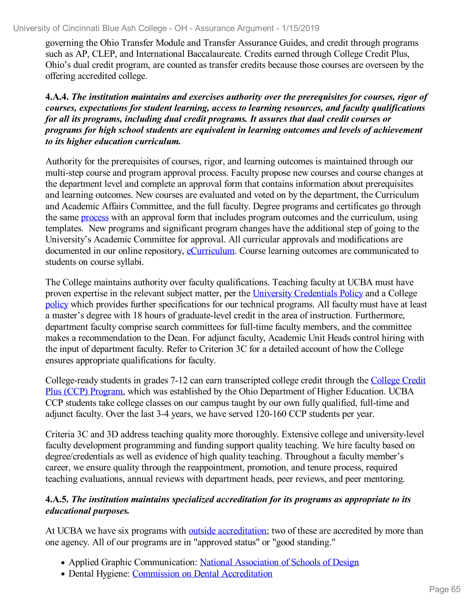governing the Ohio Transfer Module and Transfer Assurance Guides, and credit through programs such as AP, CLEP, and International Baccalaureate. Credits earned through College Credit Plus, Ohio's dual credit program, are counted as transfer credits because those courses are overseen by the offering accredited college.

**4.A.4.** *The institution maintains and exercises authority over the prerequisites for courses, rigor of courses, expectations for student learning, access to learning resources, and faculty qualifications for all its programs, including dual credit programs. It assures that dual credit courses or programs for high school students are equivalent in learning outcomes and levels of achievement to its higher education curriculum.*

Authority for the prerequisites of courses, rigor, and learning outcomes is maintained through our multi-step course and program approval process. Faculty propose new courses and course changes at the department level and complete an approval form that contains information about prerequisites and learning outcomes. New courses are evaluated and voted on by the department, the Curriculum and Academic Affairs Committee, and the full faculty. Degree programs and certificates go through the same [process](file:///D:/evidence/viewfile?fileid=646016) with an approval form that includes program outcomes and the curriculum, using templates. New programs and significant program changes have the additional step of going to the University's Academic Committee for approval. All curricular approvals and modifications are documented in our online repository, [eCurriculum.](file:///D:/evidence/viewfile?fileId=675449) Course learning outcomes are communicated to students on course syllabi.

The College maintains authority over faculty qualifications. Teaching faculty at UCBA must have proven expertise in the relevant subject matter, per the University [Credentials](file:///D:/evidence/viewfile?fileId=646017) Policy and a College [policy](file:///D:/evidence/viewfile?fileId=646022) which provides further specifications for our technical programs. All faculty must have at least a master's degree with 18 hours of graduate-level credit in the area of instruction. Furthermore, department faculty comprise search committees for full-time faculty members, and the committee makes a recommendation to the Dean. For adjunct faculty, Academic Unit Heads control hiring with the input of department faculty. Refer to Criterion 3C for a detailed account of how the College ensures appropriate qualifications for faculty.

[College-ready](file:///D:/evidence/viewfile?fileId=675451) students in grades 7-12 can earn transcripted college credit through the College Credit Plus (CCP) Program, which was established by the Ohio Department of Higher Education. UCBA CCP students take college classes on our campus taught by our own fully qualified, full-time and adjunct faculty. Over the last 3-4 years, we have served 120-160 CCP students per year.

Criteria 3C and 3D address teaching quality more thoroughly. Extensive college and university-level faculty development programming and funding support quality teaching. We hire faculty based on degree/credentials as well as evidence of high quality teaching. Throughout a faculty member's career, we ensure quality through the reappointment, promotion, and tenure process, required teaching evaluations, annual reviews with department heads, peer reviews, and peer mentoring.

#### **4.A.5.** *The institution maintains specialized accreditation for its programs as appropriate to its educational purposes.*

At UCBA we have six programs with outside [accreditation](file:///D:/evidence/viewfile?fileId=653994); two of these are accredited by more than one agency. All of our programs are in "approved status" or "good standing."

- Applied Graphic Communication: National [Association](file:///D:/evidence/viewfile?fileId=646027) of Schools of Design
- Dental Hygiene: Commission on Dental [Accreditation](file:///D:/evidence/viewfile?fileId=646029)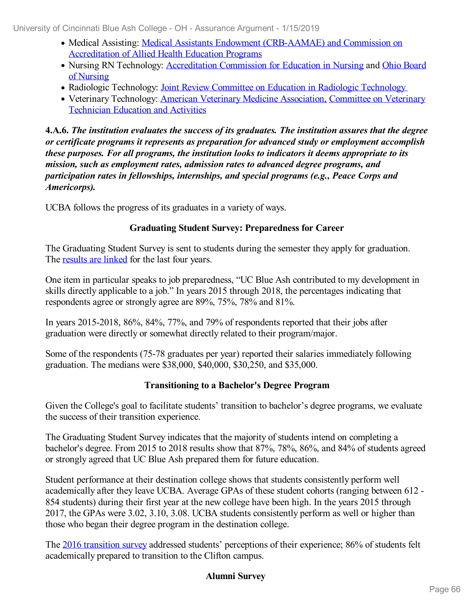- Medical Assisting: Medical Assistants Endowment [\(CRB-AAMAE\)](file:///D:/evidence/viewfile?fileId=646024) and Commission on Accreditation of Allied Health Education Programs
- Nursing RN Technology: [Accreditation](file:///D:/evidence/viewfile?fileId=646025) Commission for Education in Nursing and Ohio Board of Nursing
- Radiologic [Technology](file:///D:/evidence/viewfile?fileId=646026): Joint Review Committee on Education in Radiologic Technology
- Veterinary [Technology:](file:///D:/evidence/viewfile?fileId=646030) American Veterinary Medicine [Association,](file:///D:/evidence/viewfile?fileId=646023) Committee on Veterinary Technician Education and Activities

**4.A.6.** *The institution evaluates the success of its graduates. The institution assures that the degree or certificate programs it represents as preparation for advanced study or employment accomplish these purposes. For all programs, the institution looks to indicators it deems appropriate to its mission, such as employment rates, admission rates to advanced degree programs, and participation rates in fellowships, internships, and special programs (e.g., Peace Corps and Americorps).*

UCBA follows the progress of its graduates in a variety of ways.

## **Graduating Student Survey: Preparedness for Career**

The Graduating Student Survey is sent to students during the semester they apply for graduation. The [results](file:///D:/evidence/viewfile?fileId=675091) are linked for the last four years.

One item in particular speaks to job preparedness, "UC Blue Ash contributed to my development in skills directly applicable to a job." In years 2015 through 2018, the percentages indicating that respondents agree or strongly agree are 89%, 75%, 78% and 81%.

In years 2015-2018, 86%, 84%, 77%, and 79% of respondents reported that their jobs after graduation were directly or somewhat directly related to their program/major.

Some of the respondents (75-78 graduates per year) reported their salaries immediately following graduation. The medians were \$38,000, \$40,000, \$30,250, and \$35,000.

## **Transitioning to a Bachelor's Degree Program**

Given the College's goal to facilitate students' transition to bachelor's degree programs, we evaluate the success of their transition experience.

The Graduating Student Survey indicates that the majority of students intend on completing a bachelor's degree. From 2015 to 2018 results show that 87%, 78%, 86%, and 84% of students agreed or strongly agreed that UC Blue Ash prepared them for future education.

Student performance at their destination college shows that students consistently perform well academically after they leave UCBA. Average GPAs of these student cohorts (ranging between 612 - 854 students) during their first year at the new college have been high. In the years 2015 through 2017, the GPAs were 3.02, 3.10, 3.08. UCBA students consistently perform as well or higher than those who began their degree program in the destination college.

The 2016 [transition](file:///D:/evidence/viewfile?fileId=646036) survey addressed students' perceptions of their experience; 86% of students felt academically prepared to transition to the Clifton campus.

## **Alumni Survey**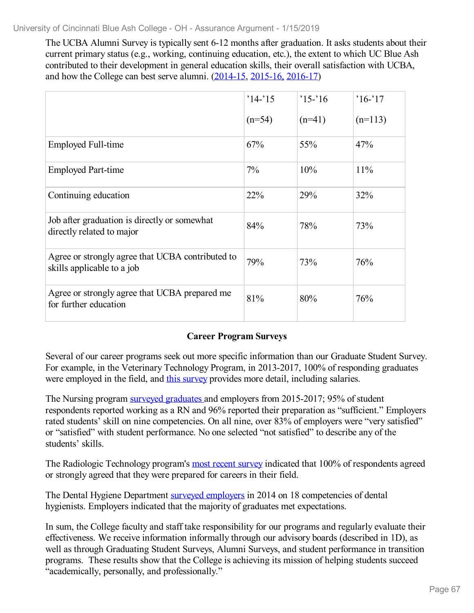The UCBA Alumni Survey is typically sent 6-12 months after graduation. It asks students about their current primary status (e.g., working, continuing education, etc.), the extent to which UC Blue Ash contributed to their development in general education skills, their overall satisfaction with UCBA, and how the College can best serve alumni. [\(2014-15](file:///D:/evidence/viewfile?fileId=646039), [2015-16,](file:///D:/evidence/viewfile?fileId=646038) [2016-17](file:///D:/evidence/viewfile?fileId=646040))

|                                                                                | $'14-15$ | $'15-16$ | $16 - 17$ |
|--------------------------------------------------------------------------------|----------|----------|-----------|
|                                                                                | $(n=54)$ | $(n=41)$ | $(n=113)$ |
| Employed Full-time                                                             | 67%      | 55%      | 47%       |
| <b>Employed Part-time</b>                                                      | 7%       | 10%      | 11%       |
| Continuing education                                                           | 22%      | 29%      | 32%       |
| Job after graduation is directly or somewhat<br>directly related to major      | 84%      | 78%      | 73%       |
| Agree or strongly agree that UCBA contributed to<br>skills applicable to a job | 79%      | 73%      | 76%       |
| Agree or strongly agree that UCBA prepared me<br>for further education         | 81%      | 80%      | 76%       |

## **Career Program Surveys**

Several of our career programs seek out more specific information than our Graduate Student Survey. For example, in the Veterinary Technology Program, in 2013-2017, 100% of responding graduates were employed in the field, and this [survey](file:///D:/evidence/viewfile?fileId=646041) provides more detail, including salaries.

The Nursing program surveyed [graduates](file:///D:/evidence/viewfile?fileId=646042) and employers from 2015-2017; 95% of student respondents reported working as a RN and 96% reported their preparation as "sufficient." Employers rated students' skill on nine competencies. On all nine, over 83% of employers were "very satisfied" or "satisfied" with student performance. No one selected "not satisfied" to describe any of the students' skills.

The Radiologic Technology program's most recent [survey](file:///D:/evidence/viewfile?fileId=665554) indicated that 100% of respondents agreed or strongly agreed that they were prepared for careers in their field.

The Dental Hygiene Department [s](file:///D:/evidence/viewfile?fileId=646043)urveyed [employers](file:///D:/evidence/viewfile?fileId=646043) in 2014 on 18 competencies of dental hygienists. Employers indicated that the majority of graduates met expectations.

In sum, the College faculty and staff take responsibility for our programs and regularly evaluate their effectiveness. We receive information informally through our advisory boards (described in 1D), as well as through Graduating Student Surveys, Alumni Surveys, and student performance in transition programs. These results show that the College is achieving its mission of helping students succeed "academically, personally, and professionally."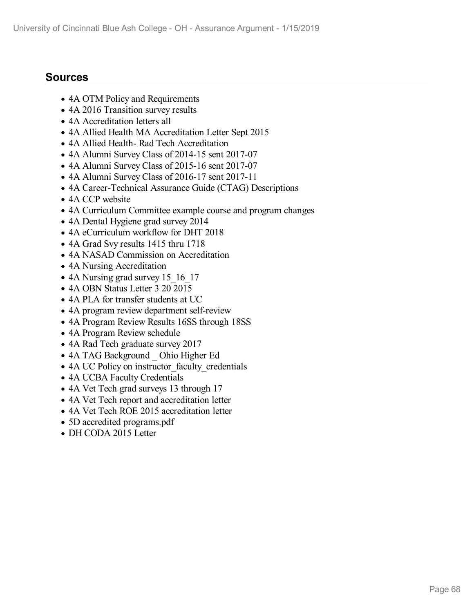# **Sources**

- 4A OTM Policy and Requirements
- 4A 2016 Transition survey results
- 4A Accreditation letters all
- 4A Allied Health MA Accreditation Letter Sept 2015
- 4A Allied Health- Rad Tech Accreditation
- 4A Alumni Survey Class of 2014-15 sent 2017-07
- 4A Alumni Survey Class of 2015-16 sent 2017-07
- 4A Alumni Survey Class of 2016-17 sent 2017-11
- 4A Career-Technical Assurance Guide (CTAG) Descriptions
- 4A CCP website
- 4A Curriculum Committee example course and program changes
- 4A Dental Hygiene grad survey 2014
- 4A eCurriculum workflow for DHT 2018
- 4A Grad Svy results 1415 thru 1718
- 4A NASAD Commission on Accreditation
- 4A Nursing Accreditation
- 4A Nursing grad survey 15 16 17
- 4A OBN Status Letter 3 20 2015
- 4A PLA for transfer students at UC
- 4A program review department self-review
- 4A Program Review Results 16SS through 18SS
- 4A Program Review schedule
- 4A Rad Tech graduate survey 2017
- 4A TAG Background Ohio Higher Ed
- 4A UC Policy on instructor faculty credentials
- 4A UCBA Faculty Credentials
- 4A Vet Tech grad surveys 13 through 17
- 4A Vet Tech report and accreditation letter
- 4A Vet Tech ROE 2015 accreditation letter
- 5D accredited programs.pdf
- DH CODA 2015 Letter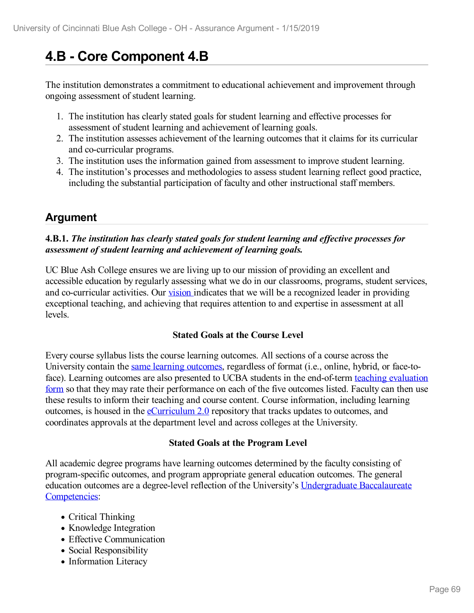# **4.B - Core Component 4.B**

The institution demonstrates a commitment to educational achievement and improvement through ongoing assessment of student learning.

- 1. The institution has clearly stated goals for student learning and effective processes for assessment of student learning and achievement of learning goals.
- 2. The institution assesses achievement of the learning outcomes that it claims for its curricular and co-curricular programs.
- 3. The institution uses the information gained from assessment to improve student learning.
- 4. The institution's processes and methodologies to assess student learning reflect good practice, including the substantial participation of faculty and other instructional staff members.

# **Argument**

## **4.B.1.** *The institution has clearly stated goals for student learning and ef ective processes for assessment of student learning and achievement of learning goals.*

UC Blue Ash College ensures we are living up to our mission of providing an excellent and accessible education by regularly assessing what we do in our classrooms, programs, student services, and co-curricular activities. Our [vision](file:///D:/evidence/viewfile?fileId=672349) indicates that we will be a recognized leader in providing exceptional teaching, and achieving that requires attention to and expertise in assessment at all levels.

## **Stated Goals at the Course Level**

Every course syllabus lists the course learning outcomes. All sections of a course across the University contain the same learning [outcomes,](file:///D:/evidence/viewfile?fileId=672348) regardless of format (i.e., online, hybrid, or face-toface). Learning outcomes are also presented to UCBA students in the [end-of-term](file:///D:/evidence/viewfile?fileId=646146) teaching evaluation form so that they may rate their performance on each of the five outcomes listed. Faculty can then use these results to inform their teaching and course content. Course information, including learning outcomes, is housed in the [eCurriculum](file:///D:/evidence/viewfile?fileId=672351) 2.0 repository that tracks updates to outcomes, and coordinates approvals at the department level and across colleges at the University.

## **Stated Goals at the Program Level**

All academic degree programs have learning outcomes determined by the faculty consisting of program-specific outcomes, and program appropriate general education outcomes. The general education outcomes are a degree-level reflection of the University's [Undergraduate](file:///D:/evidence/viewfile?fileid=672352) Baccalaureate Competencies:

- Critical Thinking
- Knowledge Integration
- Effective Communication
- Social Responsibility
- Information Literacy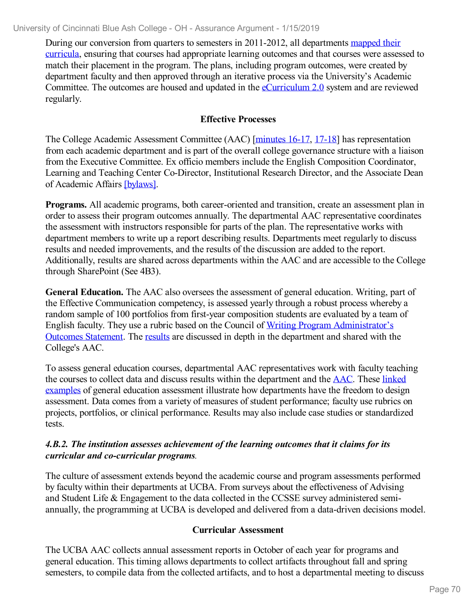During our conversion from quarters to semesters in 2011-2012, all [departments](file:///D:/evidence/viewfile?fileid=646147) mapped their curricula, ensuring that courses had appropriate learning outcomes and that courses were assessed to match their placement in the program. The plans, including program outcomes, were created by department faculty and then approved through an iterative process via the University's Academic Committee. The outcomes are housed and updated in the [eCurriculum](file:///D:/evidence/viewfile?fileid=672350) 2.0 system and are reviewed regularly.

## **Effective Processes**

The College Academic Assessment Committee (AAC) [\[minutes](file:///D:/evidence/viewfile?fileId=669583) 16-17, [17-18\]](file:///D:/evidence/viewfile?fileId=669582) has representation from each academic department and is part of the overall college governance structure with a liaison from the Executive Committee. Ex officio members include the English Composition Coordinator, Learning and Teaching Center Co-Director, Institutional Research Director, and the Associate Dean of Academic Affairs [\[bylaws\]](file:///D:/evidence/viewfile?fileId=646148).

**Programs.** All academic programs, both career-oriented and transition, create an assessment plan in order to assess their program outcomes annually. The departmental AAC representative coordinates the assessment with instructors responsible for parts of the plan. The representative works with department members to write up a report describing results. Departments meet regularly to discuss results and needed improvements, and the results of the discussion are added to the report. Additionally, results are shared across departments within the AAC and are accessible to the College through SharePoint (See 4B3).

**General Education.** The AAC also oversees the assessment of general education. Writing, part of the Effective Communication competency, is assessed yearly through a robust process whereby a random sample of 100 portfolios from first-year composition students are evaluated by a team of English faculty. They use a rubric based on the Council of Writing Program [Administrator's](file:///D:/evidence/viewfile?fileId=646150) Outcomes Statement. The [results](file:///D:/evidence/viewfile?fileId=646151) are discussed in depth in the department and shared with the College's AAC.

To assess general education courses, departmental AAC representatives work with faculty teaching the courses to collect data and discuss results within the department and the [AAC](file:///D:/evidence/viewfile?fileId=672363). These linked examples of general education assessment illustrate how [departments](file:///D:/evidence/viewfile?fileId=669622) have the freedom to design assessment. Data comes from a variety of measures of student performance; faculty use rubrics on projects, portfolios, or clinical performance. Results may also include case studies or standardized tests.

#### *4.B.2. The institution assesses achievement of the learning outcomes that it claims for its curricular and co-curricular programs.*

The culture of assessment extends beyond the academic course and program assessments performed by faculty within their departments at UCBA. From surveys about the effectiveness of Advising and Student Life & Engagement to the data collected in the CCSSE survey administered semiannually, the programming at UCBA is developed and delivered from a data-driven decisions model.

## **Curricular Assessment**

The UCBA AAC collects annual assessment reports in October of each year for programs and general education. This timing allows departments to collect artifacts throughout fall and spring semesters, to compile data from the collected artifacts, and to host a departmental meeting to discuss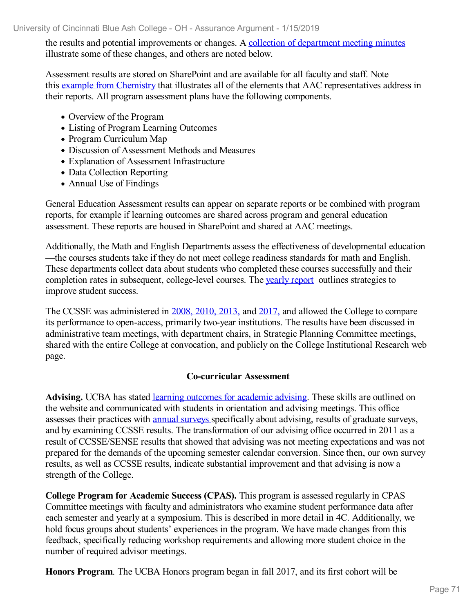the results and potential improvements or changes. A collection of [department](file:///D:/evidence/viewfile?fileId=646153) meeting minutes illustrate some of these changes, and others are noted below.

Assessment results are stored on SharePoint and are available for all faculty and staff. Note this example from [Chemistry](file:///D:/evidence/viewfile?fileid=646154) that illustrates all of the elements that AAC representatives address in their reports. All program assessment plans have the following components.

- Overview of the Program
- Listing of Program Learning Outcomes
- Program Curriculum Map
- Discussion of Assessment Methods and Measures
- Explanation of Assessment Infrastructure
- Data Collection Reporting
- Annual Use of Findings

General Education Assessment results can appear on separate reports or be combined with program reports, for example if learning outcomes are shared across program and general education assessment. These reports are housed in SharePoint and shared at AAC meetings.

Additionally, the Math and English Departments assess the effectiveness of developmental education —the courses students take if they do not meet college readiness standards for math and English. These departments collect data about students who completed these courses successfully and their completion rates in subsequent, college-level courses. The [yearly](file:///D:/evidence/viewfile?fileId=673073) report outlines strategies to improve student success.

The CCSSE was administered in 2008, [2010,](file:///D:/evidence/viewfile?fileId=646157) 2013, and [2017,](file:///D:/evidence/viewfile?fileId=646158) and allowed the College to compare its performance to open-access, primarily two-year institutions. The results have been discussed in administrative team meetings, with department chairs, in Strategic Planning Committee meetings, shared with the entire College at convocation, and publicly on the College Institutional Research web page.

#### **Co-curricular Assessment**

**Advising.** UCBA has stated learning outcomes for [academic](file:///D:/evidence/viewfile?fileId=646159) advising. These skills are outlined on the website and communicated with students in orientation and advising meetings. This office assesses their practices with annual [surveys](file:///D:/evidence/viewfile?fileId=646160) specifically about advising, results of graduate surveys, and by examining CCSSE results. The transformation of our advising office occurred in 2011 as a result of CCSSE/SENSE results that showed that advising was not meeting expectations and was not prepared for the demands of the upcoming semester calendar conversion. Since then, our own survey results, as well as CCSSE results, indicate substantial improvement and that advising is now a strength of the College.

**College Program for Academic Success (CPAS).** This program is assessed regularly in CPAS Committee meetings with faculty and administrators who examine student performance data after each semester and yearly at a symposium. This is described in more detail in 4C. Additionally, we hold focus groups about students' experiences in the program. We have made changes from this feedback, specifically reducing workshop requirements and allowing more student choice in the number of required advisor meetings.

**Honors Program**. The UCBA Honors program began in fall 2017, and its first cohort will be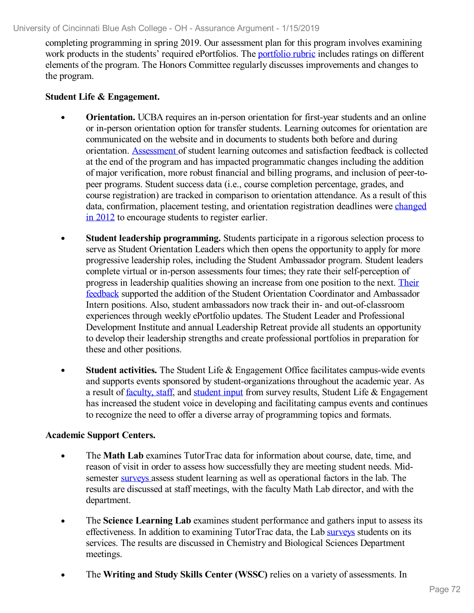completing programming in spring 2019. Our assessment plan for this program involves examining work products in the students' required ePortfolios. The [portfolio](file:///D:/evidence/viewfile?fileId=714845) rubric includes ratings on different elements of the program. The Honors Committee regularly discusses improvements and changes to the program.

#### **Student Life & Engagement.**

- **Orientation.** UCBA requires an in-person orientation for first-year students and an online or in-person orientation option for transfer students. Learning outcomes for orientation are communicated on the website and in documents to students both before and during orientation. [Assessment](file:///D:/evidence/viewfile?fileId=646161) of student learning outcomes and satisfaction feedback is collected at the end of the program and has impacted programmatic changes including the addition of major verification, more robust financial and billing programs, and inclusion of peer-to peer programs. Student success data (i.e., course completion percentage, grades, and course registration) are tracked in comparison to orientation attendance. As a result of this data, [confirmation,](file:///D:/evidence/viewfile?fileId=646174) placement testing, and orientation registration deadlines were changed in 2012 to encourage students to register earlier.
- **Student leadership programming.** Students participate in a rigorous selection process to serve as Student Orientation Leaders which then opens the opportunity to apply for more progressive leadership roles, including the Student Ambassador program. Student leaders complete virtual or in-person assessments four times; they rate their self-perception of progress in leadership qualities showing an increase from one position to the next. Their feedback supported the addition of the Student Orientation Coordinator and [Ambassador](file:///D:/evidence/viewfile?fileId=646175) Intern positions. Also, student ambassadors now track their in- and out-of-classroom experiences through weekly ePortfolio updates. The Student Leader and Professional Development Institute and annual Leadership Retreat provide all students an opportunity to develop their leadership strengths and create professional portfolios in preparation for these and other positions.
- **Student activities.** The Student Life & Engagement Office facilitates campus-wide events  $\bullet$ and supports events sponsored by student-organizations throughout the academic year. As a result of [faculty,](file:///D:/evidence/viewfile?fileId=646162) staff, and [student](file:///D:/evidence/viewfile?fileId=646163) input from survey results, Student Life & Engagement has increased the student voice in developing and facilitating campus events and continues to recognize the need to offer a diverse array of programming topics and formats.

#### **Academic Support Centers.**

- The **Math Lab** examines TutorTrac data for information about course, date, time, and reason of visit in order to assess how successfully they are meeting student needs. Midsemester [surveys](file:///D:/evidence/viewfile?fileId=646164) assess student learning as well as operational factors in the lab. The results are discussed at staff meetings, with the faculty Math Lab director, and with the department.
- The **Science Learning Lab** examines student performance and gathers input to assess its effectiveness. In addition to examining TutorTrac data, the Lab [surveys](file:///D:/evidence/viewfile?fileId=646165) students on its services. The results are discussed in Chemistry and Biological Sciences Department meetings.
- The **Writing and Study Skills Center (WSSC)** relies on a variety of assessments. In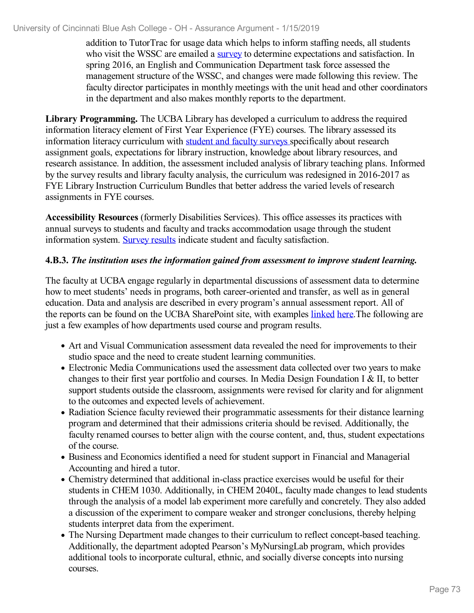#### University of Cincinnati Blue Ash College - OH - Assurance Argument - 1/15/2019

addition to TutorTrac for usage data which helps to inform staffing needs, all students who visit the WSSC are emailed a [survey](file:///D:/evidence/viewfile?fileid=646166) to determine expectations and satisfaction. In spring 2016, an English and Communication Department task force assessed the management structure of the WSSC, and changes were made following this review. The faculty director participates in monthly meetings with the unit head and other coordinators in the department and also makes monthly reports to the department.

**Library Programming.** The UCBA Library has developed a curriculum to address the required information literacy element of First Year Experience (FYE) courses. The library assessed its information literacy curriculum with student and faculty [surveys](file:///D:/evidence/viewfile?fileId=646167) specifically about research assignment goals, expectations for library instruction, knowledge about library resources, and research assistance. In addition, the assessment included analysis of library teaching plans. Informed by the survey results and library faculty analysis, the curriculum was redesigned in 2016-2017 as FYE Library Instruction Curriculum Bundles that better address the varied levels of research assignments in FYE courses.

**Accessibility Resources** (formerly Disabilities Services). This office assesses its practices with annual surveys to students and faculty and tracks accommodation usage through the student information system. [Survey](file:///D:/evidence/viewfile?fileId=646168) results indicate student and faculty satisfaction.

#### **4.B.3.** *The institution uses the information gained from assessment to improve student learning.*

The faculty at UCBA engage regularly in departmental discussions of assessment data to determine how to meet students' needs in programs, both career-oriented and transfer, as well as in general education. Data and analysis are described in every program's annual assessment report. All of the reports can be found on the UCBA SharePoint site, with examples [linked](file:///D:/evidence/viewfile?fileId=646177) [here](file:///D:/evidence/viewfile?fileId=646176).The following are just a few examples of how departments used course and program results.

- Art and Visual Communication assessment data revealed the need for improvements to their studio space and the need to create student learning communities.
- Electronic Media Communications used the assessment data collected over two years to make changes to their first year portfolio and courses. In Media Design Foundation I & II, to better support students outside the classroom, assignments were revised for clarity and for alignment to the outcomes and expected levels of achievement.
- Radiation Science faculty reviewed their programmatic assessments for their distance learning program and determined that their admissions criteria should be revised. Additionally, the faculty renamed courses to better align with the course content, and, thus, student expectations of the course.
- Business and Economics identified a need for student support in Financial and Managerial Accounting and hired a tutor.
- Chemistry determined that additional in-class practice exercises would be useful for their students in CHEM 1030. Additionally, in CHEM 2040L, faculty made changes to lead students through the analysis of a model lab experiment more carefully and concretely. They also added a discussion of the experiment to compare weaker and stronger conclusions, thereby helping students interpret data from the experiment.
- The Nursing Department made changes to their curriculum to reflect concept-based teaching. Additionally, the department adopted Pearson's MyNursingLab program, which provides additional tools to incorporate cultural, ethnic, and socially diverse concepts into nursing courses.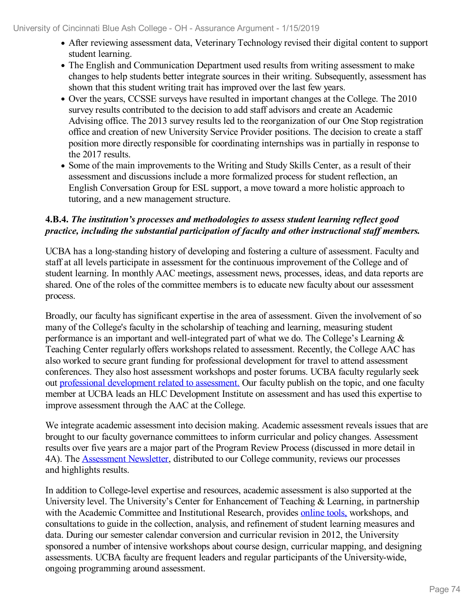- After reviewing assessment data, Veterinary Technology revised their digital content to support student learning.
- The English and Communication Department used results from writing assessment to make changes to help students better integrate sources in their writing. Subsequently, assessment has shown that this student writing trait has improved over the last few years.
- Over the years, CCSSE surveys have resulted in important changes at the College. The 2010 survey results contributed to the decision to add staff advisors and create an Academic Advising office. The 2013 survey results led to the reorganization of our One Stop registration office and creation of new University Service Provider positions. The decision to create a staff position more directly responsible for coordinating internships was in partially in response to the 2017 results.
- Some of the main improvements to the Writing and Study Skills Center, as a result of their assessment and discussions include a more formalized process for student reflection, an English Conversation Group for ESL support, a move toward a more holistic approach to tutoring, and a new management structure.

#### **4.B.4.** *The institution's processes and methodologies to assess student learning reflect good practice, including the substantial participation of faculty and other instructional staf members.*

UCBA has a long-standing history of developing and fostering a culture of assessment. Faculty and staff at all levels participate in assessment for the continuous improvement of the College and of student learning. In monthly AAC meetings, assessment news, processes, ideas, and data reports are shared. One of the roles of the committee members is to educate new faculty about our assessment process.

Broadly, our faculty has significant expertise in the area of assessment. Given the involvement of so many of the College's faculty in the scholarship of teaching and learning, measuring student performance is an important and well-integrated part of what we do. The College's Learning & Teaching Center regularly offers workshops related to assessment. Recently, the College AAC has also worked to secure grant funding for professional development for travel to attend assessment conferences. They also host assessment workshops and poster forums. UCBA faculty regularly seek out professional [development](file:///D:/evidence/viewfile?fileId=646171) related to assessment. Our faculty publish on the topic, and one faculty member at UCBA leads an HLC Development Institute on assessment and has used this expertise to improve assessment through the AAC at the College.

We integrate academic assessment into decision making. Academic assessment reveals issues that are brought to our faculty governance committees to inform curricular and policy changes. Assessment results over five years are a major part of the Program Review Process (discussed in more detail in 4A). The [Assessment](file:///D:/evidence/viewfile?fileId=646172) Newsletter, distributed to our College community, reviews our processes and highlights results.

In addition to College-level expertise and resources, academic assessment is also supported at the University level. The University's Center for Enhancement of Teaching & Learning, in partnership with the Academic Committee and Institutional Research, provides [online](file:///D:/evidence/viewfile?fileId=646173) tools, workshops, and consultations to guide in the collection, analysis, and refinement of student learning measures and data. During our semester calendar conversion and curricular revision in 2012, the University sponsored a number of intensive workshops about course design, curricular mapping, and designing assessments. UCBA faculty are frequent leaders and regular participants of the University-wide, ongoing programming around assessment.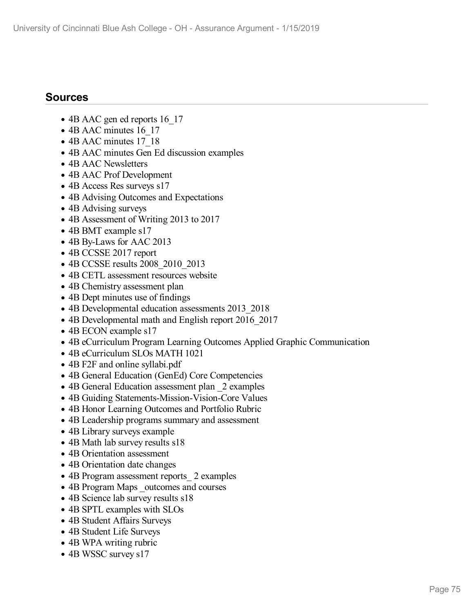## **Sources**

- 4B AAC gen ed reports 16 17
- 4B AAC minutes 16 17
- 4B AAC minutes 17 18
- 4B AAC minutes Gen Ed discussion examples
- 4B AAC Newsletters
- 4B AAC Prof Development
- 4B Access Res surveys s17
- 4B Advising Outcomes and Expectations
- 4B Advising surveys
- 4B Assessment of Writing 2013 to 2017
- 4B BMT example s17
- 4B By-Laws for AAC 2013
- 4B CCSSE 2017 report
- 4B CCSSE results 2008\_2010\_2013
- 4B CETL assessment resources website
- 4B Chemistry assessment plan
- 4B Dept minutes use of findings
- 4B Developmental education assessments 2013 2018
- 4B Developmental math and English report 2016 2017
- 4B ECON example s17
- 4B eCurriculum Program Learning Outcomes Applied Graphic Communication
- 4B eCurriculum SLOs MATH 1021
- 4B F2F and online syllabi.pdf
- 4B General Education (GenEd) Core Competencies
- 4B General Education assessment plan 2 examples
- 4B Guiding Statements-Mission-Vision-Core Values
- 4B Honor Learning Outcomes and Portfolio Rubric
- 4B Leadership programs summary and assessment
- 4B Library surveys example
- 4B Math lab survey results s18
- 4B Orientation assessment
- 4B Orientation date changes
- 4B Program assessment reports 2 examples
- 4B Program Maps outcomes and courses
- 4B Science lab survey results s18
- 4B SPTL examples with SLOs
- 4B Student Affairs Surveys
- 4B Student Life Surveys
- 4B WPA writing rubric
- 4B WSSC survey s17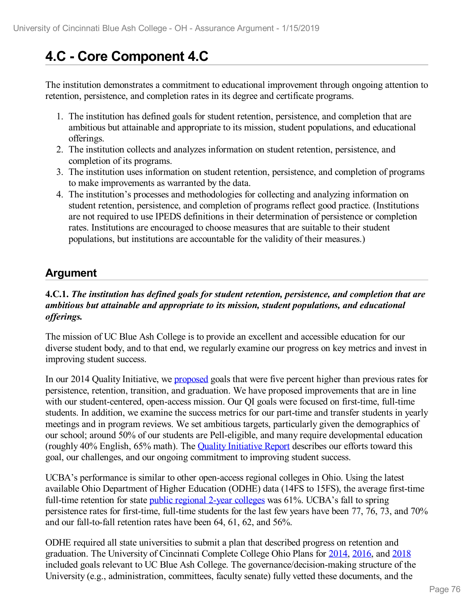# **4.C - Core Component 4.C**

The institution demonstrates a commitment to educational improvement through ongoing attention to retention, persistence, and completion rates in its degree and certificate programs.

- 1. The institution has defined goals for student retention, persistence, and completion that are ambitious but attainable and appropriate to its mission, student populations, and educational offerings.
- 2. The institution collects and analyzes information on student retention, persistence, and completion of its programs.
- 3. The institution uses information on student retention, persistence, and completion of programs to make improvements as warranted by the data.
- 4. The institution's processes and methodologies for collecting and analyzing information on student retention, persistence, and completion of programs reflect good practice. (Institutions are not required to use IPEDS definitions in their determination of persistence or completion rates. Institutions are encouraged to choose measures that are suitable to their student populations, but institutions are accountable for the validity of their measures.)

## **Argument**

#### **4.C.1.** *The institution has defined goals for student retention, persistence, and completion that are ambitious but attainable and appropriate to its mission, student populations, and educational of erings.*

The mission of UC Blue Ash College is to provide an excellent and accessible education for our diverse student body, and to that end, we regularly examine our progress on key metrics and invest in improving student success.

In our 2014 Quality Initiative, we [proposed](file:///D:/evidence/viewfile?fileId=646179) goals that were five percent higher than previous rates for persistence, retention, transition, and graduation. We have proposed improvements that are in line with our student-centered, open-access mission. Our OI goals were focused on first-time, full-time students. In addition, we examine the success metrics for our part-time and transfer students in yearly meetings and in program reviews. We set ambitious targets, particularly given the demographics of our school; around 50% of our students are Pell-eligible, and many require developmental education (roughly 40% English, 65% math). The Quality [Initiative](file:///D:/evidence/viewfile?fileId=646180) Report describes our efforts toward this goal, our challenges, and our ongoing commitment to improving student success.

UCBA's performance is similar to other open-access regional colleges in Ohio. Using the latest available Ohio Department of Higher Education (ODHE) data (14FS to 15FS), the average first-time full-time retention for state public [regional](file:///D:/evidence/viewfile?fileId=646181) 2-year colleges was 61%. UCBA's fall to spring persistence rates for first-time, full-time students for the last few years have been 77, 76, 73, and 70% and our fall-to-fall retention rates have been 64, 61, 62, and 56%.

ODHE required all state universities to submit a plan that described progress on retention and graduation. The University of Cincinnati Complete College Ohio Plans for [2014](file:///D:/evidence/viewfile?fileId=646182), [2016](file:///D:/evidence/viewfile?fileId=646184), and [2018](file:///D:/evidence/viewfile?fileId=646183) included goals relevant to UC Blue Ash College. The governance/decision-making structure of the University (e.g., administration, committees, faculty senate) fully vetted these documents, and the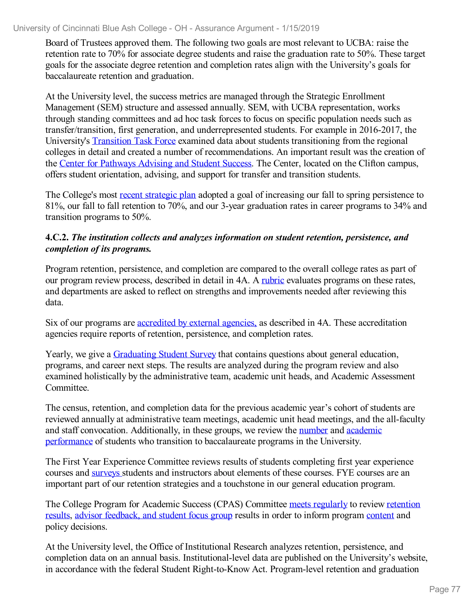#### University of Cincinnati Blue Ash College - OH - Assurance Argument - 1/15/2019

Board of Trustees approved them. The following two goals are most relevant to UCBA: raise the retention rate to 70% for associate degree students and raise the graduation rate to 50%. These target goals for the associate degree retention and completion rates align with the University's goals for baccalaureate retention and graduation.

At the University level, the success metrics are managed through the Strategic Enrollment Management (SEM) structure and assessed annually. SEM, with UCBA representation, works through standing committees and ad hoc task forces to focus on specific population needs such as transfer/transition, first generation, and underrepresented students. For example in 2016-2017, the University's [Transition](file:///D:/evidence/viewfile?fileId=646185) Task Force examined data about students transitioning from the regional colleges in detail and created a number of recommendations. An important result was the creation of the Center for [Pathways](file:///D:/evidence/viewfile?fileId=631314) Advising and Student Success. The Center, located on the Clifton campus, offers student orientation, advising, and support for transfer and transition students.

The College's most recent [strategic](file:///D:/evidence/viewfile?fileId=675494) plan adopted a goal of increasing our fall to spring persistence to 81%, our fall to fall retention to 70%, and our 3-year graduation rates in career programs to 34% and transition programs to 50%.

#### **4.C.2.** *The institution collects and analyzes information on student retention, persistence, and completion of its programs.*

Program retention, persistence, and completion are compared to the overall college rates as part of our program review process, described in detail in 4A. A [rubric](file:///D:/evidence/viewfile?fileId=646186) evaluates programs on these rates, and departments are asked to reflect on strengths and improvements needed after reviewing this data.

Six of our programs are [accredited](file:///D:/evidence/viewfile?fileId=665265) by external agencies, as described in 4A. These accreditation agencies require reports of retention, persistence, and completion rates.

Yearly, we give a **[Graduating](file:///D:/evidence/viewfile?fileId=646034) Student Survey** that contains questions about general education, programs, and career next steps. The results are analyzed during the program review and also examined holistically by the administrative team, academic unit heads, and Academic Assessment Committee.

The census, retention, and completion data for the previous academic year's cohort of students are reviewed annually at administrative team meetings, academic unit head meetings, and the all-faculty and staff convocation. [Additionally,](file:///D:/evidence/viewfile?fileId=675482) in these groups, we review the [number](file:///D:/evidence/viewfile?fileid=646207) and academic performance of students who transition to baccalaureate programs in the University.

The First Year Experience Committee reviews results of students completing first year experience courses and [surveys](file:///D:/evidence/viewfile?fileId=646187) students and instructors about elements of these courses. FYE courses are an important part of our retention strategies and a touchstone in our general education program.

The College Program for Academic Success (CPAS) [Committee](file:///D:/evidence/viewfile?fileId=646189) meets [regularly](file:///D:/evidence/viewfile?fileId=646190) to review retention results, advisor [feedback,](file:///D:/evidence/viewfile?fileId=646192) and student focus group results in order to inform program [content](file:///D:/evidence/viewfile?fileId=646191) and policy decisions.

At the University level, the Office of Institutional Research analyzes retention, persistence, and completion data on an annual basis. Institutional-level data are published on the University's website, in accordance with the federal Student Right-to-Know Act. Program-level retention and graduation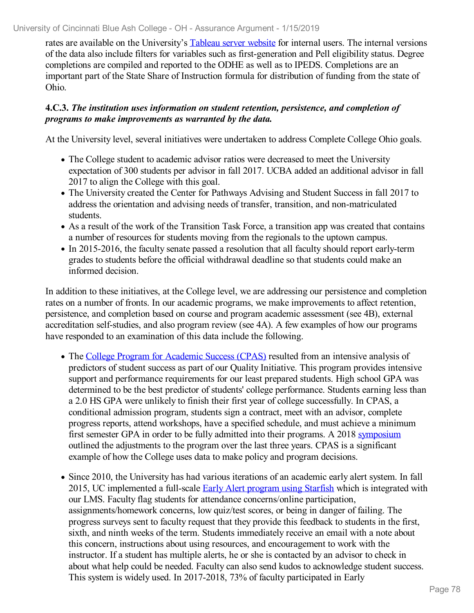rates are available on the University's [Tableau](file:///D:/evidence/viewfile?fileId=715313) server website for internal users. The internal versions of the data also include filters for variables such as first-generation and Pell eligibility status. Degree completions are compiled and reported to the ODHE as well as to IPEDS. Completions are an important part of the State Share of Instruction formula for distribution of funding from the state of Ohio.

#### **4.C.3.** *The institution uses information on student retention, persistence, and completion of programs to make improvements as warranted by the data.*

At the University level, several initiatives were undertaken to address Complete College Ohio goals.

- The College student to academic advisor ratios were decreased to meet the University expectation of 300 students per advisor in fall 2017. UCBA added an additional advisor in fall 2017 to align the College with this goal.
- The University created the Center for Pathways Advising and Student Success in fall 2017 to address the orientation and advising needs of transfer, transition, and non-matriculated students.
- As a result of the work of the Transition Task Force, a transition app was created that contains a number of resources for students moving from the regionals to the uptown campus.
- In 2015-2016, the faculty senate passed a resolution that all faculty should report early-term grades to students before the official withdrawal deadline so that students could make an informed decision.

In addition to these initiatives, at the College level, we are addressing our persistence and completion rates on a number of fronts. In our academic programs, we make improvements to affect retention, persistence, and completion based on course and program academic assessment (see 4B), external accreditation self-studies, and also program review (see 4A). A few examples of how our programs have responded to an examination of this data include the following.

- The College Program for [Academic](file:///D:/evidence/viewfile?fileid=646191) Success (CPAS) resulted from an intensive analysis of predictors of student success as part of our Quality Initiative. This program provides intensive support and performance requirements for our least prepared students. High school GPA was determined to be the best predictor of students' college performance. Students earning less than a 2.0 HS GPA were unlikely to finish their first year of college successfully. In CPAS, a conditional admission program, students sign a contract, meet with an advisor, complete progress reports, attend workshops, have a specified schedule, and must achieve a minimum first semester GPA in order to be fully admitted into their programs. A 2018 [symposium](file:///D:/evidence/viewfile?fileId=646190) outlined the adjustments to the program over the last three years. CPAS is a significant example of how the College uses data to make policy and program decisions.
- Since 2010, the University has had various iterations of an academic early alert system. In fall 2015, UC implemented a full-scale Early Alert [program](file:///D:/evidence/viewfile?fileId=675471) using Starfish which is integrated with our LMS. Faculty flag students for attendance concerns/online participation, assignments/homework concerns, low quiz/test scores, or being in danger of failing. The progress surveys sent to faculty request that they provide this feedback to students in the first, sixth, and ninth weeks of the term. Students immediately receive an email with a note about this concern, instructions about using resources, and encouragement to work with the instructor. If a student has multiple alerts, he or she is contacted by an advisor to check in about what help could be needed. Faculty can also send kudos to acknowledge student success. This system is widely used. In 2017-2018, 73% of faculty participated in Early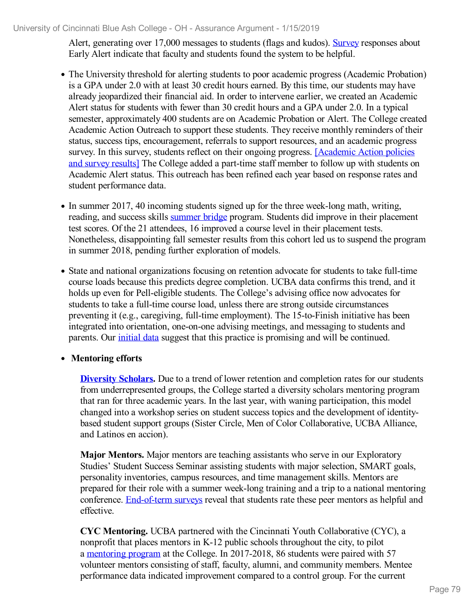Alert, generating over 17,000 messages to students (flags and kudos). [Survey](file:///D:/evidence/viewfile?fileid=646193) responses about Early Alert indicate that faculty and students found the system to be helpful.

- The University threshold for alerting students to poor academic progress (Academic Probation) is a GPA under 2.0 with at least 30 credit hours earned. By this time, our students may have already jeopardized their financial aid. In order to intervene earlier, we created an Academic Alert status for students with fewer than 30 credit hours and a GPA under 2.0. In a typical semester, approximately 400 students are on Academic Probation or Alert. The College created Academic Action Outreach to support these students. They receive monthly reminders of their status, success tips, encouragement, referrals to support resources, and an academic progress survey. In this survey, students reflect on their ongoing progress. **[\[Academic](file:///D:/evidence/viewfile?fileid=646194) Action policies** and survey result[s\]](file:///D:/evidence/viewfile?fileid=646194) The College added a part-time staff member to follow up with students on Academic Alert status. This outreach has been refined each year based on response rates and student performance data.
- In summer 2017, 40 incoming students signed up for the three week-long math, writing, reading, and success skills [summer](file:///D:/evidence/viewfile?fileid=646196) bridge program. Students did improve in their placement test scores. Of the 21 attendees, 16 improved a course level in their placement tests. Nonetheless, disappointing fall semester results from this cohort led us to suspend the program in summer 2018, pending further exploration of models.
- State and national organizations focusing on retention advocate for students to take full-time course loads because this predicts degree completion. UCBA data confirms this trend, and it holds up even for Pell-eligible students. The College's advising office now advocates for students to take a full-time course load, unless there are strong outside circumstances preventing it (e.g., caregiving, full-time employment). The 15-to-Finish initiative has been integrated into orientation, one-on-one advising meetings, and messaging to students and parents. Our [initial](file:///D:/evidence/viewfile?fileid=646197) data suggest that this practice is promising and will be continued.

#### **Mentoring efforts**

**[Diversity](file:///D:/evidence/viewfile?fileid=646198) Scholars.** Due to a trend of lower retention and completion rates for our students from underrepresented groups, the College started a diversity scholars mentoring program that ran for three academic years. In the last year, with waning participation, this model changed into a workshop series on student success topics and the development of identity based student support groups (Sister Circle, Men of Color Collaborative, UCBA Alliance, and Latinos en accion).

**Major Mentors.** Major mentors are teaching assistants who serve in our Exploratory Studies' Student Success Seminar assisting students with major selection, SMART goals, personality inventories, campus resources, and time management skills. Mentors are prepared for their role with a summer week-long training and a trip to a national mentoring conference. [End-of-term](file:///D:/evidence/viewfile?fileId=646200) surveys reveal that students rate these peer mentors as helpful and effective.

**CYC Mentoring.** UCBA partnered with the Cincinnati Youth Collaborative (CYC), a nonprofit that places mentors in K-12 public schools throughout the city, to pilot a [mentoring](file:///D:/evidence/viewfile?fileId=646201) program at the College. In 2017-2018, 86 students were paired with 57 volunteer mentors consisting of staff, faculty, alumni, and community members. Mentee performance data indicated improvement compared to a control group. For the current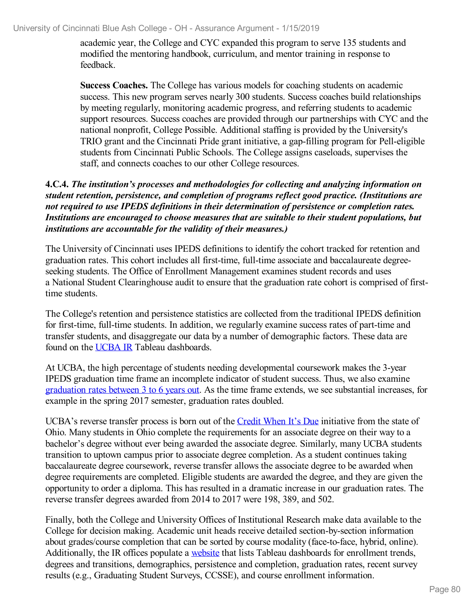academic year, the College and CYC expanded this program to serve 135 students and modified the mentoring handbook, curriculum, and mentor training in response to feedback.

**Success Coaches.** The College has various models for coaching students on academic success. This new program serves nearly 300 students. Success coaches build relationships by meeting regularly, monitoring academic progress, and referring students to academic support resources. Success coaches are provided through our partnerships with CYC and the national nonprofit, College Possible. Additional staffing is provided by the University's TRIO grant and the Cincinnati Pride grant initiative, a gap-filling program for Pell-eligible students from Cincinnati Public Schools. The College assigns caseloads, supervises the staff, and connects coaches to our other College resources.

#### **4.C.4.** *The institution's processes and methodologies for collecting and analyzing information on student retention, persistence, and completion of programs reflect good practice. (Institutions are not required to use IPEDS definitions in their determination of persistence or completion rates. Institutions are encouraged to choose measures that are suitable to their student populations, but institutions are accountable for the validity of their measures.)*

The University of Cincinnati uses IPEDS definitions to identify the cohort tracked for retention and graduation rates. This cohort includes all first-time, full-time associate and baccalaureate degreeseeking students. The Office of Enrollment Management examines student records and uses a National Student Clearinghouse audit to ensure that the graduation rate cohort is comprised of firsttime students.

The College's retention and persistence statistics are collected from the traditional IPEDS definition for first-time, full-time students. In addition, we regularly examine success rates of part-time and transfer students, and disaggregate our data by a number of demographic factors. These data are found on the [UCBA](file:///D:/evidence/viewfile?fileId=675476) IR Tableau dashboards.

At UCBA, the high percentage of students needing developmental coursework makes the 3-year IPEDS graduation time frame an incomplete indicator of student success. Thus, we also examine [graduation](file:///D:/evidence/viewfile?fileId=646205) rates between 3 to 6 years out. As the time frame extends, we see substantial increases, for example in the spring 2017 semester, graduation rates doubled.

UCBA's reverse transfer process is born out of the [Credit](file:///D:/evidence/viewfile?fileId=646203) When It's Due initiative from the state of Ohio. Many students in Ohio complete the requirements for an associate degree on their way to a bachelor's degree without ever being awarded the associate degree. Similarly, many UCBA students transition to uptown campus prior to associate degree completion. As a student continues taking baccalaureate degree coursework, reverse transfer allows the associate degree to be awarded when degree requirements are completed. Eligible students are awarded the degree, and they are given the opportunity to order a diploma. This has resulted in a dramatic increase in our graduation rates. The reverse transfer degrees awarded from 2014 to 2017 were 198, 389, and 502.

Finally, both the College and University Offices of Institutional Research make data available to the College for decision making. Academic unit heads receive detailed section-by-section information about grades/course completion that can be sorted by course modality (face-to-face, hybrid, online). Additionally, the IR offices populate a [website](file:///D:/evidence/viewfile?fileid=675476) that lists Tableau dashboards for enrollment trends, degrees and transitions, demographics, persistence and completion, graduation rates, recent survey results (e.g., Graduating Student Surveys, CCSSE), and course enrollment information.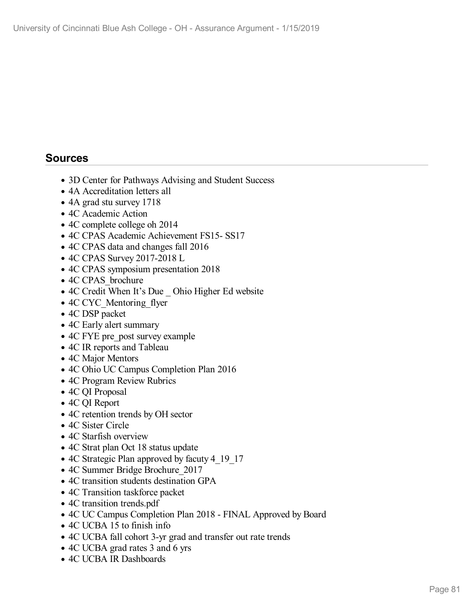### **Sources**

- 3D Center for Pathways Advising and Student Success
- 4A Accreditation letters all
- 4A grad stu survey 1718
- 4C Academic Action
- 4C complete college oh 2014
- 4C CPAS Academic Achievement FS15- SS17
- 4C CPAS data and changes fall 2016
- 4C CPAS Survey 2017-2018 L
- 4C CPAS symposium presentation 2018
- 4C CPAS brochure
- 4C Credit When It's Due \_ Ohio Higher Ed website
- 4C CYC Mentoring flyer
- 4C DSP packet
- 4C Early alert summary
- 4C FYE pre post survey example
- 4C IR reports and Tableau
- 4C Major Mentors
- 4C Ohio UC Campus Completion Plan 2016
- 4C Program Review Rubrics
- 4C QI Proposal
- 4C QI Report
- 4C retention trends by OH sector
- 4C Sister Circle
- 4C Starfish overview
- 4C Strat plan Oct 18 status update
- 4C Strategic Plan approved by facuty 4 19 17
- 4C Summer Bridge Brochure 2017
- 4C transition students destination GPA
- 4C Transition taskforce packet
- 4C transition trends.pdf
- 4C UC Campus Completion Plan 2018 FINAL Approved by Board
- 4C UCBA 15 to finish info
- 4C UCBA fall cohort 3-yr grad and transfer out rate trends
- 4C UCBA grad rates 3 and 6 yrs
- 4C UCBA IR Dashboards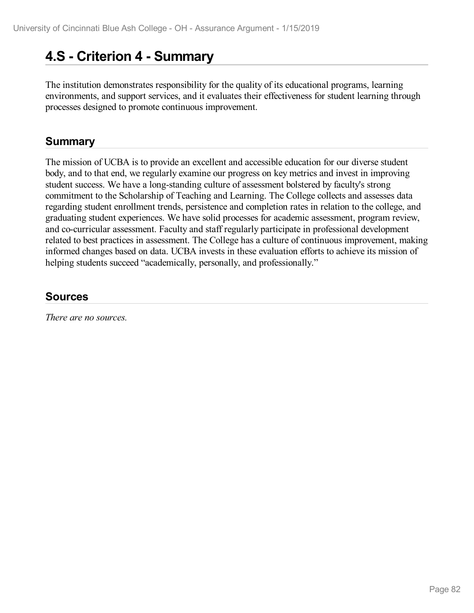# **4.S - Criterion 4 -Summary**

The institution demonstrates responsibility for the quality of its educational programs, learning environments, and support services, and it evaluates their effectiveness for student learning through processes designed to promote continuous improvement.

## **Summary**

The mission of UCBA is to provide an excellent and accessible education for our diverse student body, and to that end, we regularly examine our progress on key metrics and invest in improving student success. We have a long-standing culture of assessment bolstered by faculty's strong commitment to the Scholarship of Teaching and Learning. The College collects and assesses data regarding student enrollment trends, persistence and completion rates in relation to the college, and graduating student experiences. We have solid processes for academic assessment, program review, and co-curricular assessment. Faculty and staff regularly participate in professional development related to best practices in assessment. The College has a culture of continuous improvement, making informed changes based on data. UCBA invests in these evaluation efforts to achieve its mission of helping students succeed "academically, personally, and professionally."

## **Sources**

*There are no sources.*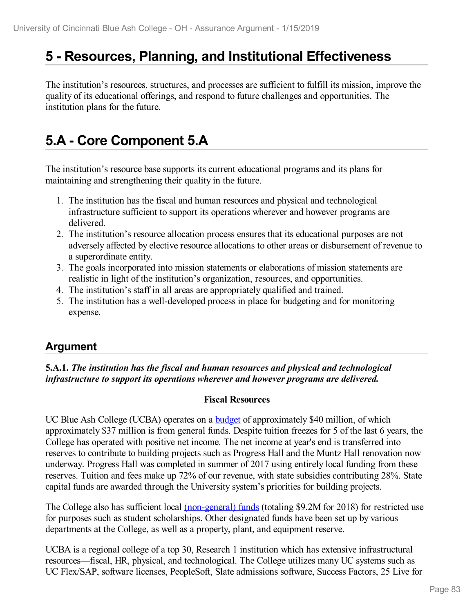# **5 -Resources, Planning, and Institutional Effectiveness**

The institution's resources, structures, and processes are sufficient to fulfill its mission, improve the quality of its educational offerings, and respond to future challenges and opportunities. The institution plans for the future.

# **5.A - Core Component 5.A**

The institution's resource base supports its current educational programs and its plans for maintaining and strengthening their quality in the future.

- 1. The institution has the fiscal and human resources and physical and technological infrastructure sufficient to support its operations wherever and however programs are delivered.
- 2. The institution's resource allocation process ensures that its educational purposes are not adversely affected by elective resource allocations to other areas or disbursement of revenue to a superordinate entity.
- 3. The goals incorporated into mission statements or elaborations of mission statements are realistic in light of the institution's organization, resources, and opportunities.
- 4. The institution's staff in all areas are appropriately qualified and trained.
- 5. The institution has a well-developed process in place for budgeting and for monitoring expense.

## **Argument**

**5.A.1.** *The institution has the fiscal and human resources and physical and technological infrastructure to support its operations wherever and however programs are delivered.*

#### **Fiscal Resources**

UC Blue Ash College (UCBA) operates on a **[budget](file:///D:/evidence/viewfile?fileId=646347)** of approximately \$40 million, of which approximately \$37 million is from general funds. Despite tuition freezes for 5 of the last 6 years, the College has operated with positive net income. The net income at year's end is transferred into reserves to contribute to building projects such as Progress Hall and the Muntz Hall renovation now underway. Progress Hall was completed in summer of 2017 using entirely local funding from these reserves. Tuition and fees make up 72% of our revenue, with state subsidies contributing 28%. State capital funds are awarded through the University system's priorities for building projects.

The College also has sufficient local [\(non-general\)](file:///D:/evidence/viewfile?fileId=646348) funds (totaling \$9.2M for 2018) for restricted use for purposes such as student scholarships. Other designated funds have been set up by various departments at the College, as well as a property, plant, and equipment reserve.

UCBA is a regional college of a top 30, Research 1 institution which has extensive infrastructural resources—fiscal, HR, physical, and technological. The College utilizes many UC systems such as UC Flex/SAP, software licenses, PeopleSoft, Slate admissions software, Success Factors, 25 Live for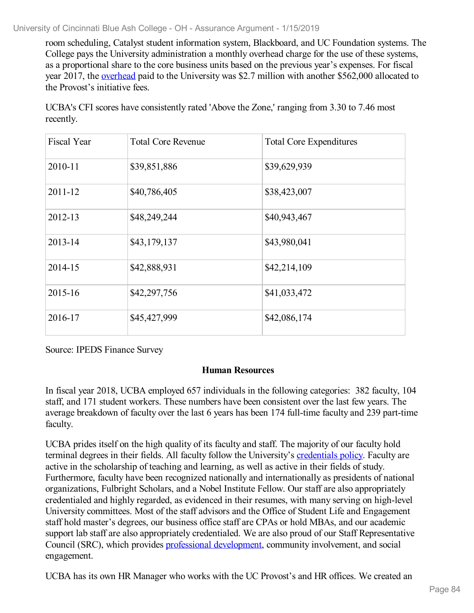room scheduling, Catalyst student information system, Blackboard, and UC Foundation systems. The College pays the University administration a monthly overhead charge for the use of these systems, as a proportional share to the core business units based on the previous year's expenses. For fiscal year 2017, the [overhead](file:///D:/evidence/viewfile?fileId=646349) paid to the University was \$2.7 million with another \$562,000 allocated to the Provost's initiative fees.

UCBA's CFI scores have consistently rated 'Above the Zone,' ranging from 3.30 to 7.46 most recently.

| <b>Fiscal Year</b> | <b>Total Core Revenue</b> | <b>Total Core Expenditures</b> |
|--------------------|---------------------------|--------------------------------|
| 2010-11            | \$39,851,886              | \$39,629,939                   |
| 2011-12            | \$40,786,405              | \$38,423,007                   |
| 2012-13            | \$48,249,244              | \$40,943,467                   |
| 2013-14            | \$43,179,137              | \$43,980,041                   |
| 2014-15            | \$42,888,931              | \$42,214,109                   |
| 2015-16            | \$42,297,756              | \$41,033,472                   |
| 2016-17            | \$45,427,999              | \$42,086,174                   |

Source: IPEDS Finance Survey

#### **Human Resources**

In fiscal year 2018, UCBA employed 657 individuals in the following categories: 382 faculty, 104 staff, and 171 student workers. These numbers have been consistent over the last few years. The average breakdown of faculty over the last 6 years has been 174 full-time faculty and 239 part-time faculty.

UCBA prides itself on the high quality of its faculty and staff. The majority of our faculty hold terminal degrees in their fields. All faculty follow the University's [credentials](file:///D:/evidence/viewfile?fileId=646350) policy. Faculty are active in the scholarship of teaching and learning, as well as active in their fields of study. Furthermore, faculty have been recognized nationally and internationally as presidents of national organizations, Fulbright Scholars, and a Nobel Institute Fellow. Our staff are also appropriately credentialed and highly regarded, as evidenced in their resumes, with many serving on high-level University committees. Most of the staff advisors and the Office of Student Life and Engagement staff hold master's degrees, our business office staff are CPAs or hold MBAs, and our academic support lab staff are also appropriately credentialed. We are also proud of our Staff Representative Council (SRC), which provides professional [development](file:///D:/evidence/viewfile?fileId=675966), community involvement, and social engagement.

UCBA has its own HR Manager who works with the UC Provost's and HR offices. We created an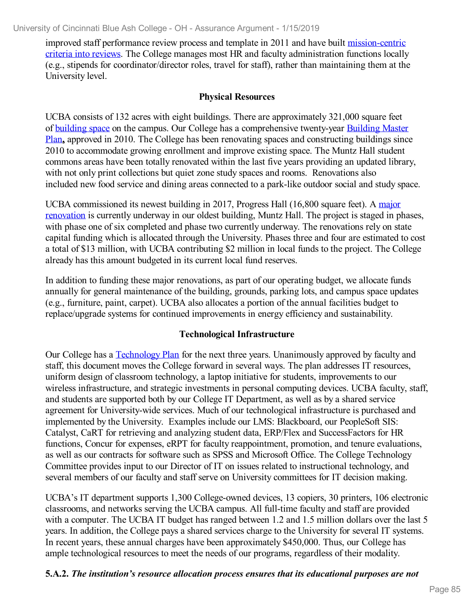improved staff performance review process and template in 2011 and have built [mission-centric](file:///D:/evidence/viewfile?fileid=646351) criteria into reviews. The College manages most HR and faculty administration functions locally (e.g., stipends for coordinator/director roles, travel for staff), rather than maintaining them at the University level.

#### **Physical Resources**

UCBA consists of 132 acres with eight buildings. There are approximately 321,000 square feet of [building](file:///D:/evidence/viewfile?fileid=646353) space on the campus. Our College has a [comprehensive](file:///D:/evidence/viewfile?fileId=675908) twenty-year Building Master Plan**,** approved in 2010. The College has been renovating spaces and constructing buildings since 2010 to accommodate growing enrollment and improve existing space. The Muntz Hall student commons areas have been totally renovated within the last five years providing an updated library, with not only print collections but quiet zone study spaces and rooms. Renovations also included new food service and dining areas connected to a park-like outdoor social and study space.

UCBA [commissioned](file:///D:/evidence/viewfile?fileId=725840) its newest building in 2017, Progress Hall (16,800 square feet). A major renovation is currently underway in our oldest building, Muntz Hall. The project is staged in phases, with phase one of six completed and phase two currently underway. The renovations rely on state capital funding which is allocated through the University. Phases three and four are estimated to cost a total of \$13 million, with UCBA contributing \$2 million in local funds to the project. The College already has this amount budgeted in its current local fund reserves.

In addition to funding these major renovations, as part of our operating budget, we allocate funds annually for general maintenance of the building, grounds, parking lots, and campus space updates (e.g., furniture, paint, carpet). UCBA also allocates a portion of the annual facilities budget to replace/upgrade systems for continued improvements in energy efficiency and sustainability.

### **Technological Infrastructure**

Our College has a [Technology](file:///D:/evidence/viewfile?fileid=646354) Plan for the next three years. Unanimously approved by faculty and staff, this document moves the College forward in several ways. The plan addresses IT resources, uniform design of classroom technology, a laptop initiative for students, improvements to our wireless infrastructure, and strategic investments in personal computing devices. UCBA faculty, staff, and students are supported both by our College IT Department, as well as by a shared service agreement for University-wide services. Much of our technological infrastructure is purchased and implemented by the University. Examples include our LMS: Blackboard, our PeopleSoft SIS: Catalyst, CaRT for retrieving and analyzing student data, ERP/Flex and SuccessFactors for HR functions, Concur for expenses, eRPT for faculty reappointment, promotion, and tenure evaluations, as well as our contracts for software such as SPSS and Microsoft Office. The College Technology Committee provides input to our Director of IT on issues related to instructional technology, and several members of our faculty and staff serve on University committees for IT decision making.

UCBA's IT department supports 1,300 College-owned devices, 13 copiers, 30 printers, 106 electronic classrooms, and networks serving the UCBA campus. All full-time faculty and staff are provided with a computer. The UCBA IT budget has ranged between 1.2 and 1.5 million dollars over the last 5 years. In addition, the College pays a shared services charge to the University for several IT systems. In recent years, these annual charges have been approximately \$450,000. Thus, our College has ample technological resources to meet the needs of our programs, regardless of their modality.

#### **5.A.2.** *The institution's resource allocation process ensures that its educational purposes are not*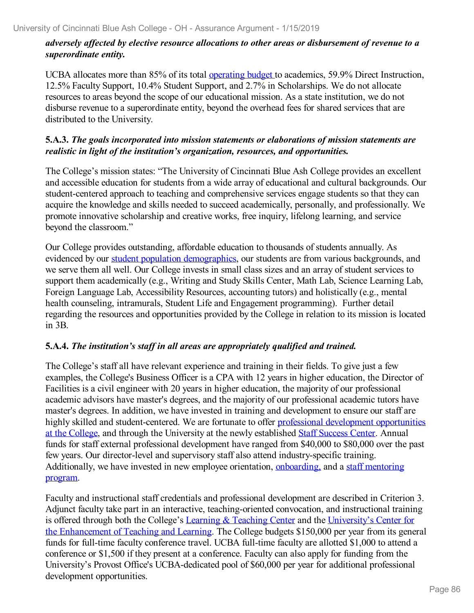### *adversely af ected by elective resource allocations to other areas or disbursement of revenue to a superordinate entity.*

UCBA allocates more than 85% of its total [operating](file:///D:/evidence/viewfile?fileid=646355) budget to academics, 59.9% Direct Instruction, 12.5% Faculty Support, 10.4% Student Support, and 2.7% in Scholarships. We do not allocate resources to areas beyond the scope of our educational mission. As a state institution, we do not disburse revenue to a superordinate entity, beyond the overhead fees for shared services that are distributed to the University.

#### **5.A.3.** *The goals incorporated into mission statements or elaborations of mission statements are realistic in light of the institution's organization, resources, and opportunities.*

The College's mission states: "The University of Cincinnati Blue Ash College provides an excellent and accessible education for students from a wide array of educational and cultural backgrounds. Our student-centered approach to teaching and comprehensive services engage students so that they can acquire the knowledge and skills needed to succeed academically, personally, and professionally. We promote innovative scholarship and creative works, free inquiry, lifelong learning, and service beyond the classroom."

Our College provides outstanding, affordable education to thousands of students annually. As evidenced by our student population [demographics](file:///D:/evidence/viewfile?fileId=675902), our students are from various backgrounds, and we serve them allwell. Our College invests in small class sizes and an array of student services to support them academically (e.g., Writing and Study Skills Center, Math Lab, Science Learning Lab, Foreign Language Lab, Accessibility Resources, accounting tutors) and holistically (e.g., mental health counseling, intramurals, Student Life and Engagement programming). Further detail regarding the resources and opportunities provided by the College in relation to its mission is located in 3B.

#### **5.A.4.** *The institution's staf in all areas are appropriately qualified and trained.*

The College's staff all have relevant experience and training in their fields. To give just a few examples, the College's Business Officer is a CPA with 12 years in higher education, the Director of Facilities is a civil engineer with 20 years in higher education, the majority of our professional academic advisors have master's degrees, and the majority of our professional academic tutors have master's degrees. In addition, we have invested in training and development to ensure our staff are highly skilled and [student-centered.](file:///D:/evidence/viewfile?fileId=675966) We are fortunate to offer professional development opportunities at the College, and through the University at the newly established Staff [Success](file:///D:/evidence/viewfile?fileid=646356) Center. Annual funds for staff external professional development have ranged from \$40,000 to \$80,000 over the past few years. Our director-level and supervisory staff also attend industry-specific training. [Additionally,](file:///D:/evidence/viewfile?fileId=675967) we have invested in new employee orientation, [onboarding,](file:///D:/evidence/viewfile?fileid=646357) and a staff mentoring program.

Faculty and instructional staff credentials and professional development are described in Criterion 3. Adjunct faculty take part in an interactive, teaching-oriented convocation, and instructional training is offered through both the College's Learning & [Teaching](file:///D:/evidence/viewfile?fileId=625414) Center and the University's Center for the [Enhancement](file:///D:/evidence/viewfile?fileId=625402) of Teaching and Learning. The College budgets \$150,000 per year from its general funds for full-time faculty conference travel. UCBA full-time faculty are allotted \$1,000 to attend a conference or \$1,500 if they present at a conference. Faculty can also apply for funding from the University's Provost Office's UCBA-dedicated pool of \$60,000 per year for additional professional development opportunities.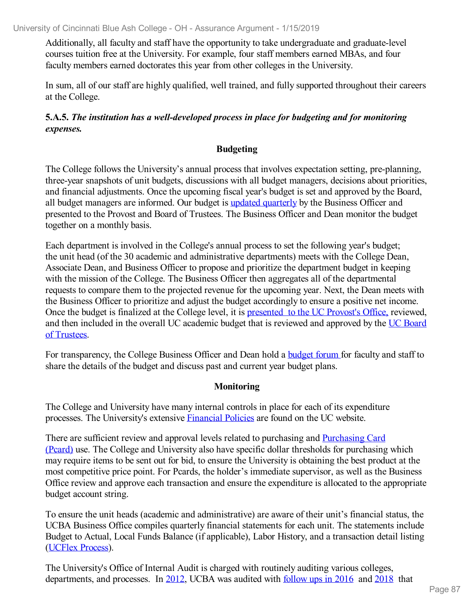Additionally, all faculty and staff have the opportunity to take undergraduate and graduate-level courses tuition free at the University. For example, four staff members earned MBAs, and four faculty members earned doctorates this year from other colleges in the University.

In sum, all of our staff are highly qualified, well trained, and fully supported throughout their careers at the College.

### **5.A.5.** *The institution has a well-developed process in place for budgeting and for monitoring expenses.*

### **Budgeting**

The College follows the University's annual process that involves expectation setting, pre-planning, three-year snapshots of unit budgets, discussions with all budget managers, decisions about priorities, and financial adjustments. Once the upcoming fiscal year's budget is set and approved by the Board, all budget managers are informed. Our budget is updated [quarterly](file:///D:/evidence/viewfile?fileId=675901) by the Business Officer and presented to the Provost and Board of Trustees. The Business Officer and Dean monitor the budget together on a monthly basis.

Each department is involved in the College's annual process to set the following year's budget; the unit head (of the 30 academic and administrative departments) meets with the College Dean, Associate Dean, and Business Officer to propose and prioritize the department budget in keeping with the mission of the College. The Business Officer then aggregates all of the departmental requests to compare them to the projected revenue for the upcoming year. Next, the Dean meets with the Business Officer to prioritize and adjust the budget accordingly to ensure a positive net income. Once the budget is finalized at the College level, it is [presented](file:///D:/evidence/viewfile?fileId=675903) to the UC Provost's Office, reviewed, and then included in the overall UC [academic](file:///D:/evidence/viewfile?fileId=675905) budget that is reviewed and approved by the UC Board of Trustees.

For transparency, the College Business Officer and Dean hold a **[budget](file:///D:/evidence/viewfile?fileid=646360) forum** for faculty and staff to share the details of the budget and discuss past and current year budget plans.

#### **Monitoring**

The College and University have many internal controls in place for each of its expenditure processes. The University's extensive [Financial](file:///D:/evidence/viewfile?fileid=675915) Policies are found on the UC website.

There are sufficient review and approval levels related to purchasing and [Purchasing](file:///D:/evidence/viewfile?fileid=646361) Card (Pcard) use. The College and University also have specific dollar thresholds for purchasing which may require items to be sent out for bid, to ensure the University is obtaining the best product at the most competitive price point. For Pcards, the holder's immediate supervisor, as well as the Business Office review and approve each transaction and ensure the expenditure is allocated to the appropriate budget account string.

To ensure the unit heads (academic and administrative) are aware of their unit's financial status, the UCBA Business Office compiles quarterly financial statements for each unit. The statements include Budget to Actual, Local Funds Balance (if applicable), Labor History, and a transaction detail listing ([UCFlex](file:///D:/evidence/viewfile?fileid=646362) Process).

The University's Office of Internal Audit is charged with routinely auditing various colleges, departments, and processes. In [2012](file:///D:/evidence/viewfile?fileid=646364), UCBA was audited with [follow](file:///D:/evidence/viewfile?fileid=646363) ups in 2016 and [2018](file:///D:/evidence/viewfile?fileid=646366) that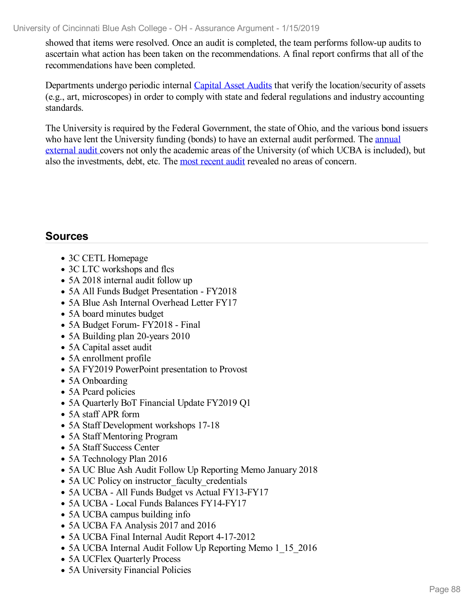showed that items were resolved. Once an audit is completed, the team performs follow-up audits to ascertain what action has been taken on the recommendations. A final report confirms that all of the recommendations have been completed.

Departments undergo periodic internal [Capital](file:///D:/evidence/viewfile?fileId=675914) Asset Audits that verify the location/security of assets (e.g., art, microscopes) in order to comply with state and federal regulations and industry accounting standards.

The University is required by the Federal Government, the state of Ohio, and the various bond issuers who have lent the University funding (bonds) to have an external audit [performed.](file:///D:/evidence/viewfile?fileid=646365) The **annual** external audit covers not only the academic areas of the University (of which UCBA is included), but also the investments, debt, etc. The most [recent](file:///D:/evidence/viewfile?fileId=724734) audit revealed no areas of concern.

## **Sources**

- 3C CETL Homepage
- 3C LTC workshops and flcs
- 5A 2018 internal audit follow up
- 5A All Funds Budget Presentation FY2018
- 5A Blue Ash Internal Overhead Letter FY17
- 5A board minutes budget
- 5A Budget Forum- FY2018 Final
- 5A Building plan 20-years 2010
- 5A Capital asset audit
- 5A enrollment profile
- 5A FY2019 PowerPoint presentation to Provost
- 5A Onboarding
- 5A Pcard policies
- 5A Quarterly BoT Financial Update FY2019 Q1
- 5A staff APR form
- 5A Staff Development workshops 17-18
- 5A Staff Mentoring Program
- 5A Staff Success Center
- 5A Technology Plan 2016
- 5A UC Blue Ash Audit Follow Up Reporting Memo January 2018
- 5A UC Policy on instructor faculty credentials
- 5A UCBA All Funds Budget vs Actual FY13-FY17
- 5A UCBA Local Funds Balances FY14-FY17
- 5A UCBA campus building info
- 5A UCBA FA Analysis 2017 and 2016
- 5A UCBA Final Internal Audit Report 4-17-2012
- 5A UCBA Internal Audit Follow Up Reporting Memo 1 15 2016
- 5A UCFlex Ouarterly Process
- 5A University Financial Policies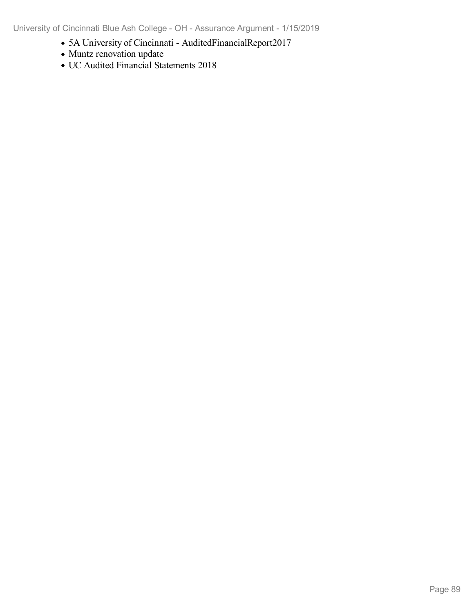University of Cincinnati Blue Ash College - OH - Assurance Argument - 1/15/2019

- 5A University of Cincinnati AuditedFinancialReport2017
- Muntz renovation update
- UC Audited Financial Statements 2018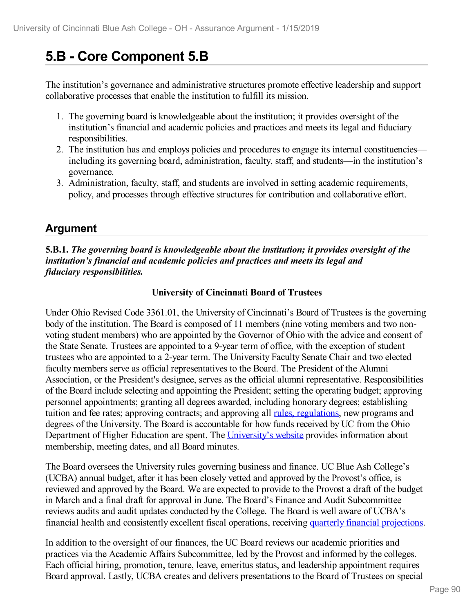# **5.B - Core Component 5.B**

The institution's governance and administrative structures promote effective leadership and support collaborative processes that enable the institution to fulfill its mission.

- 1. The governing board is knowledgeable about the institution; it provides oversight of the institution's financial and academic policies and practices and meets its legal and fiduciary responsibilities.
- 2. The institution has and employs policies and procedures to engage its internal constituencies including its governing board, administration, faculty, staff, and students—in the institution's governance.
- 3. Administration, faculty, staff, and students are involved in setting academic requirements, policy, and processes through effective structures for contribution and collaborative effort.

## **Argument**

#### **5.B.1.** *The governing board is knowledgeable about the institution; it provides oversight of the institution's financial and academic policies and practices and meets its legal and fiduciary responsibilities.*

#### **University of Cincinnati Board of Trustees**

Under Ohio Revised Code 3361.01, the University of Cincinnati's Board of Trustees is the governing body of the institution. The Board is composed of 11 members (nine voting members and two non voting student members) who are appointed by the Governor of Ohio with the advice and consent of the State Senate. Trustees are appointed to a 9-year term of office, with the exception of student trustees who are appointed to a 2-year term. The University Faculty Senate Chair and two elected faculty members serve as official representatives to the Board. The President of the Alumni Association, or the President's designee, serves as the official alumni representative. Responsibilities of the Board include selecting and appointing the President; setting the operating budget; approving personnel appointments; granting all degrees awarded, including honorary degrees; establishing tuition and fee rates; approving contracts; and approving all rules, [regulations](file:///D:/evidence/viewfile?fileid=669644), new programs and degrees of the University. The Board is accountable for how funds received by UC from the Ohio Department of Higher Education are spent. The [University's](file:///D:/evidence/viewfile?fileid=669635) website provides information about membership, meeting dates, and all Board minutes.

The Board oversees the University rules governing business and finance. UC Blue Ash College's (UCBA) annual budget, after it has been closely vetted and approved by the Provost's office, is reviewed and approved by the Board. We are expected to provide to the Provost a draft of the budget in March and a final draft for approval in June. The Board's Finance and Audit Subcommittee reviews audits and audit updates conducted by the College. The Board is well aware of UCBA's financial health and consistently excellent fiscal operations, receiving quarterly financial [projections](file:///D:/evidence/viewfile?fileId=675901).

In addition to the oversight of our finances, the UC Board reviews our academic priorities and practices via the Academic Affairs Subcommittee, led by the Provost and informed by the colleges. Each official hiring, promotion, tenure, leave, emeritus status, and leadership appointment requires Board approval. Lastly, UCBA creates and delivers presentations to the Board of Trustees on special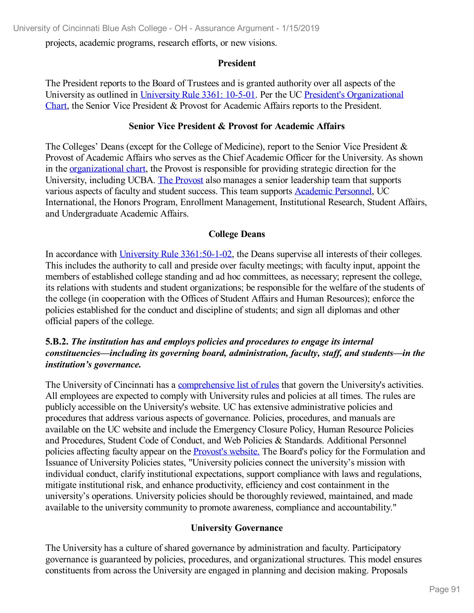projects, academic programs, research efforts, or new visions.

#### **President**

The President reports to the Board of Trustees and is granted authority over all aspects of the University as outlined in [University](file:///D:/evidence/viewfile?fileid=669643) Rule 3361: 10-5-01. Per the UC President's [Organizational](file:///D:/evidence/viewfile?fileid=669638) Chart, the Senior Vice President & Provost for Academic Affairs reports to the President.

#### **Senior Vice President & Provost for Academic Affairs**

The Colleges' Deans (except for the College of Medicine), report to the Senior Vice President & Provost of Academic Affairs who serves as the Chief Academic Officer for the University. As shown in the [organizational](file:///D:/evidence/viewfile?fileid=669641) chart, the Provost is responsible for providing strategic direction for the University, including UCBA. The [Provost](file:///D:/evidence/viewfile?fileId=697628) also manages a senior leadership team that supports various aspects of faculty and student success. This team supports [Academic](file:///D:/evidence/viewfile?fileId=697627) Personnel, UC International, the Honors Program, Enrollment Management, Institutional Research, Student Affairs, and Undergraduate Academic Affairs.

#### **College Deans**

In accordance with [University](file:///D:/evidence/viewfile?fileid=669642) Rule [3361:50-1-02](file:///D:/evidence/viewfile?fileid=669642), the Deans supervise all interests of their colleges. This includes the authority to call and preside over faculty meetings; with faculty input, appoint the members of established college standing and ad hoc committees, as necessary; represent the college, its relations with students and student organizations; be responsible for the welfare of the students of the college (in cooperation with the Offices of Student Affairs and Human Resources); enforce the policies established for the conduct and discipline of students; and sign all diplomas and other official papers of the college.

#### **5.B.2.** *The institution has and employs policies and procedures to engage its internal constituencies—including its governing board, administration, faculty, staf , and students—in the institution's governance.*

The University of Cincinnati has a [comprehensive](file:///D:/evidence/viewfile?fileid=669644) list of rules that govern the University's activities. All employees are expected to comply with University rules and policies at all times. The rules are publicly accessible on the University's website. UC has extensive administrative policies and procedures that address various aspects of governance. Policies, procedures, and manuals are available on the UC website and include the Emergency Closure Policy, Human Resource Policies and Procedures, Student Code of Conduct, and Web Policies & Standards. Additional Personnel policies affecting faculty appear on the [Provost's](file:///D:/evidence/viewfile?fileId=676005) website. The Board's policy for the Formulation and Issuance of University Policies states, "University policies connect the university's mission with individual conduct, clarify institutional expectations, support compliance with laws and regulations, mitigate institutional risk, and enhance productivity, efficiency and cost containment in the university's operations. University policies should be thoroughly reviewed, maintained, and made available to the university community to promote awareness, compliance and accountability."

#### **University Governance**

The University has a culture of shared governance by administration and faculty. Participatory governance is guaranteed by policies, procedures, and organizational structures. This model ensures constituents from across the University are engaged in planning and decision making. Proposals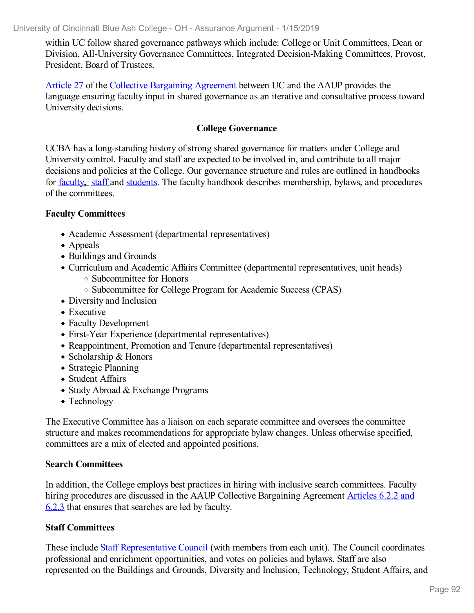within UC follow shared governance pathways which include: College or Unit Committees, Dean or Division, All-University Governance Committees, Integrated Decision-Making Committees, Provost, President, Board of Trustees.

[Article](file:///D:/evidence/viewfile?fileId=676035) 27 of the Collective [Bargaining](file:///D:/evidence/viewfile?fileid=669633) Agreement between UC and the AAUP provides the language ensuring faculty input in shared governance as an iterative and consultative process toward University decisions.

#### **College Governance**

UCBA has a long-standing history of strong shared governance for matters under College and University control. Faculty and staff are expected to be involved in, and contribute to all major decisions and policies at the College. Our governance structure and rules are outlined in handbooks for [faculty](https://ucblueash.edu/resources/faculty-staff/handbook.html)**,** [staff](https://ucblueash.edu/content/dam/ucblueash/docs/resources/faculty-resources/UCBA-Staff-Handbook-2017-v2.pdf) and [students](https://www.ucblueash.edu/content/dam/ucblueash/docs/students/basics/StudentHandbook_FINAL_PRINT.pdf). The faculty handbook describes membership, bylaws, and procedures of the committees.

#### **Faculty Committees**

- Academic Assessment (departmental representatives)
- Appeals
- Buildings and Grounds
- Curriculum and Academic Affairs Committee (departmental representatives, unit heads)
	- Subcommittee for Honors
		- $\circ$  Subcommittee for College Program for Academic Success (CPAS)
- Diversity and Inclusion
- Executive
- Faculty Development
- First-Year Experience (departmental representatives)
- Reappointment, Promotion and Tenure (departmental representatives)
- Scholarship & Honors
- Strategic Planning
- Student Affairs
- Study Abroad & Exchange Programs
- Technology

The Executive Committee has a liaison on each separate committee and oversees the committee structure and makes recommendations for appropriate bylaw changes. Unless otherwise specified, committees are a mix of elected and appointed positions.

#### **Search Committees**

In addition, the College employs best practices in hiring with inclusive search committees. Faculty hiring procedures are discussed in the AAUP Collective [Bargaining](file:///D:/evidence/viewfile?fileId=669639) Agreement Articles 6.2.2 and 6.2.3 that ensures that searches are led by faculty.

#### **Staff Committees**

These include Staff [Representative](file:///D:/evidence/viewfile?fileId=676033) Council (with members from each unit). The Council coordinates professional and enrichment opportunities, and votes on policies and bylaws. Staff are also represented on the Buildings and Grounds, Diversity and Inclusion, Technology, Student Affairs, and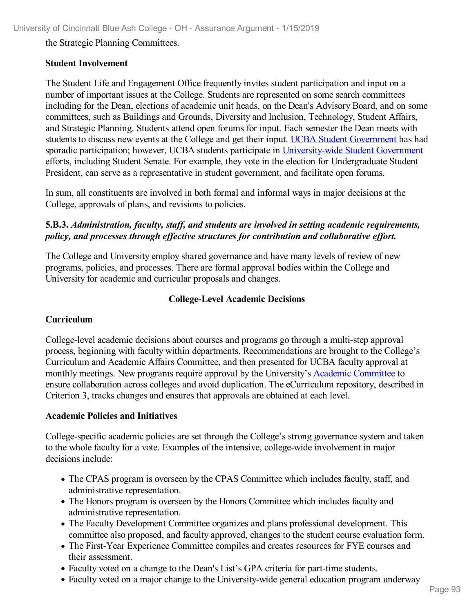the Strategic Planning Committees.

#### **Student Involvement**

The Student Life and Engagement Office frequently invites student participation and input on a number of important issues at the College. Students are represented on some search committees including for the Dean, elections of academic unit heads, on the Dean's Advisory Board, and on some committees, such as Buildings and Grounds, Diversity and Inclusion, Technology, Student Affairs, and Strategic Planning. Students attend open forums for input. Each semester the Dean meets with students to discuss new events at the College and get their input. UCBA Student [Government](file:///D:/evidence/viewfile?fileid=669631) has had sporadic participation; however, UCBA students participate in [University-wide](file:///D:/evidence/viewfile?fileId=683860) Student Government efforts, including Student Senate. For example, they vote in the election for Undergraduate Student President, can serve as a representative in student government, and facilitate open forums.

In sum, all constituents are involved in both formal and informal ways in major decisions at the College, approvals of plans, and revisions to policies.

#### **5.B.3.** *Administration, faculty, staf , and students are involved in setting academic requirements, policy, and processes through ef ective structures for contribution and collaborative ef ort.*

The College and University employ shared governance and have many levels of review of new programs, policies, and processes. There are formal approval bodies within the College and University for academic and curricular proposals and changes.

#### **College-Level Academic Decisions**

#### **Curriculum**

College-level academic decisions about courses and programs go through a multi-step approval process, beginning with faculty within departments. Recommendations are brought to the College's Curriculum and Academic Affairs Committee, and then presented for UCBA faculty approval at monthly meetings. New programs require approval by the University's Academic [Committee](file:///D:/evidence/viewfile?fileid=669634) to ensure collaboration across colleges and avoid duplication. The eCurriculum repository, described in Criterion 3, tracks changes and ensures that approvals are obtained at each level.

#### **Academic Policies and Initiatives**

College-specific academic policies are set through the College's strong governance system and taken to the whole faculty for a vote. Examples of the intensive, college-wide involvement in major decisions include:

- The CPAS program is overseen by the CPAS Committee which includes faculty, staff, and administrative representation.
- The Honors program is overseen by the Honors Committee which includes faculty and administrative representation.
- The Faculty Development Committee organizes and plans professional development. This committee also proposed, and faculty approved, changes to the student course evaluation form.
- The First-Year Experience Committee compiles and creates resources for FYE courses and their assessment.
- Faculty voted on a change to the Dean's List's GPA criteria for part-time students.
- Faculty voted on a major change to the University-wide general education program underway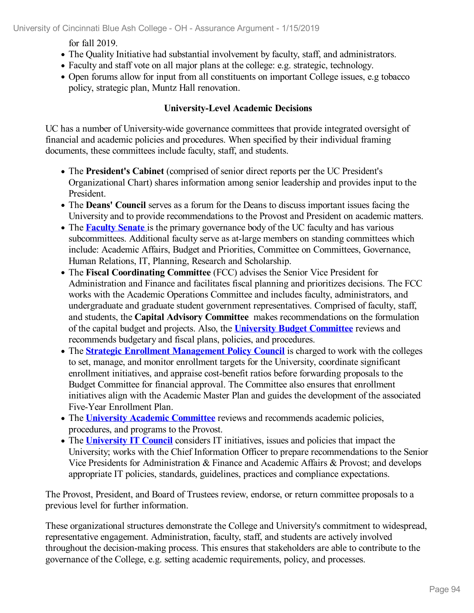for fall 2019.

- The Quality Initiative had substantial involvement by faculty, staff, and administrators.
- Faculty and staff vote on all major plans at the college: e.g. strategic, technology.
- Open forums allow for input from all constituents on important College issues, e.g tobacco policy, strategic plan, Muntz Hall renovation.

### **University-Level Academic Decisions**

UC has a number of University-wide governance committees that provide integrated oversight of financial and academic policies and procedures. When specified by their individual framing documents, these committees include faculty, staff, and students.

- The **President's Cabinet** (comprised of senior direct reports per the UC President's Organizational Chart) shares information among senior leadership and provides input to the President.
- The **Deans' Council** serves as a forum for the Deans to discuss important issues facing the University and to provide recommendations to the Provost and President on academic matters.
- The **[Faculty](file:///D:/evidence/viewfile?fileid=669637) Senate** is the primary governance body of the UC faculty and has various subcommittees. Additional faculty serve as at-large members on standing committees which include: Academic Affairs, Budget and Priorities, Committee on Committees, Governance, Human Relations, IT, Planning, Research and Scholarship.
- The **Fiscal Coordinating Committee** (FCC) advises the Senior Vice President for Administration and Finance and facilitates fiscal planning and prioritizes decisions. The FCC works with the Academic Operations Committee and includes faculty, administrators, and undergraduate and graduate student government representatives. Comprised of faculty, staff, and students, the **Capital Advisory Committee** makes recommendations on the formulation of the capital budget and projects. Also, the **University Budget [Committee](file:///D:/evidence/viewfile?fileId=676000)** reviews and recommends budgetary and fiscal plans, policies, and procedures.
- The **Strategic Enrollment [Management](file:///D:/evidence/viewfile?fileId=676002) Policy Council** is charged to work with the colleges to set, manage, and monitor enrollment targets for the University, coordinate significant enrollment initiatives, and appraise cost-benefit ratios before forwarding proposals to the Budget Committee for financial approval. The Committee also ensures that enrollment initiatives align with the Academic Master Plan and guides the development of the associated Five-Year Enrollment Plan.
- The **University Academic [Committee](file:///D:/evidence/viewfile?fileid=669634)** reviews and recommends academic policies, procedures, and programs to the Provost.
- The **[University](file:///D:/evidence/viewfile?fileId=676004) IT Council** considers IT initiatives, issues and policies that impact the University; works with the Chief Information Officer to prepare recommendations to the Senior Vice Presidents for Administration & Finance and Academic Affairs & Provost; and develops appropriate IT policies, standards, guidelines, practices and compliance expectations.

The Provost, President, and Board of Trustees review, endorse, or return committee proposals to a previous level for further information.

These organizational structures demonstrate the College and University's commitment to widespread, representative engagement. Administration, faculty, staff, and students are actively involved throughout the decision-making process. This ensures that stakeholders are able to contribute to the governance of the College, e.g. setting academic requirements, policy, and processes.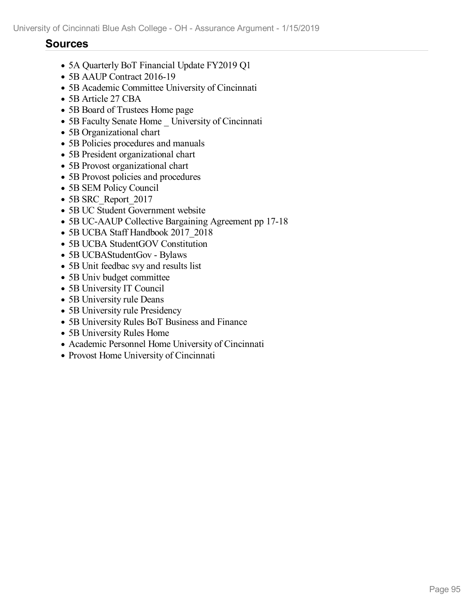### **Sources**

- 5A Quarterly BoT Financial Update FY2019 Q1
- 5B AAUP Contract 2016-19
- 5B Academic Committee University of Cincinnati
- 5B Article 27 CBA
- 5B Board of Trustees Home page
- 5B Faculty Senate Home University of Cincinnati
- 5B Organizational chart
- 5B Policies procedures and manuals
- 5B President organizational chart
- 5B Provost organizational chart
- 5B Provost policies and procedures
- 5B SEM Policy Council
- 5B SRC\_Report\_2017
- 5B UC Student Government website
- 5B UC-AAUP Collective Bargaining Agreement pp 17-18
- 5B UCBA Staff Handbook 2017\_2018
- 5B UCBA StudentGOV Constitution
- 5B UCBAStudentGov Bylaws
- 5B Unit feedbac svy and results list
- 5B Univ budget committee
- 5B University IT Council
- 5B University rule Deans
- 5B University rule Presidency
- 5B University Rules BoT Business and Finance
- 5B University Rules Home
- Academic Personnel Home University of Cincinnati
- Provost Home University of Cincinnati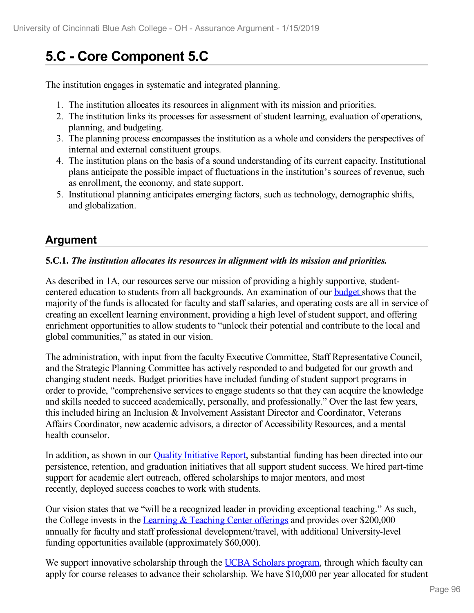# **5.C - Core Component 5.C**

The institution engages in systematic and integrated planning.

- 1. The institution allocates its resources in alignment with its mission and priorities.
- 2. The institution links its processes for assessment of student learning, evaluation of operations, planning, and budgeting.
- 3. The planning process encompasses the institution as a whole and considers the perspectives of internal and external constituent groups.
- 4. The institution plans on the basis of a sound understanding of its current capacity. Institutional plans anticipate the possible impact of fluctuations in the institution's sources of revenue, such as enrollment, the economy, and state support.
- 5. Institutional planning anticipates emerging factors, such as technology, demographic shifts, and globalization.

## **Argument**

#### **5.C.1.** *The institution allocates its resources in alignment with its mission and priorities.*

As described in 1A, our resources serve our mission of providing a highly supportive, studentcentered education to students from all backgrounds. An examination of our **[budget](file:///D:/evidence/viewfile?fileId=646360)** shows that the majority of the funds is allocated for faculty and staff salaries, and operating costs are all in service of creating an excellent learning environment, providing a high level of student support, and offering enrichment opportunities to allow students to "unlock their potential and contribute to the local and global communities," as stated in our vision.

The administration, with input from the faculty Executive Committee, Staff Representative Council, and the Strategic Planning Committee has actively responded to and budgeted for our growth and changing student needs. Budget priorities have included funding of student support programs in order to provide, "comprehensive services to engage students so that they can acquire the knowledge and skills needed to succeed academically, personally, and professionally." Over the last few years, this included hiring an Inclusion & Involvement Assistant Director and Coordinator, Veterans Affairs Coordinator, new academic advisors, a director of Accessibility Resources, and a mental health counselor.

In addition, as shown in our **Quality [Initiative](file:///D:/evidence/viewfile?fileId=646180) Report**, substantial funding has been directed into our persistence, retention, and graduation initiatives that all support student success. We hired part-time support for academic alert outreach, offered scholarships to major mentors, and most recently, deployed success coaches to work with students.

Our vision states that we "will be a recognized leader in providing exceptional teaching." As such, the College invests in the Learning & [Teaching](file:///D:/evidence/viewfile?fileId=631322) Center offerings and provides over \$200,000 annually for faculty and staff professional development/travel, with additional University-level funding opportunities available (approximately \$60,000).

We support innovative scholarship through the UCBA [Scholars](file:///D:/evidence/viewfile?fileId=676146) program, through which faculty can apply for course releases to advance their scholarship. We have \$10,000 per year allocated for student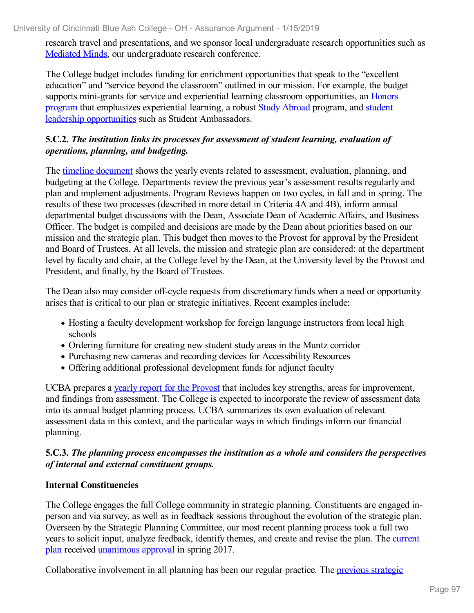research travel and presentations, and we sponsor local undergraduate research opportunities such as [Mediated](file:///D:/evidence/viewfile?fileId=627898) Minds, our undergraduate research conference.

The College budget includes funding for enrichment opportunities that speak to the "excellent education" and "service beyond the classroom" outlined in our mission. For example, the budget supports mini-grants for service and experiential learning classroom [opportunities,](file:///D:/evidence/viewfile?fileId=676162) an Honors program that emphasizes experiential learning, a robust Study [Abroad](file:///D:/evidence/viewfile?fileId=627920) program, and student leadership opportunities such as Student [Ambassadors.](file:///D:/evidence/viewfile?fileId=627925)

#### **5.C.2.** *The institution links its processes for assessment of student learning, evaluation of operations, planning, and budgeting.*

The timeline [document](file:///D:/evidence/viewfile?fileid=676163) shows the yearly events related to assessment, evaluation, planning, and budgeting at the College. Departments review the previous year's assessment results regularly and plan and implement adjustments. Program Reviews happen on two cycles, in fall and in spring. The results of these two processes (described in more detail in Criteria 4A and 4B), inform annual departmental budget discussions with the Dean, Associate Dean of Academic Affairs, and Business Officer. The budget is compiled and decisions are made by the Dean about priorities based on our mission and the strategic plan. This budget then moves to the Provost for approval by the President and Board of Trustees. At all levels, the mission and strategic plan are considered: at the department level by faculty and chair, at the College level by the Dean, at the University level by the Provost and President, and finally, by the Board of Trustees.

The Dean also may consider off-cycle requests from discretionary funds when a need or opportunity arises that is critical to our plan or strategic initiatives. Recent examples include:

- Hosting a faculty development workshop for foreign language instructors from local high schools
- Ordering furniture for creating new student study areas in the Muntz corridor
- Purchasing new cameras and recording devices for Accessibility Resources
- Offering additional professional development funds for adjunct faculty

UCBA prepares a yearly report for the [Provost](file:///D:/evidence/viewfile?fileId=675903) that includes key strengths, areas for improvement, and findings from assessment. The College is expected to incorporate the review of assessment data into its annual budget planning process. UCBA summarizes its own evaluation of relevant assessment data in this context, and the particular ways in which findings inform our financial planning.

#### **5.C.3.** *The planning process encompasses the institution as a whole and considers the perspectives of internal and external constituent groups.*

#### **Internal Constituencies**

The College engages the full College community in strategic planning. Constituents are engaged in person and via survey, as well as in feedback sessions throughout the evolution of the strategic plan. Overseen by the Strategic Planning Committee, our most recent planning process took a full two years to solicit input, analyze feedback, identify themes, and create and revise the plan. The current plan received [unanimous](file:///D:/evidence/viewfile?fileId=675494) approval in spring 2017.

[Collaborative](file:///D:/evidence/viewfile?fileId=676151) involvement in all planning has been our regular practice. The previous strategic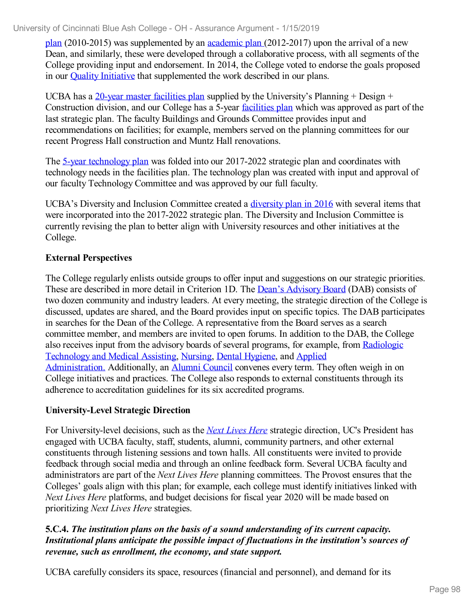plan (2010-2015) was supplemented by an [academic](file:///D:/evidence/viewfile?fileid=676132) plan (2012-2017) upon the arrival of a new Dean, and similarly, these were developed through a collaborative process, with all segments of the College providing input and endorsement. In 2014, the College voted to endorse the goals proposed in our Quality [Initiative](file:///D:/evidence/viewfile?fileId=676126) that supplemented the work described in our plans.

UCBA has a 20-year master [facilities](file:///D:/evidence/viewfile?fileId=676137) plan supplied by the University's Planning  $+$  Design  $+$ Construction division, and our College has a 5-year [facilities](file:///D:/evidence/viewfile?fileId=683872) plan which was approved as part of the last strategic plan. The faculty Buildings and Grounds Committee provides input and recommendations on facilities; for example, members served on the planning committees for our recent Progress Hall construction and Muntz Hall renovations.

The 5-year [technology](file:///D:/evidence/viewfile?fileId=676127) plan was folded into our 2017-2022 strategic plan and coordinates with technology needs in the facilities plan. The technology plan was created with input and approval of our faculty Technology Committee and was approved by our full faculty.

UCBA's Diversity and Inclusion Committee created a [diversity](file:///D:/evidence/viewfile?fileId=676140) plan in 2016 with several items that were incorporated into the 2017-2022 strategic plan. The Diversity and Inclusion Committee is currently revising the plan to better align with University resources and other initiatives at the College.

### **External Perspectives**

The College regularly enlists outside groups to offer input and suggestions on our strategic priorities. These are described in more detail in Criterion 1D. The Dean's [Advisory](file:///D:/evidence/viewfile?fileId=676167) Board (DAB) consists of two dozen community and industry leaders. At every meeting, the strategic direction of the College is discussed, updates are shared, and the Board provides input on specific topics. The DAB participates in searches for the Dean of the College. A representative from the Board serves as a search committee member, and members are invited to open forums. In addition to the DAB, the College also receives input from the advisory boards of several programs, for example, from Radiologic [Technology](file:///D:/evidence/viewfile?fileId=676136) and Medical Assisting, [Nursing](file:///D:/evidence/viewfile?fileId=676164), Dental [Hygiene](file:///D:/evidence/viewfile?fileId=676143), and Applied [Administration.](file:///D:/evidence/viewfile?fileId=676139) Additionally, an Alumni [Council](file:///D:/evidence/viewfile?fileId=676135) convenes every term. They often weigh in on College initiatives and practices. The College also responds to external constituents through its adherence to accreditation guidelines for its six accredited programs.

#### **University-Level Strategic Direction**

For University-level decisions, such as the *Next [Lives](file:///D:/evidence/viewfile?fileId=676198) Here* strategic direction, UC's President has engaged with UCBA faculty, staff, students, alumni, community partners, and other external constituents through listening sessions and town halls. All constituents were invited to provide feedback through social media and through an online feedback form. Several UCBA faculty and administrators are part of the *Next Lives Here* planning committees. The Provost ensures that the Colleges' goals align with this plan; for example, each college must identify initiatives linked with *Next Lives Here* platforms, and budget decisions for fiscal year 2020 will be made based on prioritizing *Next Lives Here* strategies.

#### **5.C.4.** *The institution plans on the basis of a sound understanding of its current capacity. Institutional plans anticipate the possible impact of fluctuations in the institution's sources of revenue, such as enrollment, the economy, and state support.*

UCBA carefully considers its space, resources (financial and personnel), and demand for its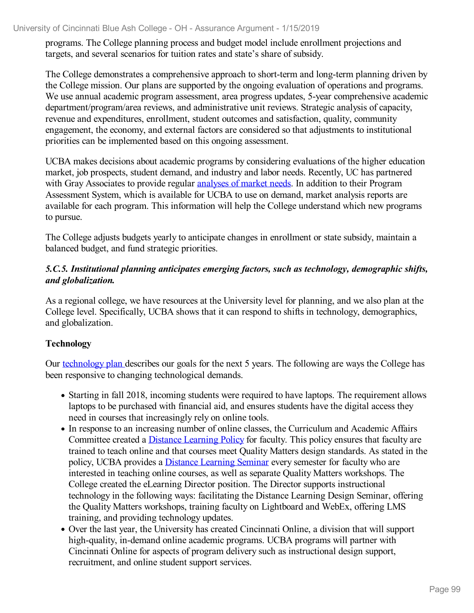programs. The College planning process and budget model include enrollment projections and targets, and several scenarios for tuition rates and state's share of subsidy.

The College demonstrates a comprehensive approach to short-term and long-term planning driven by the College mission. Our plans are supported by the ongoing evaluation of operations and programs. We use annual academic program assessment, area progress updates, 5-year comprehensive academic department/program/area reviews, and administrative unit reviews. Strategic analysis of capacity, revenue and expenditures, enrollment, student outcomes and satisfaction, quality, community engagement, the economy, and external factors are considered so that adjustments to institutional priorities can be implemented based on this ongoing assessment.

UCBA makes decisions about academic programs by considering evaluations of the higher education market, job prospects, student demand, and industry and labor needs. Recently, UC has partnered with Gray Associates to provide regular [analyses](file:///D:/evidence/viewfile?fileId=683873) of market needs. In addition to their Program Assessment System, which is available for UCBA to use on demand, market analysis reports are available for each program. This information will help the College understand which new programs to pursue.

The College adjusts budgets yearly to anticipate changes in enrollment or state subsidy, maintain a balanced budget, and fund strategic priorities.

#### *5.C.5. Institutional planning anticipates emerging factors, such as technology, demographic shifts, and globalization.*

As a regional college, we have resources at the University level for planning, and we also plan at the College level. Specifically, UCBA shows that it can respond to shifts in technology, demographics, and globalization.

#### **Technology**

Our [technology](file:///D:/evidence/viewfile?fileId=676127) plan describes our goals for the next 5 years. The following are ways the College has been responsive to changing technological demands.

- Starting in fall 2018, incoming students were required to have laptops. The requirement allows laptops to be purchased with financial aid, and ensures students have the digital access they need in courses that increasingly rely on online tools.
- In response to an increasing number of online classes, the Curriculum and Academic Affairs Committee created a Distance [Learning](file:///D:/evidence/viewfile?fileId=676144) Policy for faculty. This policy ensures that faculty are trained to teach online and that courses meet Quality Matters design standards. As stated in the policy, UCBA provides a Distance [Learning](file:///D:/evidence/viewfile?fileId=676142) Seminar every semester for faculty who are interested in teaching online courses, as well as separate Quality Matters workshops. The College created the eLearning Director position. The Director supports instructional technology in the following ways: facilitating the Distance Learning Design Seminar, offering the Quality Matters workshops, training faculty on Lightboard and WebEx, offering LMS training, and providing technology updates.
- Over the last year, the University has created Cincinnati Online, a division that will support high-quality, in-demand online academic programs. UCBA programs will partner with Cincinnati Online for aspects of program delivery such as instructional design support, recruitment, and online student support services.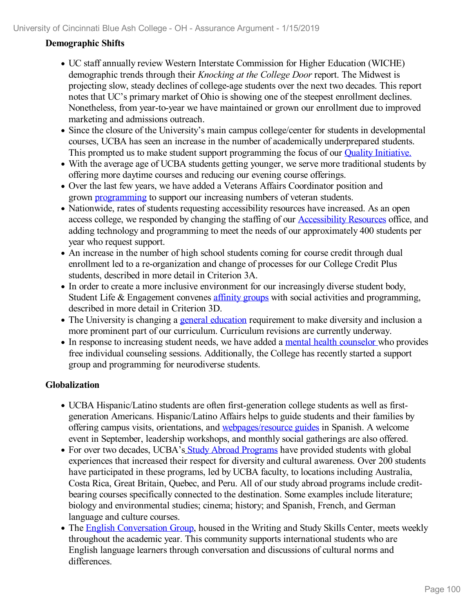#### **Demographic Shifts**

- UC staff annually review Western Interstate Commission for Higher Education (WICHE) demographic trends through their *Knocking at the College Door* report. The Midwest is projecting slow, steady declines of college-age students over the next two decades. This report notes that UC's primary market of Ohio is showing one of the steepest enrollment declines. Nonetheless, from year-to-year we have maintained or grown our enrollment due to improved marketing and admissions outreach.
- Since the closure of the University's main campus college/center for students in developmental courses, UCBA has seen an increase in the number of academically underprepared students. This prompted us to make student support programming the focus of our Quality [Initiative.](file:///D:/evidence/viewfile?fileid=646180)
- With the average age of UCBA students getting younger, we serve more traditional students by offering more daytime courses and reducing our evening course offerings.
- Over the last few years, we have added a Veterans Affairs Coordinator position and grown [programming](file:///D:/evidence/viewfile?fileId=676168) to support our increasing numbers of veteran students.
- Nationwide, rates of students requesting accessibility resources have increased. As an open access college, we responded by changing the staffing of our [Accessibility](file:///D:/evidence/viewfile?fileId=676133) Resources office, and adding technology and programming to meet the needs of our approximately 400 students per year who request support.
- An increase in the number of high school students coming for course credit through dual enrollment led to a re-organization and change of processes for our College Credit Plus students, described in more detail in Criterion 3A.
- In order to create a more inclusive environment for our increasingly diverse student body, Student Life & Engagement convenes [affinity](file:///D:/evidence/viewfile?fileId=676134) groups with social activities and programming, described in more detail in Criterion 3D.
- The University is changing a general [education](file:///D:/evidence/viewfile?fileId=631355) requirement to make diversity and inclusion a more prominent part of our curriculum. Curriculum revisions are currently underway.
- In response to increasing student needs, we have added a mental health [counselor](file:///D:/evidence/viewfile?fileId=676141) who provides free individual counseling sessions. Additionally, the College has recently started a support group and programming for neurodiverse students.

#### **Globalization**

- UCBA Hispanic/Latino students are often first-generation college students as well as first generation Americans. Hispanic/Latino Affairs helps to guide students and their families by offering campus visits, orientations, and [webpages/resource](file:///D:/evidence/viewfile?fileId=676161) guides in Spanish. A welcome event in September, leadership workshops, and monthly social gatherings are also offered.
- For over two decades, UCBA's Study Abroad [Programs](file:///D:/evidence/viewfile?fileId=627920) have provided students with global experiences that increased their respect for diversity and cultural awareness. Over 200 students have participated in these programs, led by UCBA faculty, to locations including Australia, Costa Rica, Great Britain, Quebec, and Peru. All of our study abroad programs include credit bearing courses specifically connected to the destination. Some examples include literature; biology and environmental studies; cinema; history; and Spanish, French, and German language and culture courses.
- The English [Conversation](file:///D:/evidence/viewfile?fileId=676169) Group, housed in the Writing and Study Skills Center, meets weekly throughout the academic year. This community supports international students who are English language learners through conversation and discussions of cultural norms and differences.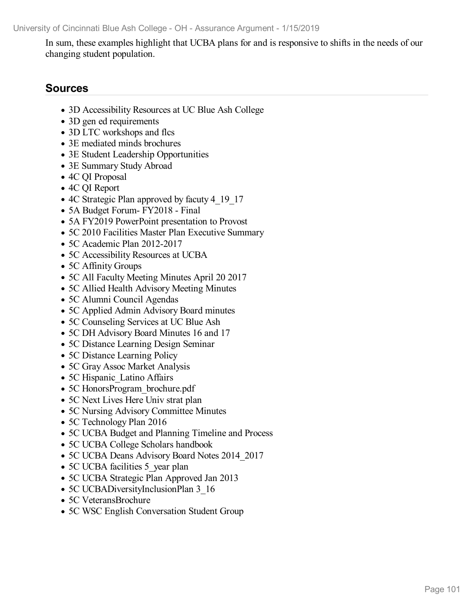University of Cincinnati Blue Ash College -OH - Assurance Argument - 1/15/2019

In sum, these examples highlight that UCBA plans for and is responsive to shifts in the needs of our changing student population.

### **Sources**

- 3D Accessibility Resources at UC Blue Ash College
- 3D gen ed requirements
- 3D LTC workshops and flcs
- 3E mediated minds brochures
- 3E Student Leadership Opportunities
- 3E Summary Study Abroad
- 4C QI Proposal
- 4C QI Report
- 4C Strategic Plan approved by facuty 4 19 17
- 5A Budget Forum- FY2018 Final
- 5A FY2019 PowerPoint presentation to Provost
- 5C 2010 Facilities Master Plan Executive Summary
- 5C Academic Plan 2012-2017
- 5C Accessibility Resources at UCBA
- 5C Affinity Groups
- 5C All Faculty Meeting Minutes April 20 2017
- 5C Allied Health Advisory Meeting Minutes
- 5C Alumni Council Agendas
- 5C Applied Admin Advisory Board minutes
- 5C Counseling Services at UC Blue Ash
- 5C DH Advisory Board Minutes 16 and 17
- 5C Distance Learning Design Seminar
- 5C Distance Learning Policy
- 5C Gray Assoc Market Analysis
- 5C Hispanic Latino Affairs
- 5C HonorsProgram brochure.pdf
- 5C Next Lives Here Univ strat plan
- 5C Nursing Advisory Committee Minutes
- 5C Technology Plan 2016
- 5C UCBA Budget and Planning Timeline and Process
- 5C UCBA College Scholars handbook
- 5C UCBA Deans Advisory Board Notes 2014\_2017
- 5C UCBA facilities 5 year plan
- 5C UCBA Strategic Plan Approved Jan 2013
- 5C UCBADiversityInclusionPlan 3 16
- 5C VeteransBrochure
- 5C WSC English Conversation Student Group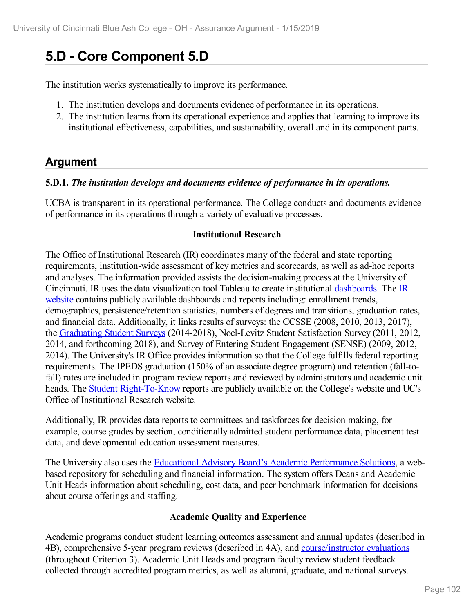# **5.D - Core Component 5.D**

The institution works systematically to improve its performance.

- 1. The institution develops and documents evidence of performance in its operations.
- 2. The institution learns from its operational experience and applies that learning to improve its institutional effectiveness, capabilities, and sustainability, overall and in its component parts.

## **Argument**

#### **5.D.1.** *The institution develops and documents evidence of performance in its operations.*

UCBA is transparent in its operational performance. The College conducts and documents evidence of performance in its operations through a variety of evaluative processes.

#### **Institutional Research**

The Office of Institutional Research (IR) coordinates many of the federal and state reporting requirements, institution-wide assessment of key metrics and scorecards, as well as ad-hoc reports and analyses. The information provided assists the decision-making process at the University of Cincinnati. IR uses the data [visualization](file:///D:/evidence/viewfile?fileId=724986) tool Tableau to create institutional [dashboards](file:///D:/evidence/viewfile?fileId=725838). The IR website contains publicly available dashboards and reports including: enrollment trends, demographics, persistence/retention statistics, numbers of degrees and transitions, graduation rates, and financial data. Additionally, it links results of surveys: the CCSSE (2008, 2010, 2013, 2017), the [Graduating](file:///D:/evidence/viewfile?fileId=675453) Student Surveys (2014-2018), Noel-Levitz Student Satisfaction Survey (2011, 2012, 2014, and forthcoming 2018), and Survey of Entering Student Engagement (SENSE) (2009, 2012, 2014). The University's IR Office provides information so that the College fulfills federal reporting requirements. The IPEDS graduation (150% of an associate degree program) and retention (fall-tofall) rates are included in program review reports and reviewed by administrators and academic unit heads. The Student [Right-To-Know](file:///D:/evidence/viewfile?fileId=724982) reports are publicly available on the College's website and UC's Office of Institutional Research website.

Additionally, IR provides data reports to committees and taskforces for decision making, for example, course grades by section, conditionally admitted student performance data, placement test data, and developmental education assessment measures.

The University also uses the Educational Advisory Board's Academic [Performance](file:///D:/evidence/viewfile?fileId=684661) Solutions, a web based repository for scheduling and financial information. The system offers Deans and Academic Unit Heads information about scheduling, cost data, and peer benchmark information for decisions about course offerings and staffing.

#### **Academic Quality and Experience**

Academic programs conduct student learning outcomes assessment and annual updates (described in 4B), comprehensive 5-year program reviews (described in 4A), and [course/instructor](file:///D:/evidence/viewfile?fileid=669674) evaluations (throughout Criterion 3). Academic Unit Heads and program faculty review student feedback collected through accredited program metrics, as well as alumni, graduate, and national surveys.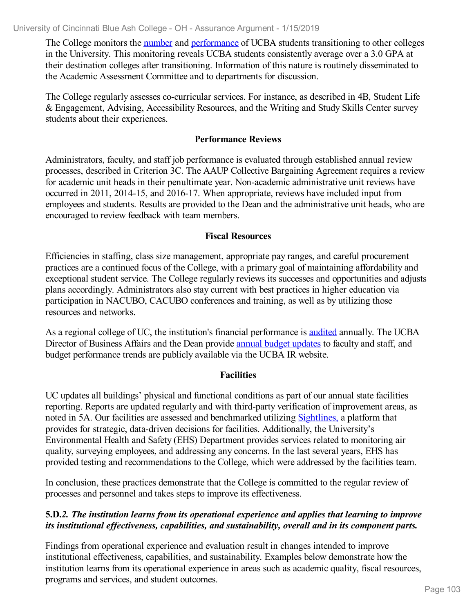The College monitors the [number](file:///D:/evidence/viewfile?fileId=646207) and [performance](file:///D:/evidence/viewfile?fileId=675482) of UCBA students transitioning to other colleges in the University. This monitoring reveals UCBA students consistently average over a 3.0 GPA at their destination colleges after transitioning. Information of this nature is routinely disseminated to the Academic Assessment Committee and to departments for discussion.

The College regularly assesses co-curricular services. For instance, as described in 4B, Student Life & Engagement, Advising, Accessibility Resources, and the Writing and Study Skills Center survey students about their experiences.

#### **Performance Reviews**

Administrators, faculty, and staff job performance is evaluated through established annual review processes, described in Criterion 3C. The AAUP Collective Bargaining Agreement requires a review for academic unit heads in their penultimate year. Non-academic administrative unit reviews have occurred in 2011, 2014-15, and 2016-17. When appropriate, reviews have included input from employees and students. Results are provided to the Dean and the administrative unit heads, who are encouraged to review feedback with team members.

#### **Fiscal Resources**

Efficiencies in staffing, class size management, appropriate pay ranges, and careful procurement practices are a continued focus of the College, with a primary goal of maintaining affordability and exceptional student service. The College regularly reviews its successes and opportunities and adjusts plans accordingly. Administrators also stay current with best practices in higher education via participation in NACUBO, CACUBO conferences and training, as well as by utilizing those resources and networks.

As a regional college of UC, the institution's financial performance is [audited](file:///D:/evidence/viewfile?fileId=683861) annually. The UCBA Director of Business Affairs and the Dean provide annual budget [updates](file:///D:/evidence/viewfile?fileId=646360) to faculty and staff, and budget performance trends are publicly available via the UCBA IR website.

#### **Facilities**

UC updates all buildings' physical and functional conditions as part of our annual state facilities reporting. Reports are updated regularly and with third-party verification of improvement areas, as noted in 5A. Our facilities are assessed and benchmarked utilizing [Sightlines,](file:///D:/evidence/viewfile?fileId=724995) a platform that provides for strategic, data-driven decisions for facilities. Additionally, the University's Environmental Health and Safety (EHS) Department provides services related to monitoring air quality, surveying employees, and addressing any concerns. In the last several years, EHS has provided testing and recommendations to the College, which were addressed by the facilities team.

In conclusion, these practices demonstrate that the College is committed to the regular review of processes and personnel and takes steps to improve its effectiveness.

#### **5.D.***2. The institution learns from its operational experience and applies that learning to improve its institutional ef ectiveness, capabilities, and sustainability, overall and in its component parts.*

Findings from operational experience and evaluation result in changes intended to improve institutional effectiveness, capabilities, and sustainability. Examples below demonstrate how the institution learns from its operational experience in areas such as academic quality, fiscal resources, programs and services, and student outcomes.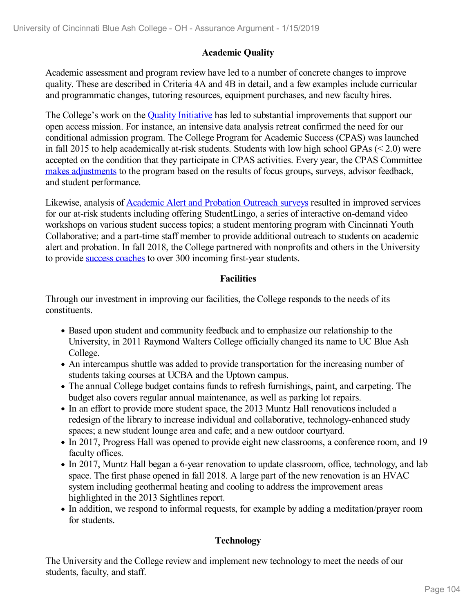#### **Academic Quality**

Academic assessment and program review have led to a number of concrete changes to improve quality. These are described in Criteria 4A and 4B in detail, and a few examples include curricular and programmatic changes, tutoring resources, equipment purchases, and new faculty hires.

The College's work on the **Quality [Initiative](file:///D:/evidence/viewfile?fileId=646180)** has led to substantial improvements that support our open access mission. For instance, an intensive data analysis retreat confirmed the need for our conditional admission program. The College Program for Academic Success (CPAS) was launched in fall 2015 to help academically at-risk students. Students with low high school GPAs (< 2.0) were accepted on the condition that they participate in CPAS activities. Every year, the CPAS Committee makes [adjustments](file:///D:/evidence/viewfile?fileId=646190) to the program based on the results of focus groups, surveys, advisor feedback, and student performance.

Likewise, analysis of [Academic](file:///D:/evidence/viewfile?fileId=646194) Alert and Probation Outreach surveys resulted in improved services for our at-risk students including offering StudentLingo, a series of interactive on-demand video workshops on various student success topics; a student mentoring program with Cincinnati Youth Collaborative; and a part-time staff member to provide additional outreach to students on academic alert and probation. In fall 2018, the College partnered with nonprofits and others in the University to provide success [coaches](file:///D:/evidence/viewfile?fileId=713278) to over 300 incoming first-year students.

#### **Facilities**

Through our investment in improving our facilities, the College responds to the needs of its constituents.

- Based upon student and community feedback and to emphasize our relationship to the University, in 2011 Raymond Walters College officially changed its name to UC Blue Ash College.
- An intercampus shuttle was added to provide transportation for the increasing number of students taking courses at UCBA and the Uptown campus.
- The annual College budget contains funds to refresh furnishings, paint, and carpeting. The budget also covers regular annual maintenance, as well as parking lot repairs.
- In an effort to provide more student space, the 2013 Muntz Hall renovations included a redesign of the library to increase individual and collaborative, technology-enhanced study spaces; a new student lounge area and cafe; and a new outdoor courtyard.
- In 2017, Progress Hall was opened to provide eight new classrooms, a conference room, and 19 faculty offices.
- In 2017, Muntz Hall began a 6-year renovation to update classroom, office, technology, and lab space. The first phase opened in fall 2018. A large part of the new renovation is an HVAC system including geothermal heating and cooling to address the improvement areas highlighted in the 2013 Sightlines report.
- In addition, we respond to informal requests, for example by adding a meditation/prayer room for students.

#### **Technology**

The University and the College review and implement new technology to meet the needs of our students, faculty, and staff.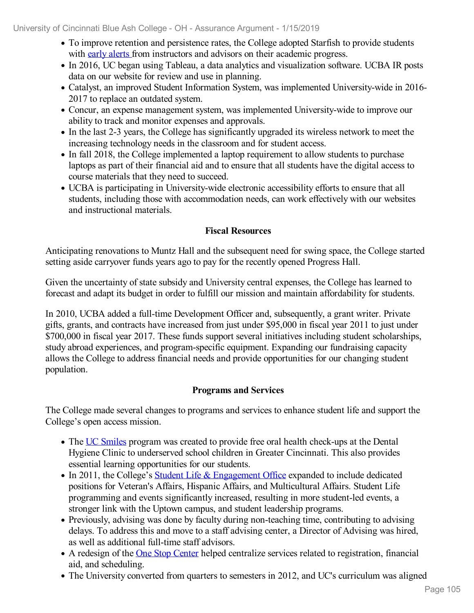University of Cincinnati Blue Ash College - OH - Assurance Argument - 1/15/2019

- To improve retention and persistence rates, the College adopted Starfish to provide students with early [alerts](file:///D:/evidence/viewfile?fileid=669663) from instructors and advisors on their academic progress.
- In 2016, UC began using Tableau, a data analytics and visualization software. UCBA IR posts data on our website for review and use in planning.
- Catalyst, an improved Student Information System, was implemented University-wide in 2016- 2017 to replace an outdated system.
- Concur, an expense management system, was implemented University-wide to improve our ability to track and monitor expenses and approvals.
- In the last 2-3 years, the College has significantly upgraded its wireless network to meet the increasing technology needs in the classroom and for student access.
- In fall 2018, the College implemented a laptop requirement to allow students to purchase laptops as part of their financial aid and to ensure that all students have the digital access to course materials that they need to succeed.
- UCBA is participating in University-wide electronic accessibility efforts to ensure that all students, including those with accommodation needs, can work effectively with our websites and instructional materials.

#### **Fiscal Resources**

Anticipating renovations to Muntz Hall and the subsequent need for swing space, the College started setting aside carryover funds years ago to pay for the recently opened Progress Hall.

Given the uncertainty of state subsidy and University central expenses, the College has learned to forecast and adapt its budget in order to fulfill our mission and maintain affordability for students.

In 2010, UCBA added a full-time Development Officer and, subsequently, a grant writer. Private gifts, grants, and contracts have increased from just under \$95,000 in fiscal year 2011 to just under \$700,000 in fiscal year 2017. These funds support several initiatives including student scholarships, study abroad experiences, and program-specific equipment. Expanding our fundraising capacity allows the College to address financial needs and provide opportunities for our changing student population.

#### **Programs and Services**

The College made several changes to programs and services to enhance student life and support the College's open access mission.

- The UC [Smiles](file:///D:/evidence/viewfile?fileId=624254) program was created to provide free oral health check-ups at the Dental Hygiene Clinic to underserved school children in Greater Cincinnati. This also provides essential learning opportunities for our students.
- In 2011, the College's Student Life & [Engagement](file:///D:/evidence/viewfile?fileId=625431) Office expanded to include dedicated positions for Veteran's Affairs, Hispanic Affairs, and Multicultural Affairs. Student Life programming and events significantly increased, resulting in more student-led events, a stronger link with the Uptown campus, and student leadership programs.
- Previously, advising was done by faculty during non-teaching time, contributing to advising delays. To address this and move to a staff advising center, a Director of Advising was hired, as well as additional full-time staff advisors.
- A redesign of the One Stop [Center](file:///D:/evidence/viewfile?fileId=653989) helped centralize services related to registration, financial aid, and scheduling.
- The University converted from quarters to semesters in 2012, and UC's curriculum was aligned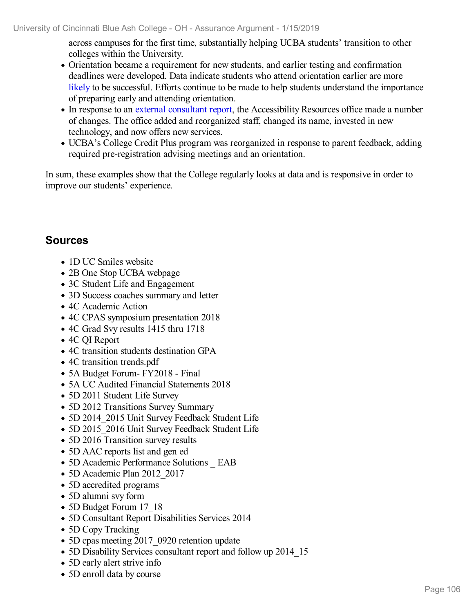across campuses for the first time, substantially helping UCBA students' transition to other colleges within the University.

- Orientation became a requirement for new students, and earlier testing and confirmation deadlines were developed. Data indicate students who attend orientation earlier are more [likely](file:///D:/evidence/viewfile?fileid=669668) to be successful. Efforts continue to be made to help students understand the importance of preparing early and attending orientation.
- In response to an external [consultant](file:///D:/evidence/viewfile?fileid=669661) report, the Accessibility Resources office made a number of changes. The office added and reorganized staff, changed its name, invested in new technology, and now offers new services.
- UCBA's College Credit Plus program was reorganized in response to parent feedback, adding required pre-registration advising meetings and an orientation.

In sum, these examples show that the College regularly looks at data and is responsive in order to improve our students' experience.

# **Sources**

- 1D UC Smiles website
- 2B One Stop UCBA webpage
- 3C Student Life and Engagement
- 3D Success coaches summary and letter
- 4C Academic Action
- 4C CPAS symposium presentation 2018
- 4C Grad Svy results 1415 thru 1718
- 4C QI Report
- 4C transition students destination GPA
- 4C transition trends.pdf
- 5A Budget Forum FY2018 Final
- 5A UC Audited Financial Statements 2018
- 5D 2011 Student Life Survey
- 5D 2012 Transitions Survey Summary
- 5D 2014 2015 Unit Survey Feedback Student Life
- 5D 2015 2016 Unit Survey Feedback Student Life
- 5D 2016 Transition survey results
- 5D AAC reports list and gen ed
- 5D Academic Performance Solutions \_ EAB
- 5D Academic Plan 2012 2017
- 5D accredited programs
- 5D alumni svy form
- 5D Budget Forum 17 18
- 5D Consultant Report Disabilities Services 2014
- 5D Copy Tracking
- 5D cpas meeting 2017 0920 retention update
- 5D Disability Services consultant report and follow up 2014 15
- 5D early alert strive info
- 5D enroll data by course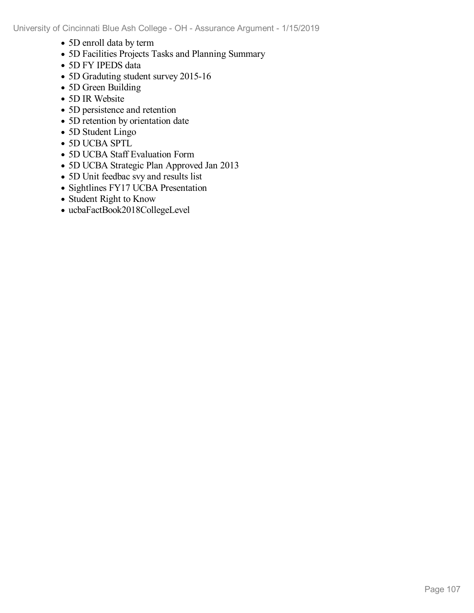- 5D enroll data by term
- 5D Facilities Projects Tasks and Planning Summary
- 5D FY IPEDS data
- 5D Graduting student survey 2015-16
- 5D Green Building
- 5D IR Website
- 5D persistence and retention
- 5D retention by orientation date
- 5D Student Lingo
- 5D UCBA SPTL
- 5D UCBA Staff Evaluation Form
- 5D UCBA Strategic Plan Approved Jan 2013
- 5D Unit feedbac svy and results list
- Sightlines FY17 UCBA Presentation
- Student Right to Know
- ucbaFactBook2018CollegeLevel